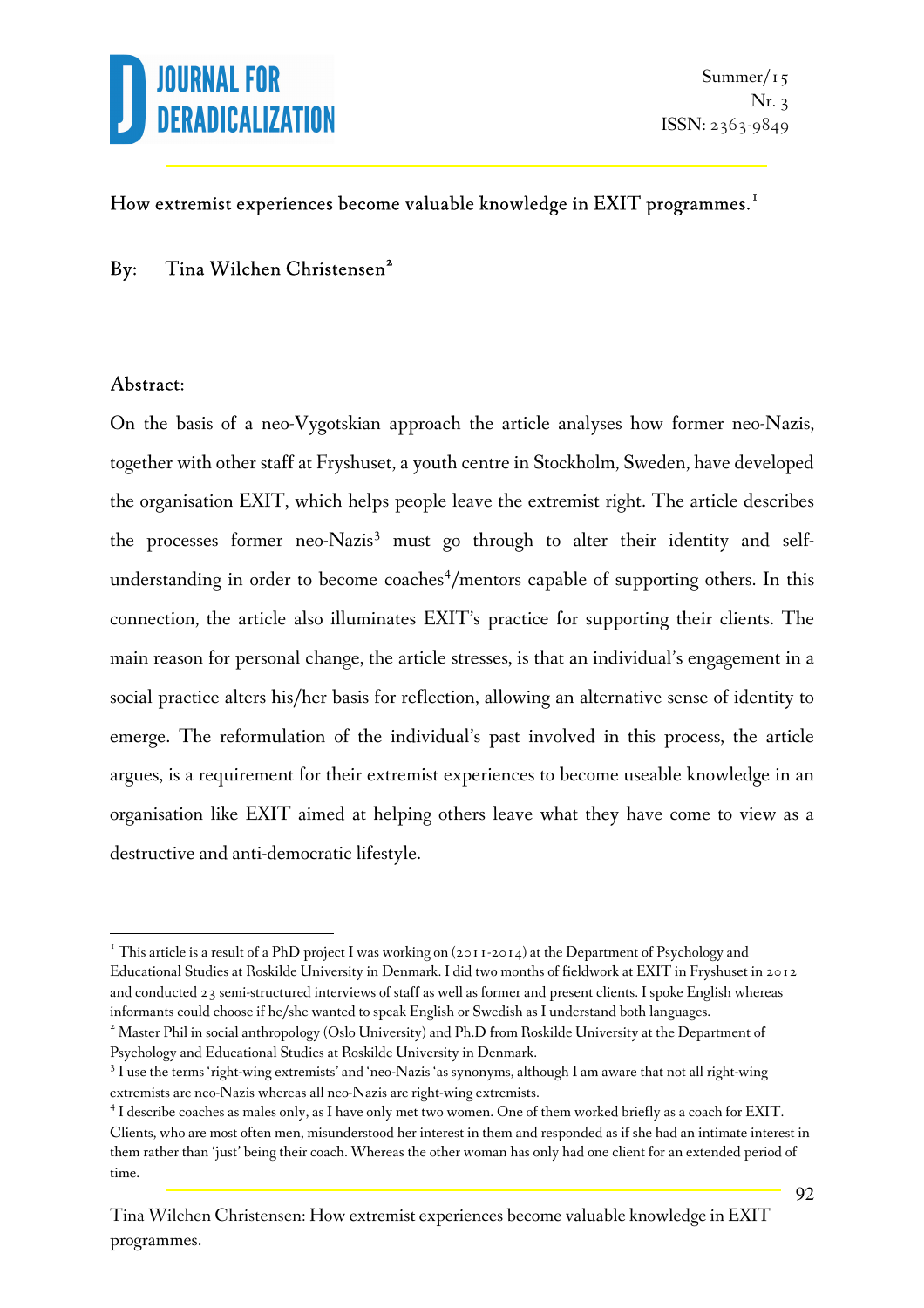

### How extremist experiences become valuable knowledge in  $\operatorname{EXIT}$  programmes. $^{\mathrm{I}}$

By: Tina Wilchen Christensen<sup>2</sup>

#### Abstract:

l.

On the basis of a neo-Vygotskian approach the article analyses how former neo-Nazis, together with other staff at Fryshuset, a youth centre in Stockholm, Sweden, have developed the organisation EXIT, which helps people leave the extremist right. The article describes the processes former neo-Nazis<sup>3</sup> must go through to alter their identity and selfunderstanding in order to become coaches<sup>4</sup>/mentors capable of supporting others. In this connection, the article also illuminates EXIT's practice for supporting their clients. The main reason for personal change, the article stresses, is that an individual's engagement in a social practice alters his/her basis for reflection, allowing an alternative sense of identity to emerge. The reformulation of the individual's past involved in this process, the article argues, is a requirement for their extremist experiences to become useable knowledge in an organisation like EXIT aimed at helping others leave what they have come to view as a destructive and anti-democratic lifestyle.

<sup>&</sup>lt;sup>1</sup> This article is a result of a PhD project I was working on (2011-2014) at the Department of Psychology and Educational Studies at Roskilde University in Denmark. I did two months of fieldwork at EXIT in Fryshuset in 2012 and conducted 23 semi-structured interviews of staff as well as former and present clients. I spoke English whereas informants could choose if he/she wanted to speak English or Swedish as I understand both languages.

<sup>&</sup>lt;sup>2</sup> Master Phil in social anthropology (Oslo University) and Ph.D from Roskilde University at the Department of Psychology and Educational Studies at Roskilde University in Denmark.

<sup>&</sup>lt;sup>3</sup> I use the terms 'right-wing extremists' and 'neo-Nazis 'as synonyms, although I am aware that not all right-wing extremists are neo-Nazis whereas all neo-Nazis are right-wing extremists.

<sup>&</sup>lt;sup>4</sup> I describe coaches as males only, as I have only met two women. One of them worked briefly as a coach for EXIT. Clients, who are most often men, misunderstood her interest in them and responded as if she had an intimate interest in them rather than 'just' being their coach. Whereas the other woman has only had one client for an extended period of time.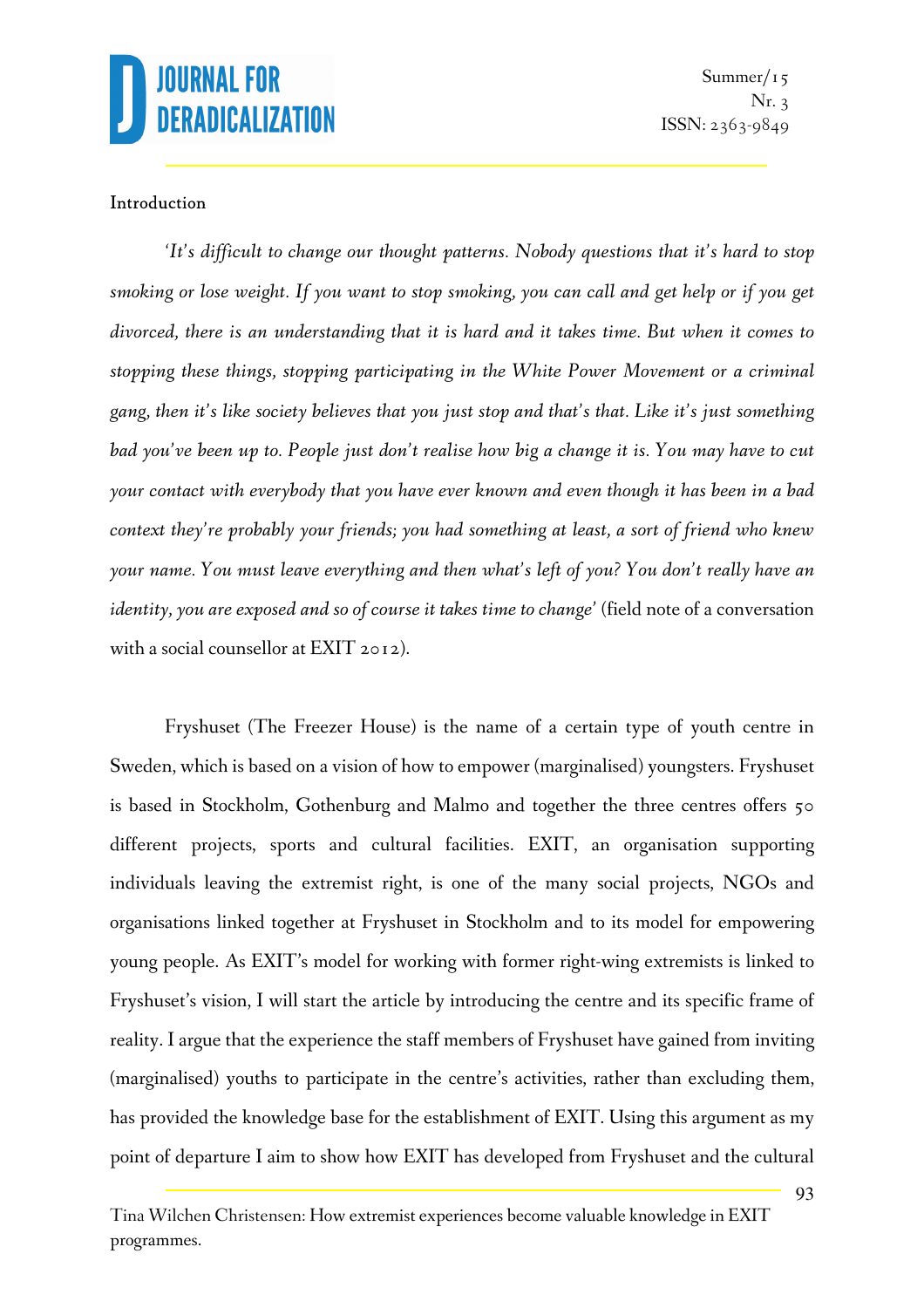

#### Introduction

*'It's difficult to change our thought patterns. Nobody questions that it's hard to stop smoking or lose weight. If you want to stop smoking, you can call and get help or if you get divorced, there is an understanding that it is hard and it takes time. But when it comes to stopping these things, stopping participating in the White Power Movement or a criminal gang, then it's like society believes that you just stop and that's that. Like it's just something bad you've been up to. People just don't realise how big a change it is. You may have to cut your contact with everybody that you have ever known and even though it has been in a bad context they're probably your friends; you had something at least, a sort of friend who knew your name. You must leave everything and then what's left of you? You don't really have an identity, you are exposed and so of course it takes time to change'* (field note of a conversation with a social counsellor at EXIT 2012).

Fryshuset (The Freezer House) is the name of a certain type of youth centre in Sweden, which is based on a vision of how to empower (marginalised) youngsters. Fryshuset is based in Stockholm, Gothenburg and Malmo and together the three centres offers 50 different projects, sports and cultural facilities. EXIT, an organisation supporting individuals leaving the extremist right, is one of the many social projects, NGOs and organisations linked together at Fryshuset in Stockholm and to its model for empowering young people. As EXIT's model for working with former right-wing extremists is linked to Fryshuset's vision, I will start the article by introducing the centre and its specific frame of reality. I argue that the experience the staff members of Fryshuset have gained from inviting (marginalised) youths to participate in the centre's activities, rather than excluding them, has provided the knowledge base for the establishment of EXIT. Using this argument as my point of departure I aim to show how EXIT has developed from Fryshuset and the cultural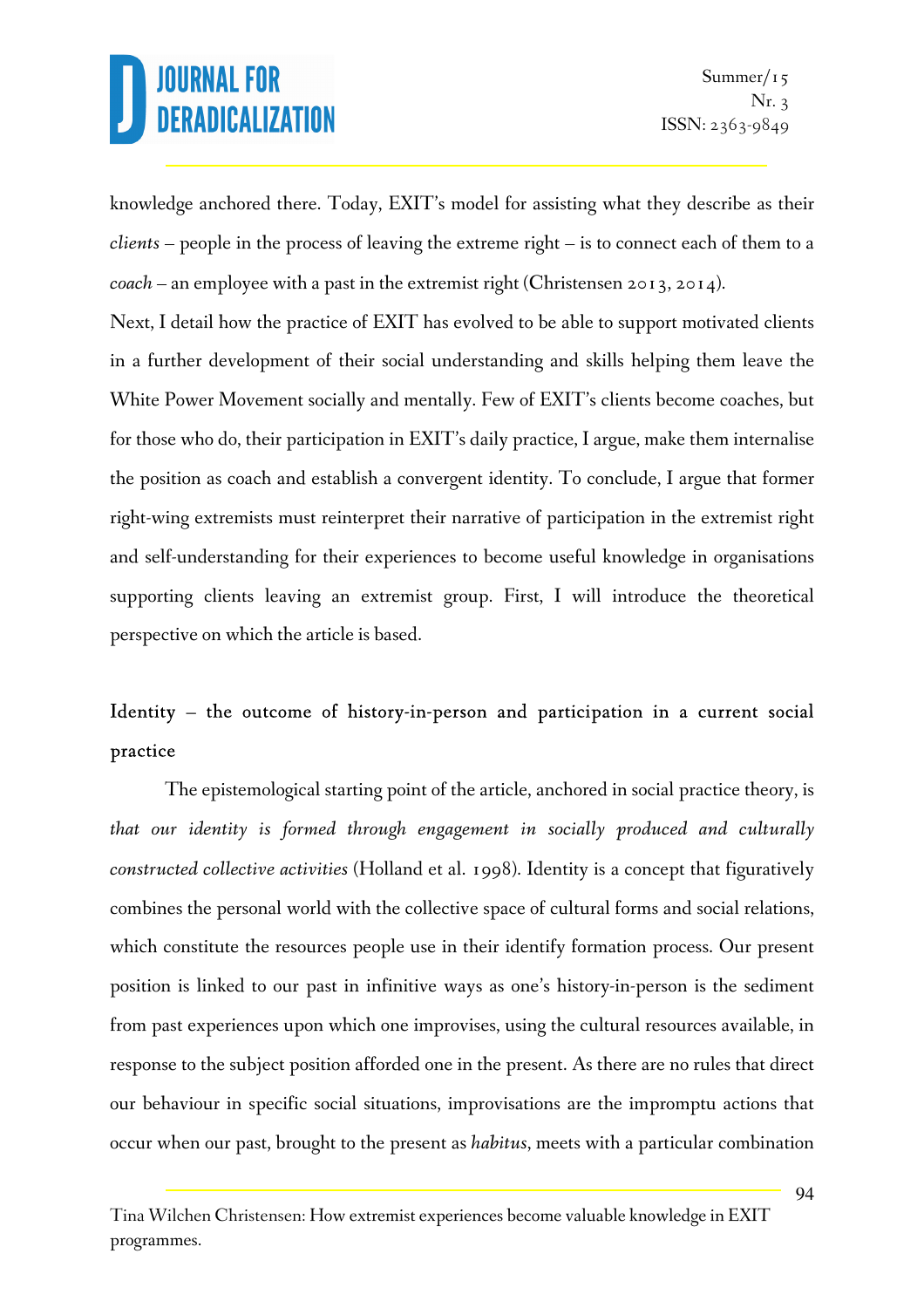knowledge anchored there. Today, EXIT's model for assisting what they describe as their *clients –* people in the process of leaving the extreme right – is to connect each of them to a *coach –* an employee with a past in the extremist right (Christensen 2013, 2014).

Next, I detail how the practice of EXIT has evolved to be able to support motivated clients in a further development of their social understanding and skills helping them leave the White Power Movement socially and mentally. Few of EXIT's clients become coaches, but for those who do, their participation in EXIT's daily practice, I argue, make them internalise the position as coach and establish a convergent identity. To conclude, I argue that former right-wing extremists must reinterpret their narrative of participation in the extremist right and self-understanding for their experiences to become useful knowledge in organisations supporting clients leaving an extremist group. First, I will introduce the theoretical perspective on which the article is based.

### Identity – the outcome of history-in-person and participation in a current social practice

The epistemological starting point of the article, anchored in social practice theory, is *that our identity is formed through engagement in socially produced and culturally constructed collective activities* (Holland et al. 1998). Identity is a concept that figuratively combines the personal world with the collective space of cultural forms and social relations, which constitute the resources people use in their identify formation process. Our present position is linked to our past in infinitive ways as one's history-in-person is the sediment from past experiences upon which one improvises, using the cultural resources available, in response to the subject position afforded one in the present. As there are no rules that direct our behaviour in specific social situations, improvisations are the impromptu actions that occur when our past, brought to the present as *habitus*, meets with a particular combination

Tina Wilchen Christensen: How extremist experiences become valuable knowledge in EXIT programmes.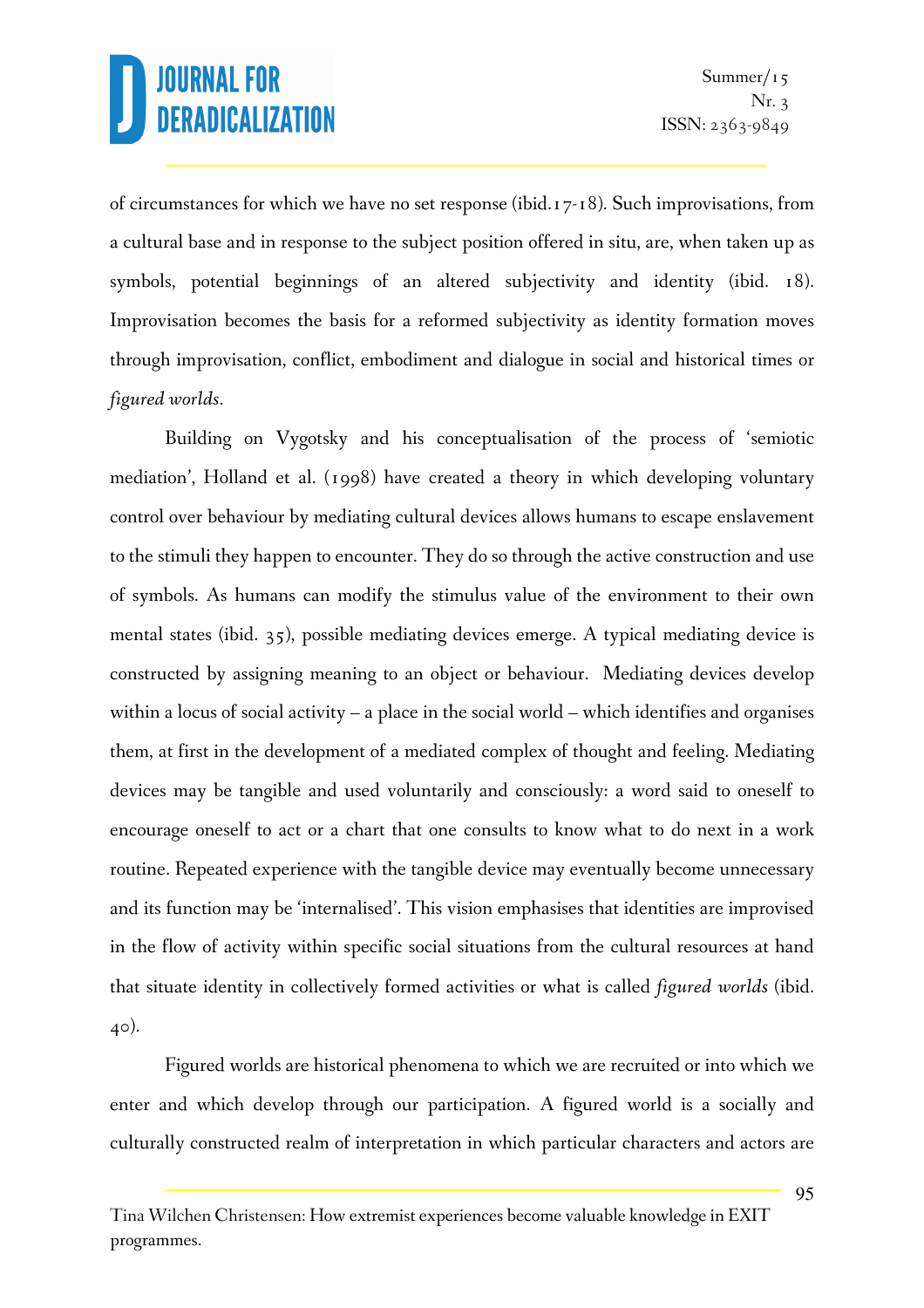of circumstances for which we have no set response (ibid.17-18). Such improvisations, from a cultural base and in response to the subject position offered in situ, are, when taken up as symbols, potential beginnings of an altered subjectivity and identity (ibid. 18). Improvisation becomes the basis for a reformed subjectivity as identity formation moves through improvisation, conflict, embodiment and dialogue in social and historical times or *figured worlds*.

Building on Vygotsky and his conceptualisation of the process of 'semiotic mediation', Holland et al. (1998) have created a theory in which developing voluntary control over behaviour by mediating cultural devices allows humans to escape enslavement to the stimuli they happen to encounter. They do so through the active construction and use of symbols. As humans can modify the stimulus value of the environment to their own mental states (ibid. 35), possible mediating devices emerge. A typical mediating device is constructed by assigning meaning to an object or behaviour. Mediating devices develop within a locus of social activity – a place in the social world – which identifies and organises them, at first in the development of a mediated complex of thought and feeling. Mediating devices may be tangible and used voluntarily and consciously: a word said to oneself to encourage oneself to act or a chart that one consults to know what to do next in a work routine. Repeated experience with the tangible device may eventually become unnecessary and its function may be 'internalised'. This vision emphasises that identities are improvised in the flow of activity within specific social situations from the cultural resources at hand that situate identity in collectively formed activities or what is called *figured worlds* (ibid. 40).

Figured worlds are historical phenomena to which we are recruited or into which we enter and which develop through our participation. A figured world is a socially and culturally constructed realm of interpretation in which particular characters and actors are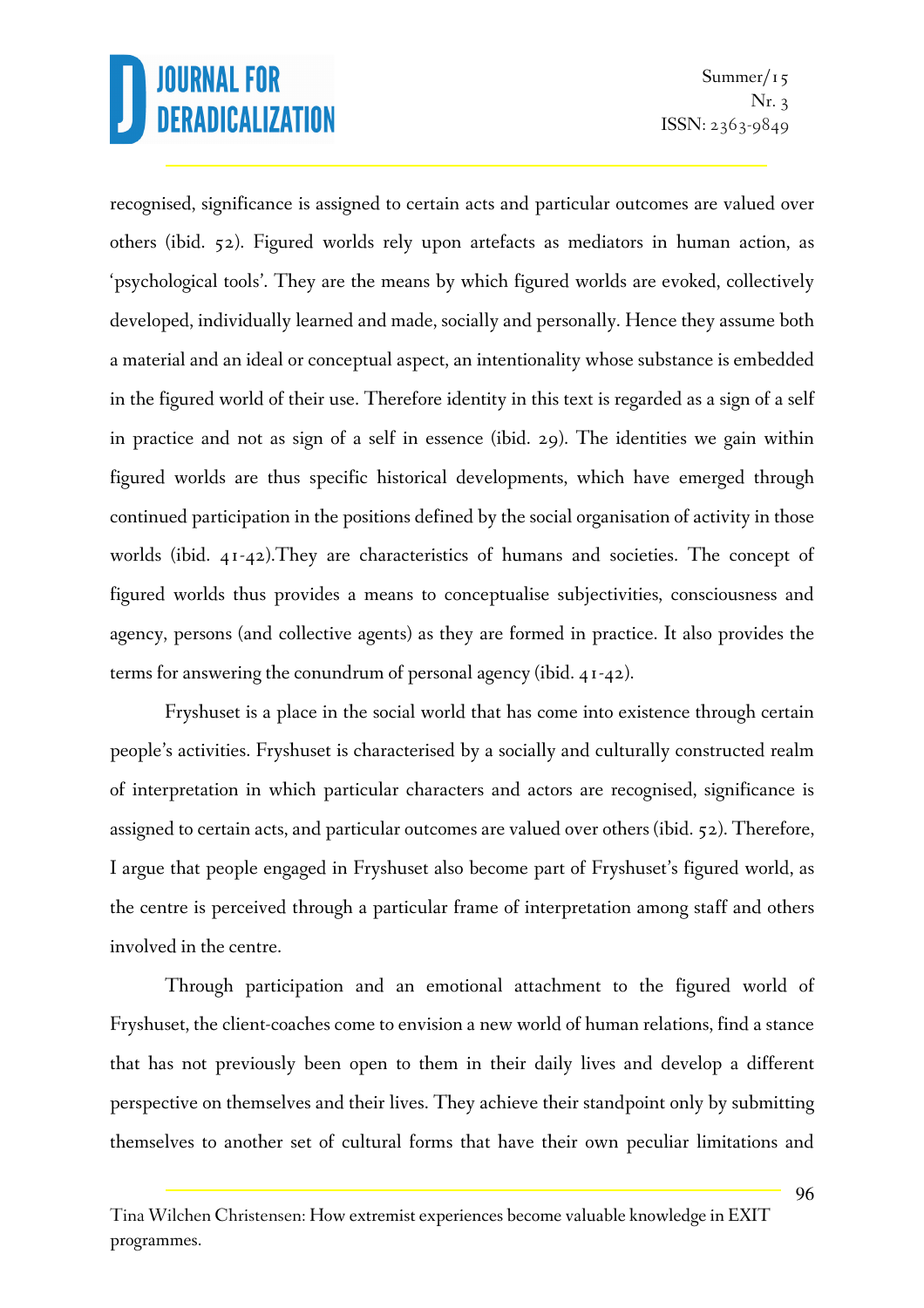recognised, significance is assigned to certain acts and particular outcomes are valued over others (ibid. 52). Figured worlds rely upon artefacts as mediators in human action, as 'psychological tools'. They are the means by which figured worlds are evoked, collectively developed, individually learned and made, socially and personally. Hence they assume both a material and an ideal or conceptual aspect, an intentionality whose substance is embedded in the figured world of their use. Therefore identity in this text is regarded as a sign of a self in practice and not as sign of a self in essence (ibid. 29). The identities we gain within figured worlds are thus specific historical developments, which have emerged through continued participation in the positions defined by the social organisation of activity in those worlds (ibid. 41-42).They are characteristics of humans and societies. The concept of figured worlds thus provides a means to conceptualise subjectivities, consciousness and agency, persons (and collective agents) as they are formed in practice. It also provides the terms for answering the conundrum of personal agency (ibid. 41-42).

Fryshuset is a place in the social world that has come into existence through certain people's activities. Fryshuset is characterised by a socially and culturally constructed realm of interpretation in which particular characters and actors are recognised, significance is assigned to certain acts, and particular outcomes are valued over others (ibid. 52). Therefore, I argue that people engaged in Fryshuset also become part of Fryshuset's figured world, as the centre is perceived through a particular frame of interpretation among staff and others involved in the centre.

Through participation and an emotional attachment to the figured world of Fryshuset, the client-coaches come to envision a new world of human relations, find a stance that has not previously been open to them in their daily lives and develop a different perspective on themselves and their lives. They achieve their standpoint only by submitting themselves to another set of cultural forms that have their own peculiar limitations and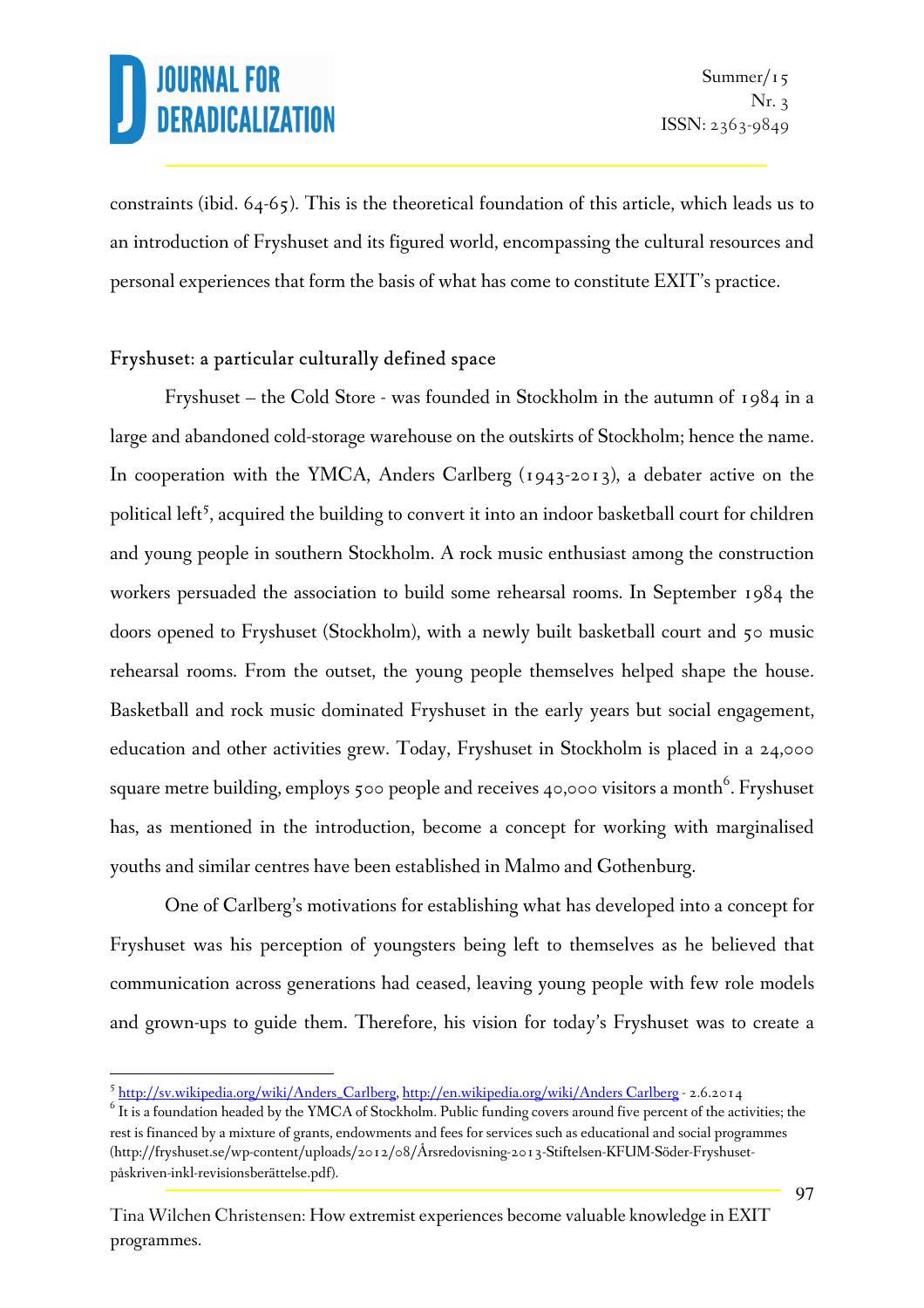l.

constraints (ibid. 64-65). This is the theoretical foundation of this article, which leads us to an introduction of Fryshuset and its figured world, encompassing the cultural resources and personal experiences that form the basis of what has come to constitute EXIT's practice.

### Fryshuset: a particular culturally defined space

Fryshuset – the Cold Store - was founded in Stockholm in the autumn of 1984 in a large and abandoned cold-storage warehouse on the outskirts of Stockholm; hence the name. In cooperation with the YMCA, Anders Carlberg (1943-2013), a debater active on the political left<sup>5</sup>, acquired the building to convert it into an indoor basketball court for children and young people in southern Stockholm. A rock music enthusiast among the construction workers persuaded the association to build some rehearsal rooms. In September 1984 the doors opened to Fryshuset (Stockholm), with a newly built basketball court and 50 music rehearsal rooms. From the outset, the young people themselves helped shape the house. Basketball and rock music dominated Fryshuset in the early years but social engagement, education and other activities grew. Today, Fryshuset in Stockholm is placed in a 24,000 square metre building, employs 500 people and receives 40,000 visitors a month $^6$ . Fryshuset has, as mentioned in the introduction, become a concept for working with marginalised youths and similar centres have been established in Malmo and Gothenburg.

One of Carlberg's motivations for establishing what has developed into a concept for Fryshuset was his perception of youngsters being left to themselves as he believed that communication across generations had ceased, leaving young people with few role models and grown-ups to guide them. Therefore, his vision for today's Fryshuset was to create a

<sup>5</sup> http://sv.wikipedia.org/wiki/Anders\_Carlberg, http://en.wikipedia.org/wiki/Anders Carlberg - 2.6.2014

 $6$  It is a foundation headed by the YMCA of Stockholm. Public funding covers around five percent of the activities; the rest is financed by a mixture of grants, endowments and fees for services such as educational and social programmes (http://fryshuset.se/wp-content/uploads/2012/08/Årsredovisning-2013-Stiftelsen-KFUM-Söder-Fryshusetpåskriven-inkl-revisionsberättelse.pdf).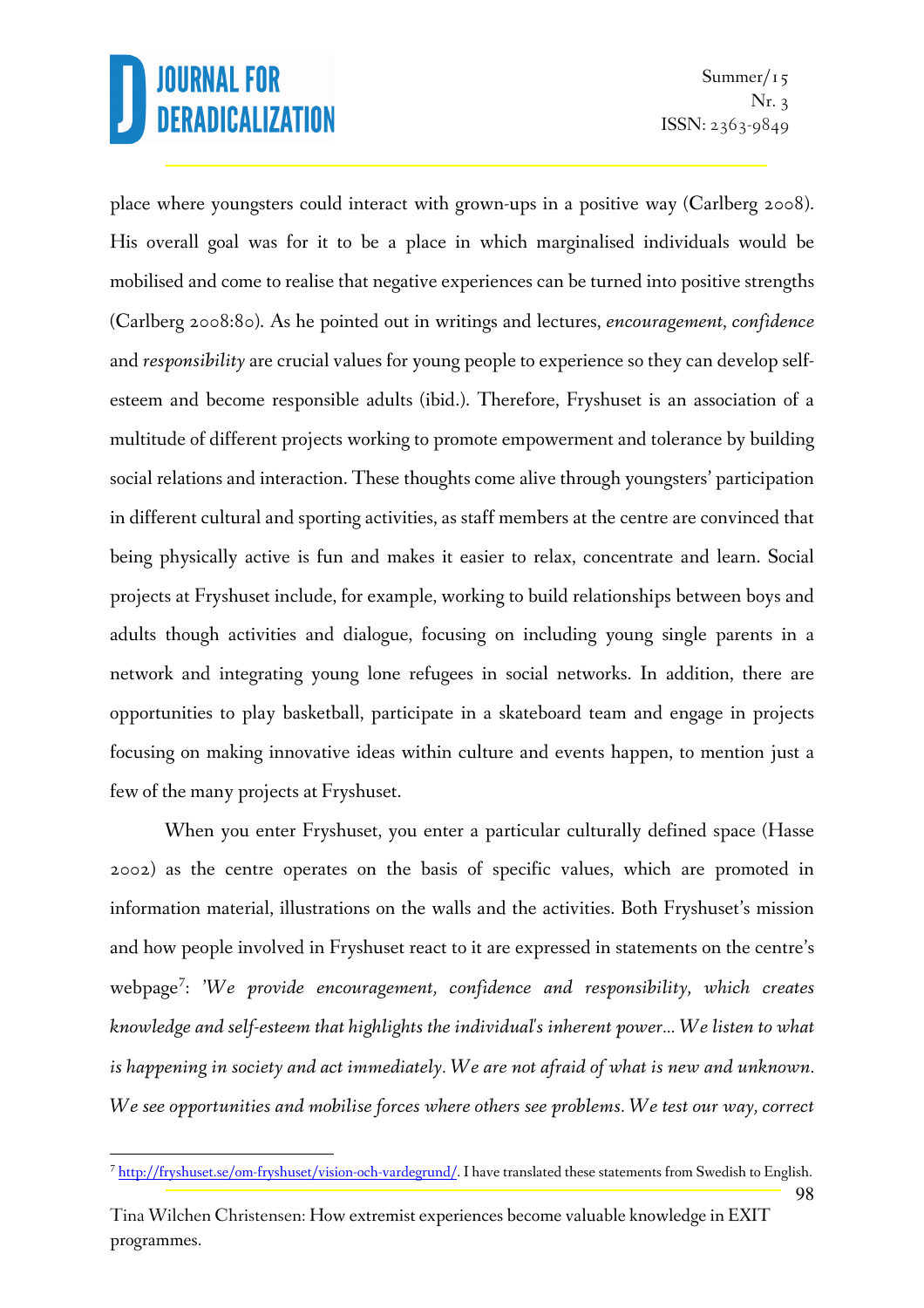l.

Summer/ $15$ Nr. 3 ISSN: 2363-9849

98

place where youngsters could interact with grown-ups in a positive way (Carlberg 2008). His overall goal was for it to be a place in which marginalised individuals would be mobilised and come to realise that negative experiences can be turned into positive strengths (Carlberg 2008:80). As he pointed out in writings and lectures, *encouragement*, *confidence* and *responsibility* are crucial values for young people to experience so they can develop selfesteem and become responsible adults (ibid.). Therefore, Fryshuset is an association of a multitude of different projects working to promote empowerment and tolerance by building social relations and interaction. These thoughts come alive through youngsters' participation in different cultural and sporting activities, as staff members at the centre are convinced that being physically active is fun and makes it easier to relax, concentrate and learn. Social projects at Fryshuset include, for example, working to build relationships between boys and adults though activities and dialogue, focusing on including young single parents in a network and integrating young lone refugees in social networks. In addition, there are opportunities to play basketball, participate in a skateboard team and engage in projects focusing on making innovative ideas within culture and events happen, to mention just a few of the many projects at Fryshuset.

When you enter Fryshuset, you enter a particular culturally defined space (Hasse 2002) as the centre operates on the basis of specific values, which are promoted in information material, illustrations on the walls and the activities. Both Fryshuset's mission and how people involved in Fryshuset react to it are expressed in statements on the centre's webpage<sup>7</sup> : '*We provide encouragement, confidence and responsibility, which creates knowledge and self-esteem that highlights the individual's inherent power… We listen to what is happening in society and act immediately. We are not afraid of what is new and unknown. We see opportunities and mobilise forces where others see problems. We test our way, correct* 

<sup>&</sup>lt;sup>7</sup> http://fryshuset.se/om-fryshuset/vision-och-vardegrund/. I have translated these statements from Swedish to English.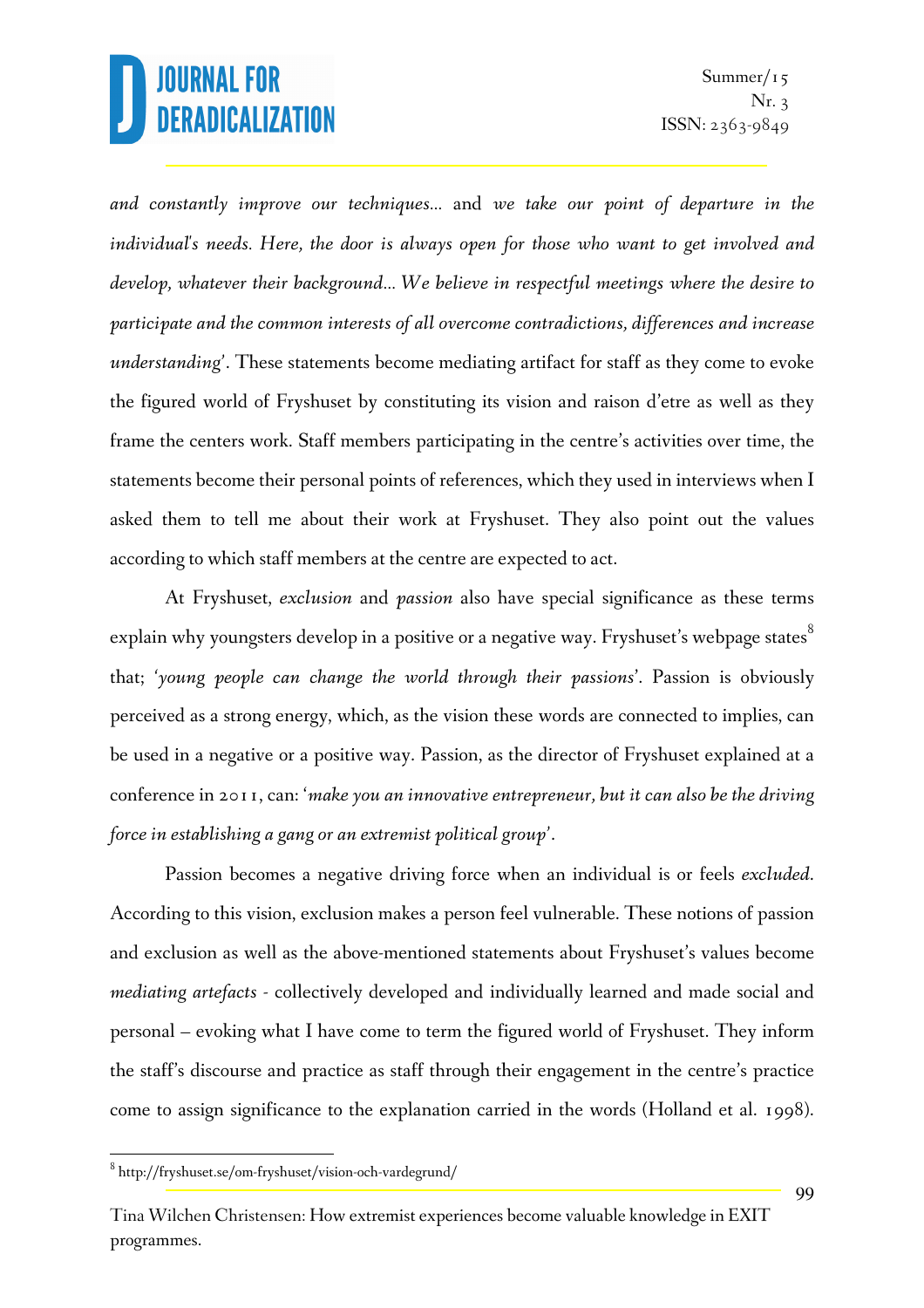*and constantly improve our techniques…* and *we take our point of departure in the individual's needs. Here, the door is always open for those who want to get involved and develop, whatever their background… We believe in respectful meetings where the desire to participate and the common interests of all overcome contradictions, differences and increase understanding'*. These statements become mediating artifact for staff as they come to evoke the figured world of Fryshuset by constituting its vision and raison d'etre as well as they frame the centers work. Staff members participating in the centre's activities over time, the statements become their personal points of references, which they used in interviews when I asked them to tell me about their work at Fryshuset. They also point out the values according to which staff members at the centre are expected to act.

At Fryshuset, *exclusion* and *passion* also have special significance as these terms explain why youngsters develop in a positive or a negative way. Fryshuset's webpage states<sup>8</sup> that; *'young people can change the world through their passions*'. Passion is obviously perceived as a strong energy, which, as the vision these words are connected to implies, can be used in a negative or a positive way. Passion, as the director of Fryshuset explained at a conference in 2011, can: '*make you an innovative entrepreneur, but it can also be the driving force in establishing a gang or an extremist political group'*.

Passion becomes a negative driving force when an individual is or feels *excluded*. According to this vision, exclusion makes a person feel vulnerable. These notions of passion and exclusion as well as the above-mentioned statements about Fryshuset's values become *mediating artefacts -* collectively developed and individually learned and made social and personal – evoking what I have come to term the figured world of Fryshuset. They inform the staff's discourse and practice as staff through their engagement in the centre's practice come to assign significance to the explanation carried in the words (Holland et al. 1998).

l.

 $^8$  http://fryshuset.se/om-fryshuset/vision-och-vardegrund/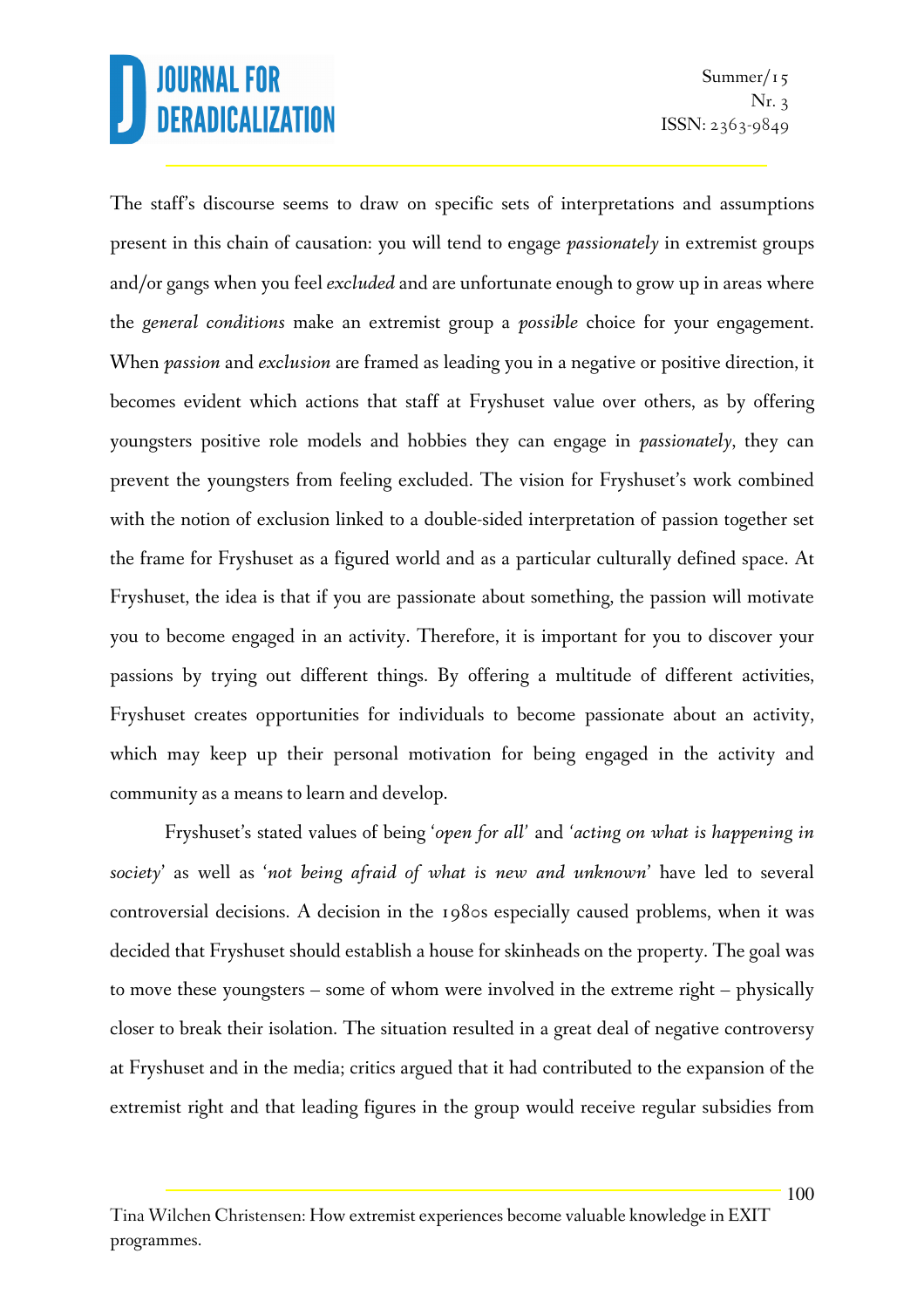Summer/ $15$ Nr. 3 ISSN: 2363-9849

The staff's discourse seems to draw on specific sets of interpretations and assumptions present in this chain of causation: you will tend to engage *passionately* in extremist groups and/or gangs when you feel *excluded* and are unfortunate enough to grow up in areas where the *general conditions* make an extremist group a *possible* choice for your engagement. When *passion* and *exclusion* are framed as leading you in a negative or positive direction, it becomes evident which actions that staff at Fryshuset value over others, as by offering youngsters positive role models and hobbies they can engage in *passionately*, they can prevent the youngsters from feeling excluded. The vision for Fryshuset's work combined with the notion of exclusion linked to a double-sided interpretation of passion together set the frame for Fryshuset as a figured world and as a particular culturally defined space. At Fryshuset, the idea is that if you are passionate about something, the passion will motivate you to become engaged in an activity. Therefore, it is important for you to discover your passions by trying out different things. By offering a multitude of different activities, Fryshuset creates opportunities for individuals to become passionate about an activity, which may keep up their personal motivation for being engaged in the activity and community as a means to learn and develop.

Fryshuset's stated values of being '*open for all'* and *'acting on what is happening in society*' as well as '*not being afraid of what is new and unknown*' have led to several controversial decisions. A decision in the 1980s especially caused problems, when it was decided that Fryshuset should establish a house for skinheads on the property. The goal was to move these youngsters – some of whom were involved in the extreme right – physically closer to break their isolation. The situation resulted in a great deal of negative controversy at Fryshuset and in the media; critics argued that it had contributed to the expansion of the extremist right and that leading figures in the group would receive regular subsidies from

Tina Wilchen Christensen: How extremist experiences become valuable knowledge in EXIT programmes.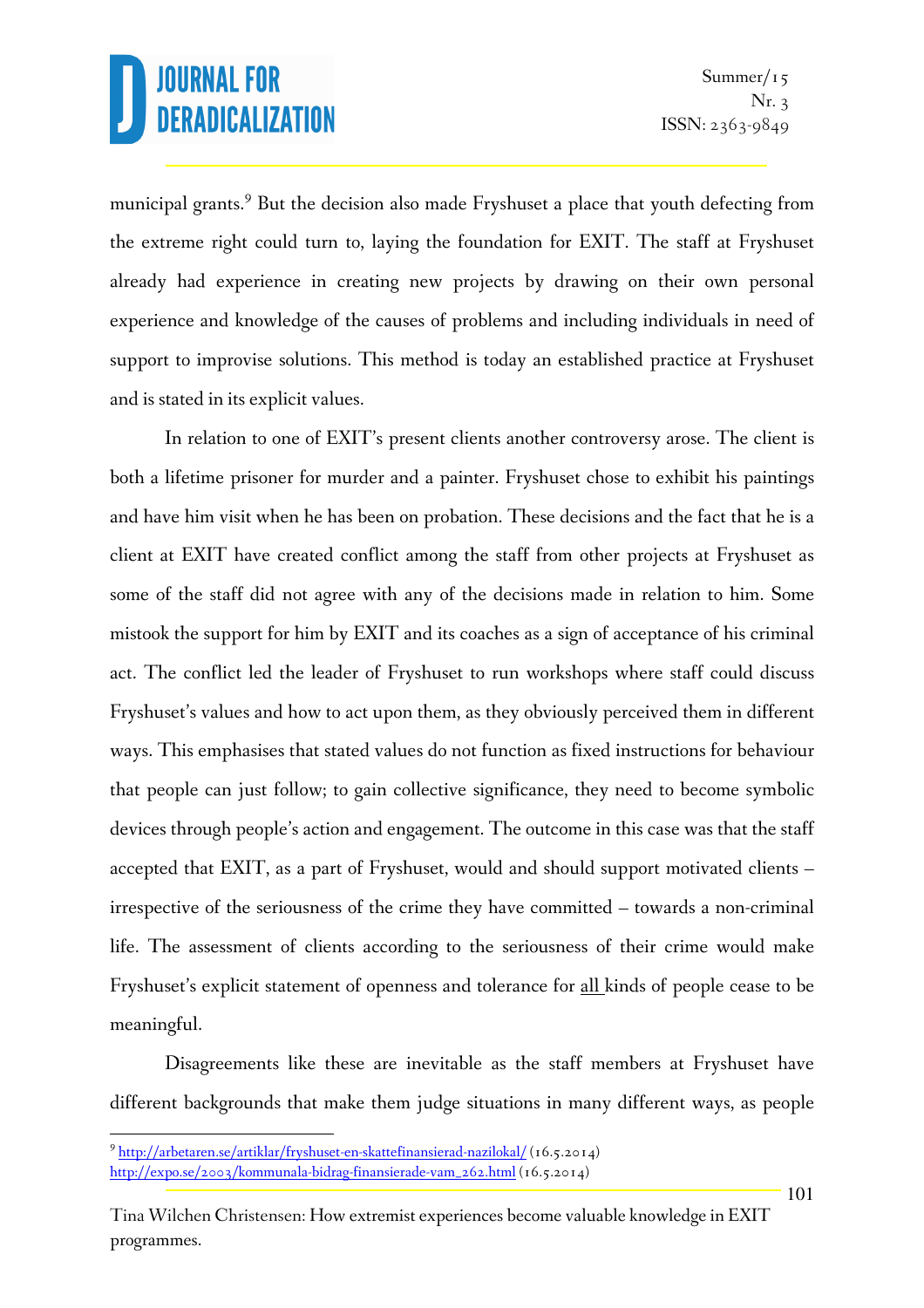municipal grants.<sup>9</sup> But the decision also made Fryshuset a place that youth defecting from the extreme right could turn to, laying the foundation for EXIT. The staff at Fryshuset already had experience in creating new projects by drawing on their own personal experience and knowledge of the causes of problems and including individuals in need of support to improvise solutions. This method is today an established practice at Fryshuset and is stated in its explicit values.

In relation to one of EXIT's present clients another controversy arose. The client is both a lifetime prisoner for murder and a painter. Fryshuset chose to exhibit his paintings and have him visit when he has been on probation. These decisions and the fact that he is a client at EXIT have created conflict among the staff from other projects at Fryshuset as some of the staff did not agree with any of the decisions made in relation to him. Some mistook the support for him by EXIT and its coaches as a sign of acceptance of his criminal act. The conflict led the leader of Fryshuset to run workshops where staff could discuss Fryshuset's values and how to act upon them, as they obviously perceived them in different ways. This emphasises that stated values do not function as fixed instructions for behaviour that people can just follow; to gain collective significance, they need to become symbolic devices through people's action and engagement. The outcome in this case was that the staff accepted that EXIT, as a part of Fryshuset, would and should support motivated clients – irrespective of the seriousness of the crime they have committed – towards a non-criminal life. The assessment of clients according to the seriousness of their crime would make Fryshuset's explicit statement of openness and tolerance for all kinds of people cease to be meaningful.

Disagreements like these are inevitable as the staff members at Fryshuset have different backgrounds that make them judge situations in many different ways, as people

l.

<sup>9</sup> http://arbetaren.se/artiklar/fryshuset-en-skattefinansierad-nazilokal/ (16.5.2014)

http://expo.se/2003/kommunala-bidrag-finansierade-vam\_262.html (16.5.2014)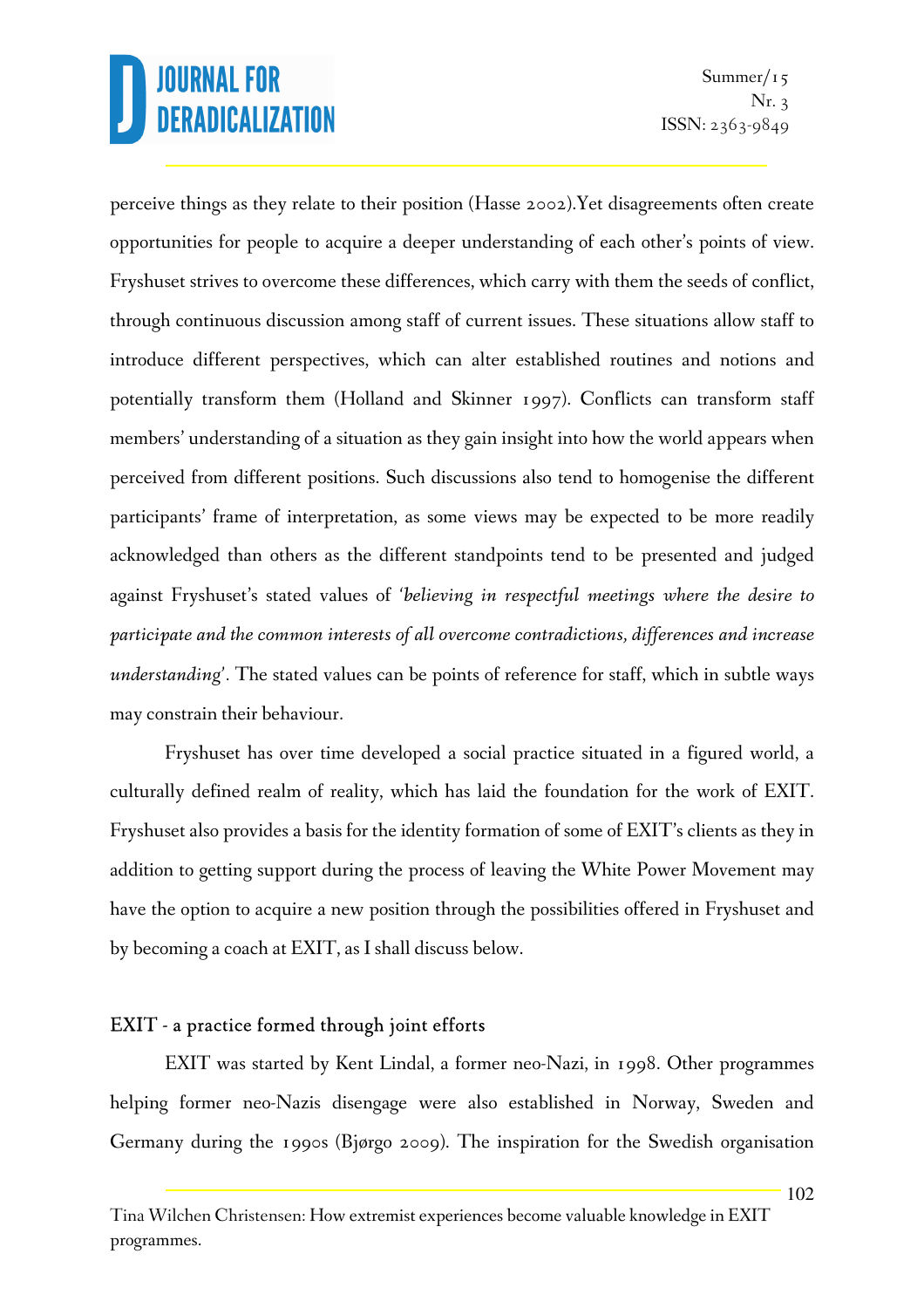Summer/ $15$ Nr. 3 ISSN: 2363-9849

perceive things as they relate to their position (Hasse 2002).Yet disagreements often create opportunities for people to acquire a deeper understanding of each other's points of view. Fryshuset strives to overcome these differences, which carry with them the seeds of conflict, through continuous discussion among staff of current issues. These situations allow staff to introduce different perspectives, which can alter established routines and notions and potentially transform them (Holland and Skinner 1997). Conflicts can transform staff members' understanding of a situation as they gain insight into how the world appears when perceived from different positions. Such discussions also tend to homogenise the different participants' frame of interpretation, as some views may be expected to be more readily acknowledged than others as the different standpoints tend to be presented and judged against Fryshuset's stated values of *'believing in respectful meetings where the desire to participate and the common interests of all overcome contradictions, differences and increase understanding'.* The stated values can be points of reference for staff, which in subtle ways may constrain their behaviour.

Fryshuset has over time developed a social practice situated in a figured world, a culturally defined realm of reality, which has laid the foundation for the work of EXIT. Fryshuset also provides a basis for the identity formation of some of EXIT's clients as they in addition to getting support during the process of leaving the White Power Movement may have the option to acquire a new position through the possibilities offered in Fryshuset and by becoming a coach at EXIT, as I shall discuss below.

#### EXIT - a practice formed through joint efforts

EXIT was started by Kent Lindal, a former neo-Nazi, in 1998. Other programmes helping former neo-Nazis disengage were also established in Norway, Sweden and Germany during the 1990s (Bjørgo 2009). The inspiration for the Swedish organisation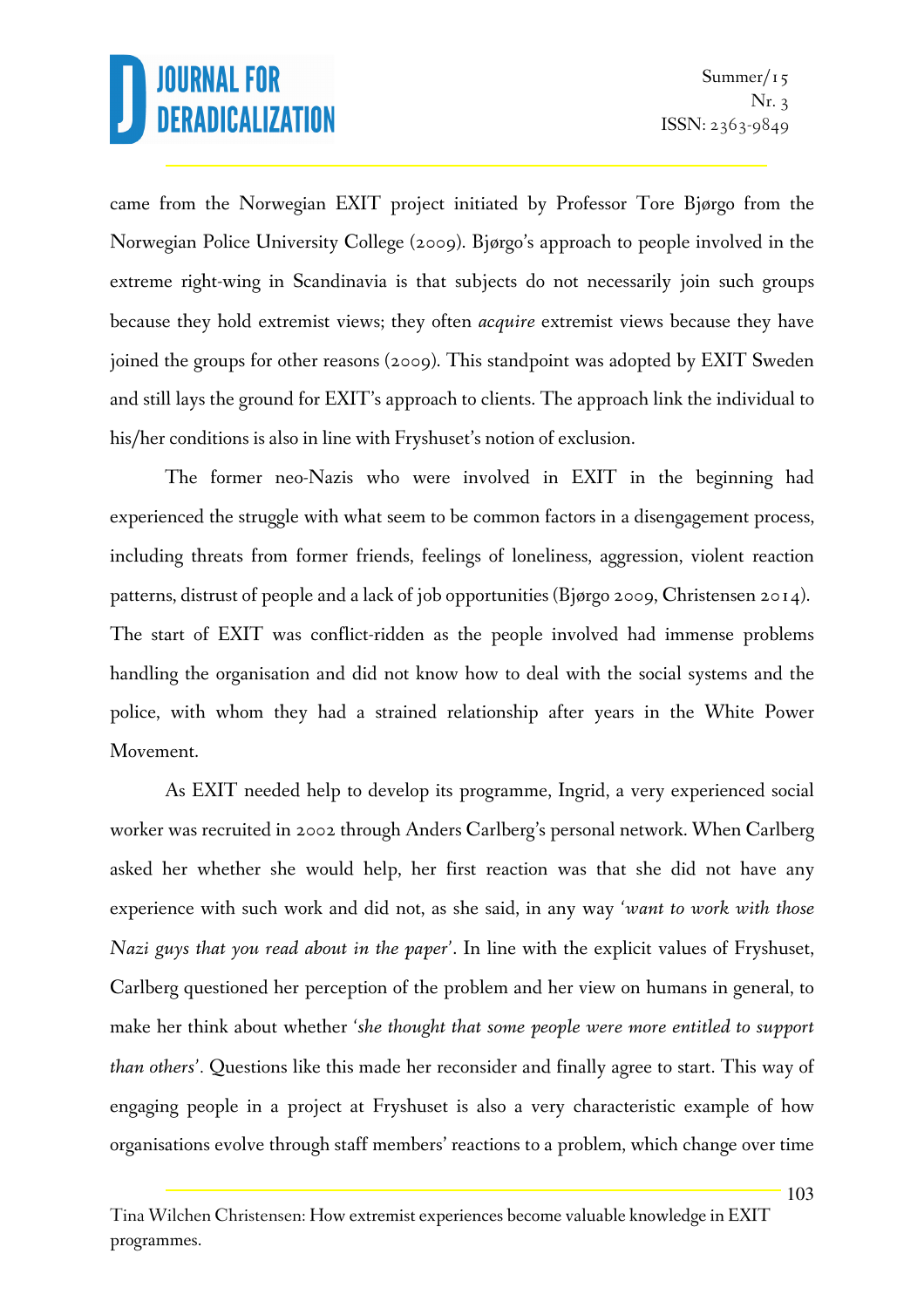came from the Norwegian EXIT project initiated by Professor Tore Bjørgo from the Norwegian Police University College (2009). Bjørgo's approach to people involved in the extreme right-wing in Scandinavia is that subjects do not necessarily join such groups because they hold extremist views; they often *acquire* extremist views because they have joined the groups for other reasons (2009). This standpoint was adopted by EXIT Sweden and still lays the ground for EXIT's approach to clients. The approach link the individual to his/her conditions is also in line with Fryshuset's notion of exclusion.

The former neo-Nazis who were involved in EXIT in the beginning had experienced the struggle with what seem to be common factors in a disengagement process, including threats from former friends, feelings of loneliness, aggression, violent reaction patterns, distrust of people and a lack of job opportunities (Bjørgo 2009, Christensen 2014). The start of EXIT was conflict-ridden as the people involved had immense problems handling the organisation and did not know how to deal with the social systems and the police, with whom they had a strained relationship after years in the White Power Movement.

As EXIT needed help to develop its programme, Ingrid, a very experienced social worker was recruited in 2002 through Anders Carlberg's personal network. When Carlberg asked her whether she would help, her first reaction was that she did not have any experience with such work and did not, as she said, in any way *'want to work with those Nazi guys that you read about in the paper'*. In line with the explicit values of Fryshuset, Carlberg questioned her perception of the problem and her view on humans in general, to make her think about whether *'she thought that some people were more entitled to support than others'.* Questions like this made her reconsider and finally agree to start. This way of engaging people in a project at Fryshuset is also a very characteristic example of how organisations evolve through staff members' reactions to a problem, which change over time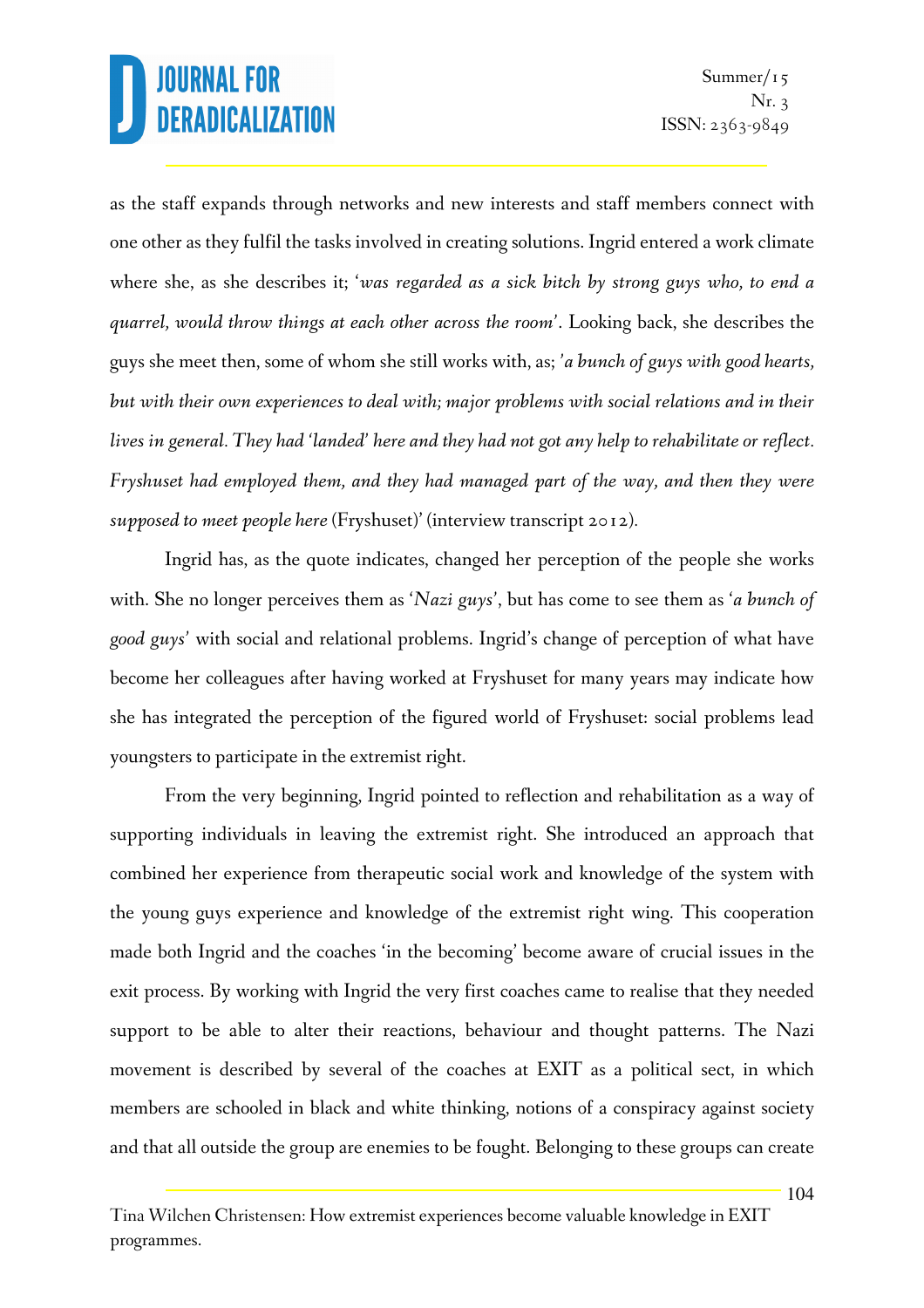as the staff expands through networks and new interests and staff members connect with one other as they fulfil the tasks involved in creating solutions. Ingrid entered a work climate where she, as she describes it; '*was regarded as a sick bitch by strong guys who, to end a quarrel, would throw things at each other across the room'*. Looking back, she describes the guys she meet then, some of whom she still works with, as; *'a bunch of guys with good hearts, but with their own experiences to deal with; major problems with social relations and in their lives in general. They had 'landed' here and they had not got any help to rehabilitate or reflect. Fryshuset had employed them, and they had managed part of the way, and then they were supposed to meet people here* (Fryshuset)' (interview transcript 2012)*.* 

Ingrid has, as the quote indicates, changed her perception of the people she works with. She no longer perceives them as '*Nazi guys'*, but has come to see them as '*a bunch of good guys'* with social and relational problems. Ingrid's change of perception of what have become her colleagues after having worked at Fryshuset for many years may indicate how she has integrated the perception of the figured world of Fryshuset: social problems lead youngsters to participate in the extremist right.

From the very beginning, Ingrid pointed to reflection and rehabilitation as a way of supporting individuals in leaving the extremist right. She introduced an approach that combined her experience from therapeutic social work and knowledge of the system with the young guys experience and knowledge of the extremist right wing. This cooperation made both Ingrid and the coaches 'in the becoming' become aware of crucial issues in the exit process. By working with Ingrid the very first coaches came to realise that they needed support to be able to alter their reactions, behaviour and thought patterns. The Nazi movement is described by several of the coaches at EXIT as a political sect, in which members are schooled in black and white thinking, notions of a conspiracy against society and that all outside the group are enemies to be fought. Belonging to these groups can create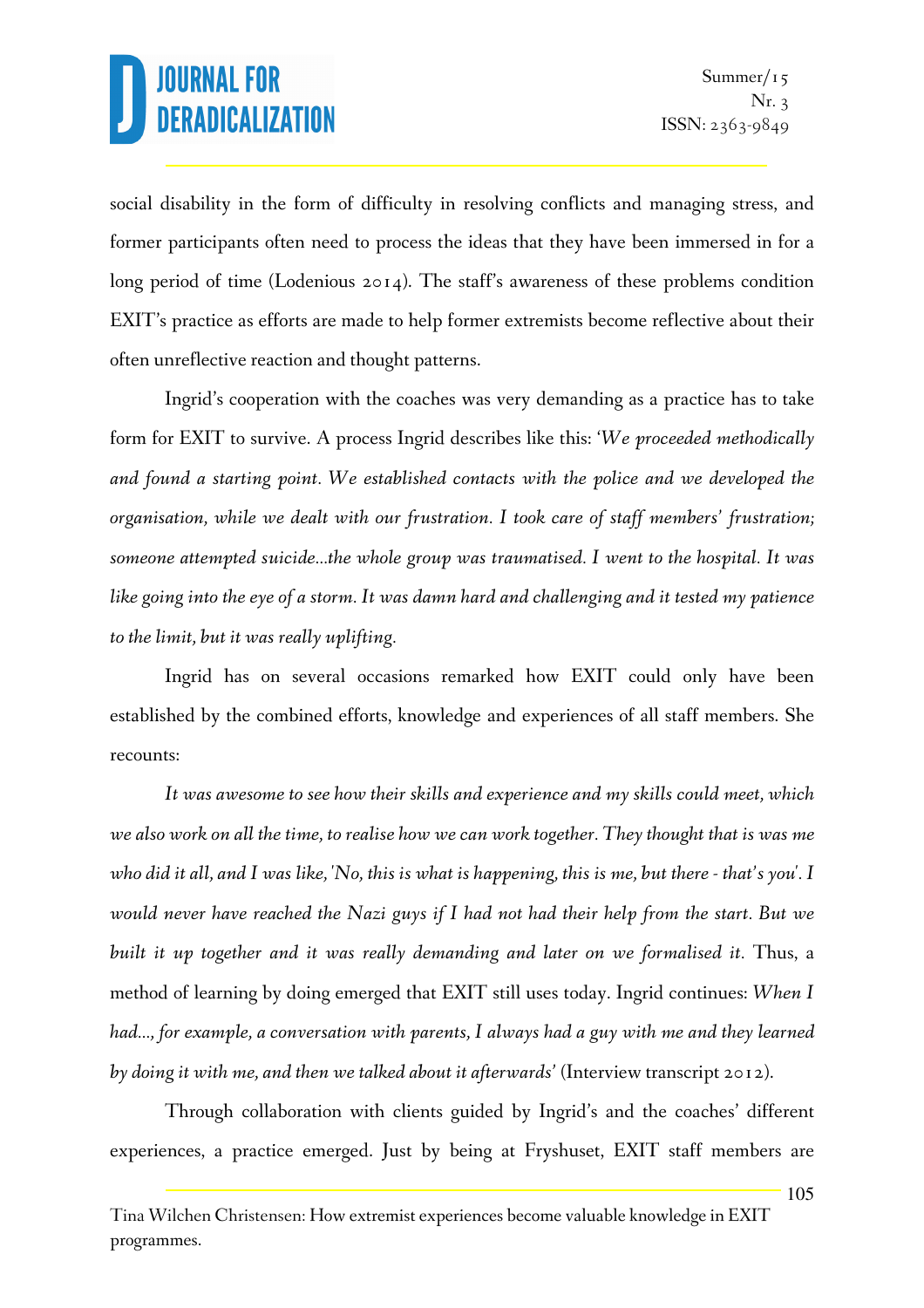social disability in the form of difficulty in resolving conflicts and managing stress, and former participants often need to process the ideas that they have been immersed in for a long period of time (Lodenious 2014). The staff's awareness of these problems condition EXIT's practice as efforts are made to help former extremists become reflective about their often unreflective reaction and thought patterns.

Ingrid's cooperation with the coaches was very demanding as a practice has to take form for EXIT to survive. A process Ingrid describes like this: '*We proceeded methodically and found a starting point. We established contacts with the police and we developed the organisation, while we dealt with our frustration. I took care of staff members' frustration; someone attempted suicide…the whole group was traumatised. I went to the hospital. It was like going into the eye of a storm. It was damn hard and challenging and it tested my patience to the limit, but it was really uplifting.* 

Ingrid has on several occasions remarked how EXIT could only have been established by the combined efforts, knowledge and experiences of all staff members. She recounts:

*It was awesome to see how their skills and experience and my skills could meet, which we also work on all the time, to realise how we can work together. They thought that is was me who did it all, and I was like, 'No, this is what is happening, this is me, but there - that's you'. I would never have reached the Nazi guys if I had not had their help from the start. But we*  built it up together and it was really demanding and later on we formalised it. Thus, a method of learning by doing emerged that EXIT still uses today. Ingrid continues: *When I had..., for example, a conversation with parents, I always had a guy with me and they learned by doing it with me, and then we talked about it afterwards'* (Interview transcript 2012).

Through collaboration with clients guided by Ingrid's and the coaches' different experiences, a practice emerged. Just by being at Fryshuset, EXIT staff members are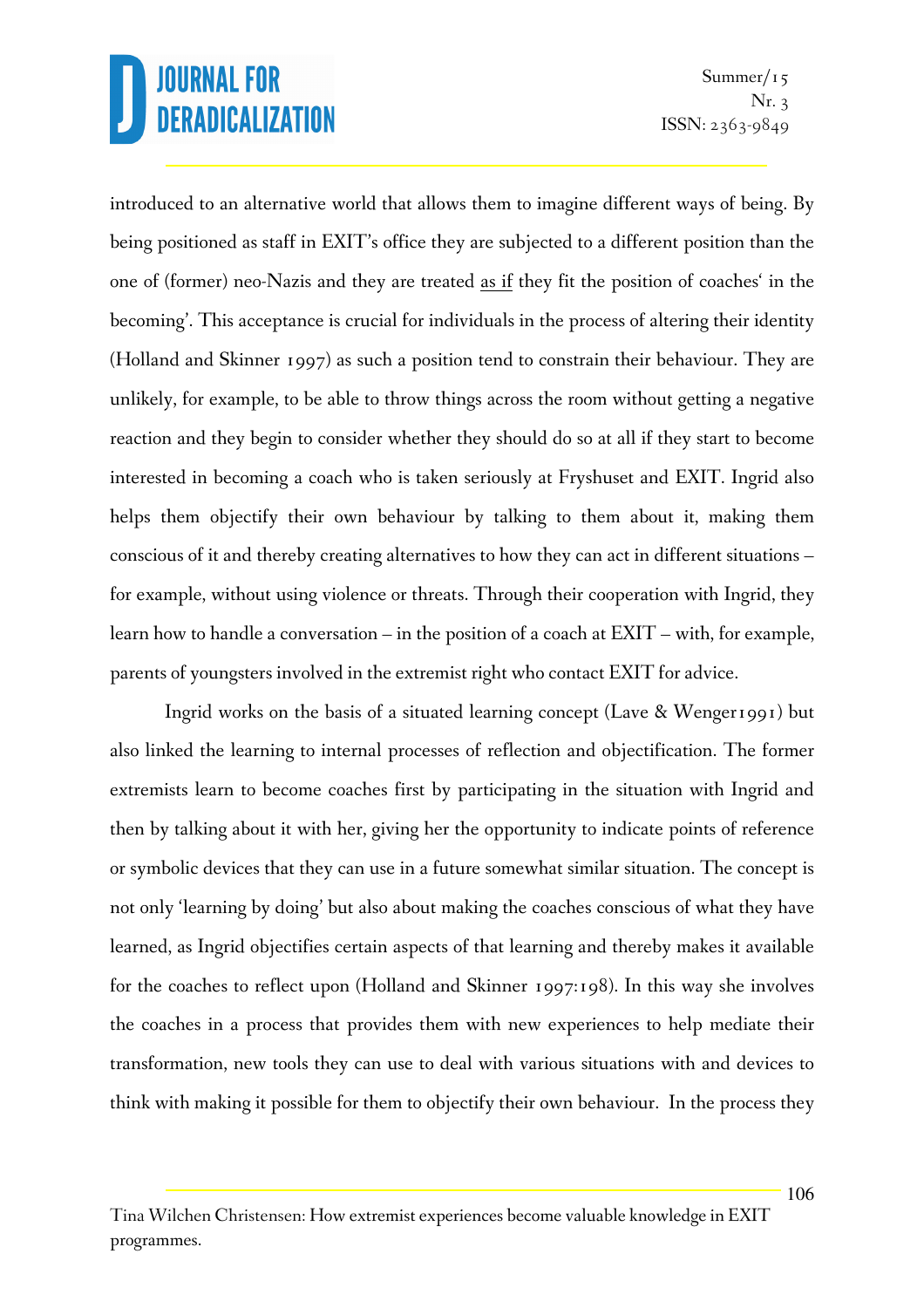introduced to an alternative world that allows them to imagine different ways of being. By being positioned as staff in EXIT's office they are subjected to a different position than the one of (former) neo-Nazis and they are treated as if they fit the position of coaches' in the becoming'. This acceptance is crucial for individuals in the process of altering their identity (Holland and Skinner 1997) as such a position tend to constrain their behaviour. They are unlikely, for example, to be able to throw things across the room without getting a negative reaction and they begin to consider whether they should do so at all if they start to become interested in becoming a coach who is taken seriously at Fryshuset and EXIT. Ingrid also helps them objectify their own behaviour by talking to them about it, making them conscious of it and thereby creating alternatives to how they can act in different situations – for example, without using violence or threats. Through their cooperation with Ingrid, they learn how to handle a conversation – in the position of a coach at EXIT – with, for example, parents of youngsters involved in the extremist right who contact EXIT for advice.

Ingrid works on the basis of a situated learning concept (Lave & Wenger1991) but also linked the learning to internal processes of reflection and objectification. The former extremists learn to become coaches first by participating in the situation with Ingrid and then by talking about it with her, giving her the opportunity to indicate points of reference or symbolic devices that they can use in a future somewhat similar situation. The concept is not only 'learning by doing' but also about making the coaches conscious of what they have learned, as Ingrid objectifies certain aspects of that learning and thereby makes it available for the coaches to reflect upon (Holland and Skinner 1997:198). In this way she involves the coaches in a process that provides them with new experiences to help mediate their transformation, new tools they can use to deal with various situations with and devices to think with making it possible for them to objectify their own behaviour. In the process they

Tina Wilchen Christensen: How extremist experiences become valuable knowledge in EXIT programmes.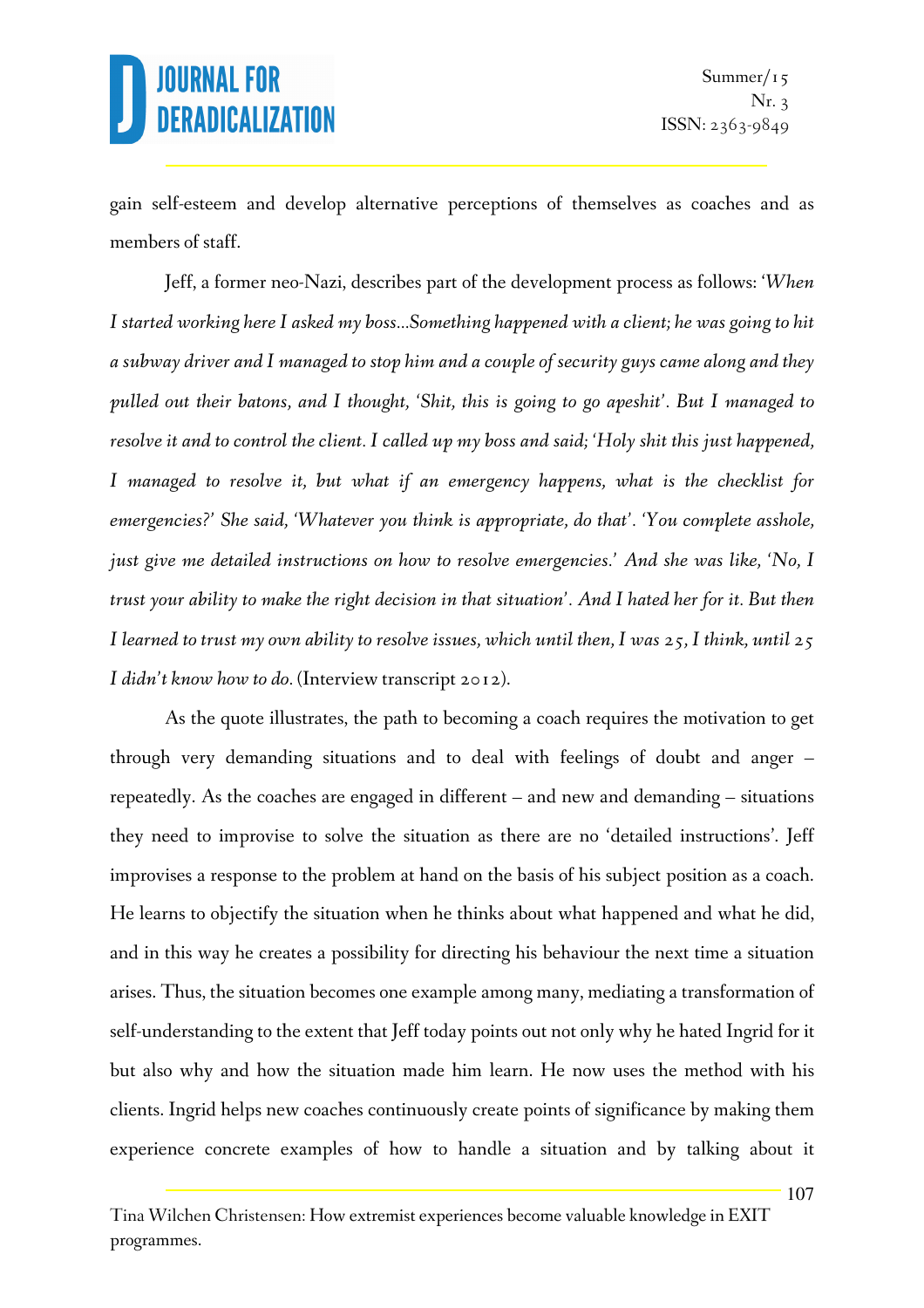gain self-esteem and develop alternative perceptions of themselves as coaches and as members of staff.

Jeff, a former neo-Nazi, describes part of the development process as follows: '*When I started working here I asked my boss...Something happened with a client; he was going to hit a subway driver and I managed to stop him and a couple of security guys came along and they pulled out their batons, and I thought, 'Shit, this is going to go apeshit'. But I managed to resolve it and to control the client. I called up my boss and said; 'Holy shit this just happened, I* managed to resolve it, but what if an emergency happens, what is the checklist for *emergencies?' She said, 'Whatever you think is appropriate, do that'. 'You complete asshole, just give me detailed instructions on how to resolve emergencies.' And she was like, 'No, I trust your ability to make the right decision in that situation'. And I hated her for it. But then I learned to trust my own ability to resolve issues, which until then, I was 25, I think, until 25 I didn't know how to do.* (Interview transcript 2012).

As the quote illustrates, the path to becoming a coach requires the motivation to get through very demanding situations and to deal with feelings of doubt and anger – repeatedly. As the coaches are engaged in different – and new and demanding – situations they need to improvise to solve the situation as there are no 'detailed instructions'. Jeff improvises a response to the problem at hand on the basis of his subject position as a coach. He learns to objectify the situation when he thinks about what happened and what he did, and in this way he creates a possibility for directing his behaviour the next time a situation arises. Thus, the situation becomes one example among many, mediating a transformation of self-understanding to the extent that Jeff today points out not only why he hated Ingrid for it but also why and how the situation made him learn. He now uses the method with his clients. Ingrid helps new coaches continuously create points of significance by making them experience concrete examples of how to handle a situation and by talking about it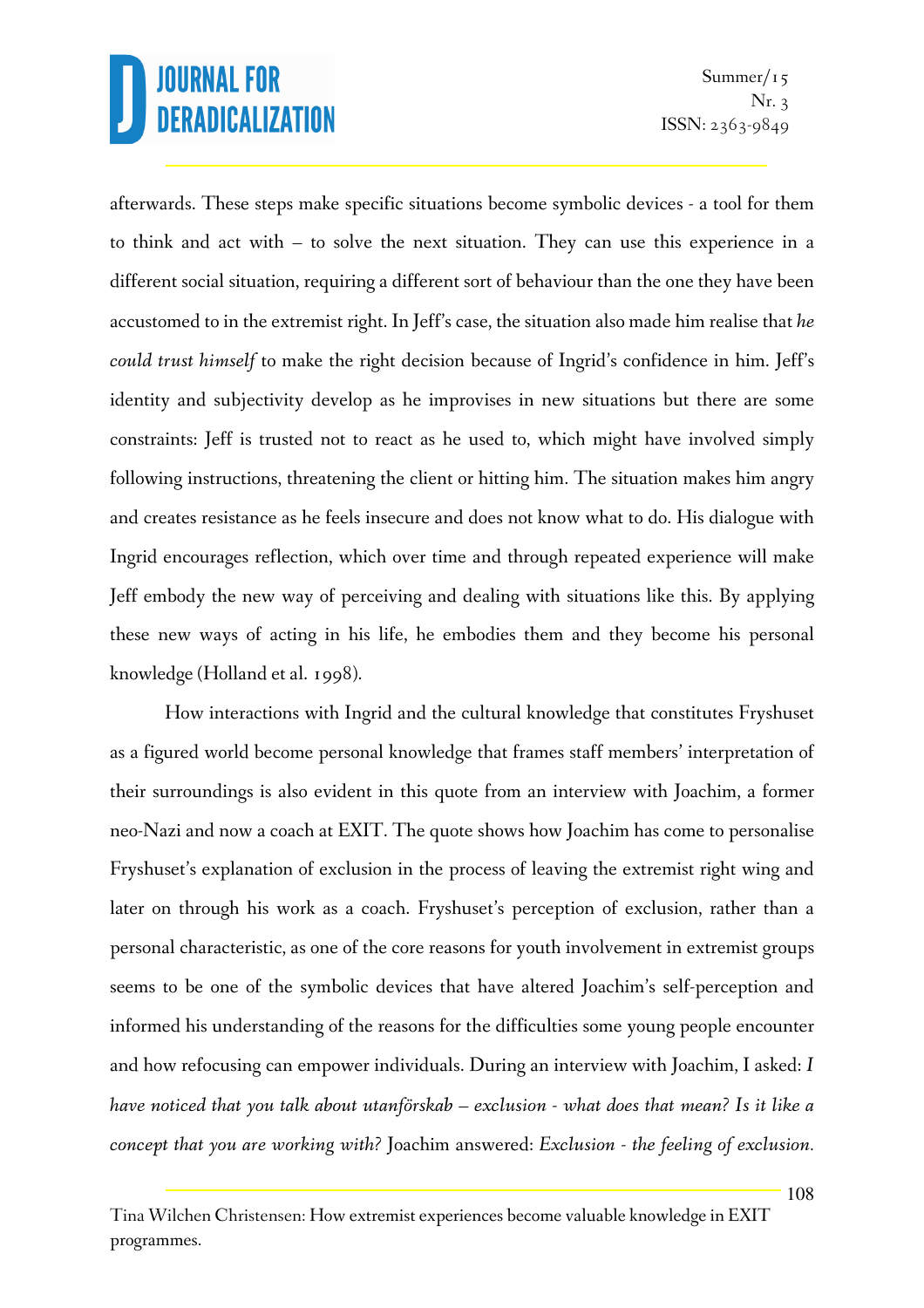afterwards. These steps make specific situations become symbolic devices - a tool for them to think and act with – to solve the next situation. They can use this experience in a different social situation, requiring a different sort of behaviour than the one they have been accustomed to in the extremist right. In Jeff's case, the situation also made him realise that *he could trust himself* to make the right decision because of Ingrid's confidence in him. Jeff's identity and subjectivity develop as he improvises in new situations but there are some constraints: Jeff is trusted not to react as he used to, which might have involved simply following instructions, threatening the client or hitting him. The situation makes him angry and creates resistance as he feels insecure and does not know what to do. His dialogue with Ingrid encourages reflection, which over time and through repeated experience will make Jeff embody the new way of perceiving and dealing with situations like this. By applying these new ways of acting in his life, he embodies them and they become his personal knowledge (Holland et al. 1998).

How interactions with Ingrid and the cultural knowledge that constitutes Fryshuset as a figured world become personal knowledge that frames staff members' interpretation of their surroundings is also evident in this quote from an interview with Joachim, a former neo-Nazi and now a coach at EXIT. The quote shows how Joachim has come to personalise Fryshuset's explanation of exclusion in the process of leaving the extremist right wing and later on through his work as a coach. Fryshuset's perception of exclusion, rather than a personal characteristic, as one of the core reasons for youth involvement in extremist groups seems to be one of the symbolic devices that have altered Joachim's self-perception and informed his understanding of the reasons for the difficulties some young people encounter and how refocusing can empower individuals. During an interview with Joachim, I asked: *I have noticed that you talk about utanförskab – exclusion - what does that mean? Is it like a concept that you are working with?* Joachim answered: *Exclusion - the feeling of exclusion.* 

Tina Wilchen Christensen: How extremist experiences become valuable knowledge in EXIT programmes.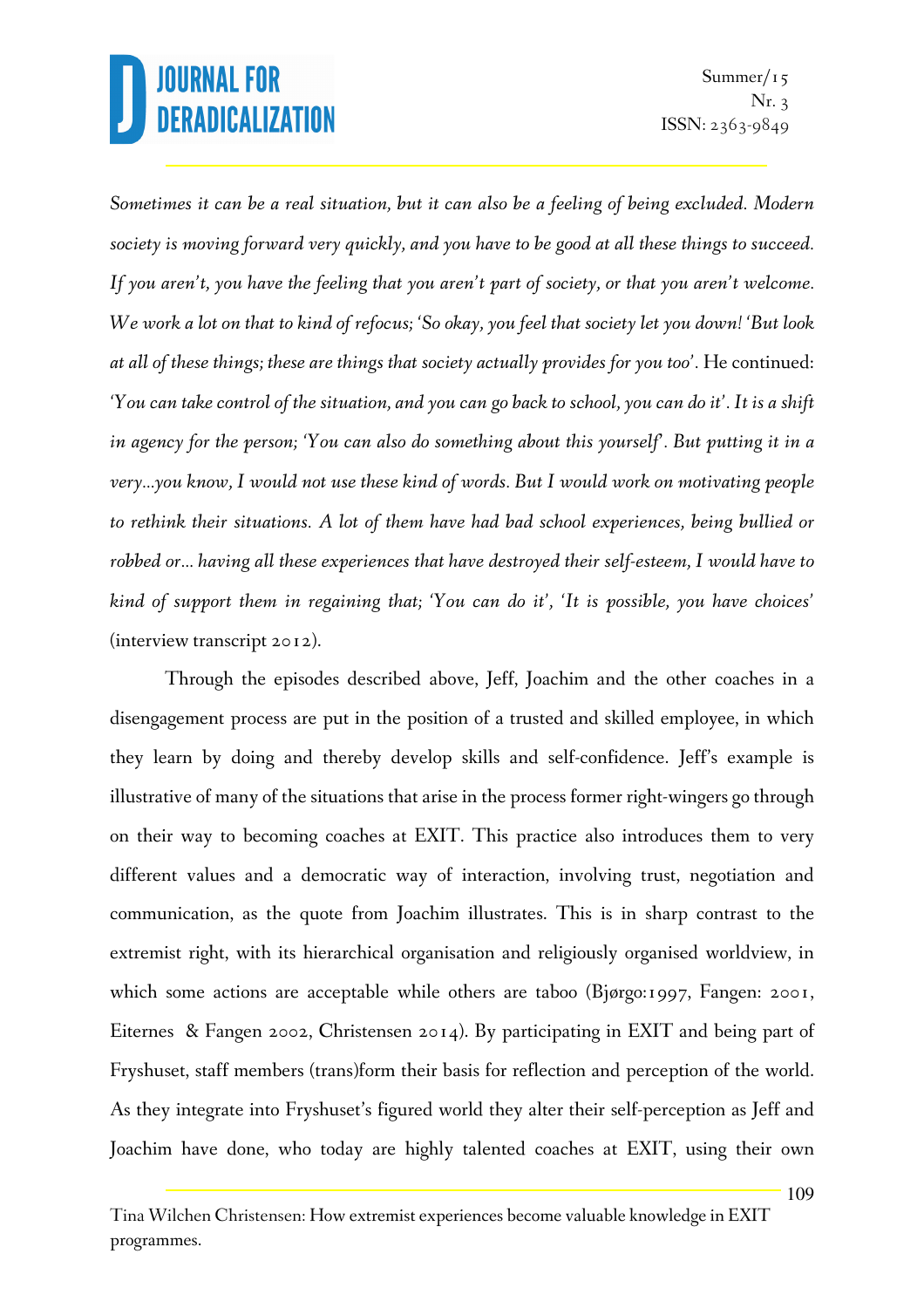*Sometimes it can be a real situation, but it can also be a feeling of being excluded. Modern society is moving forward very quickly, and you have to be good at all these things to succeed. If you aren't, you have the feeling that you aren't part of society, or that you aren't welcome. We work a lot on that to kind of refocus; 'So okay, you feel that society let you down! 'But look at all of these things; these are things that society actually provides for you too'.* He continued: *'You can take control of the situation, and you can go back to school, you can do it'. It is a shift in agency for the person; 'You can also do something about this yourself'. But putting it in a very…you know, I would not use these kind of words. But I would work on motivating people to rethink their situations. A lot of them have had bad school experiences, being bullied or robbed or… having all these experiences that have destroyed their self-esteem, I would have to kind of support them in regaining that; 'You can do it', 'It is possible, you have choices'* (interview transcript 2012).

Through the episodes described above, Jeff, Joachim and the other coaches in a disengagement process are put in the position of a trusted and skilled employee, in which they learn by doing and thereby develop skills and self-confidence. Jeff's example is illustrative of many of the situations that arise in the process former right-wingers go through on their way to becoming coaches at EXIT. This practice also introduces them to very different values and a democratic way of interaction, involving trust, negotiation and communication, as the quote from Joachim illustrates. This is in sharp contrast to the extremist right, with its hierarchical organisation and religiously organised worldview, in which some actions are acceptable while others are taboo (Bjørgo:1997, Fangen: 2001, Eiternes & Fangen 2002, Christensen 2014). By participating in EXIT and being part of Fryshuset, staff members (trans)form their basis for reflection and perception of the world. As they integrate into Fryshuset's figured world they alter their self-perception as Jeff and Joachim have done, who today are highly talented coaches at EXIT, using their own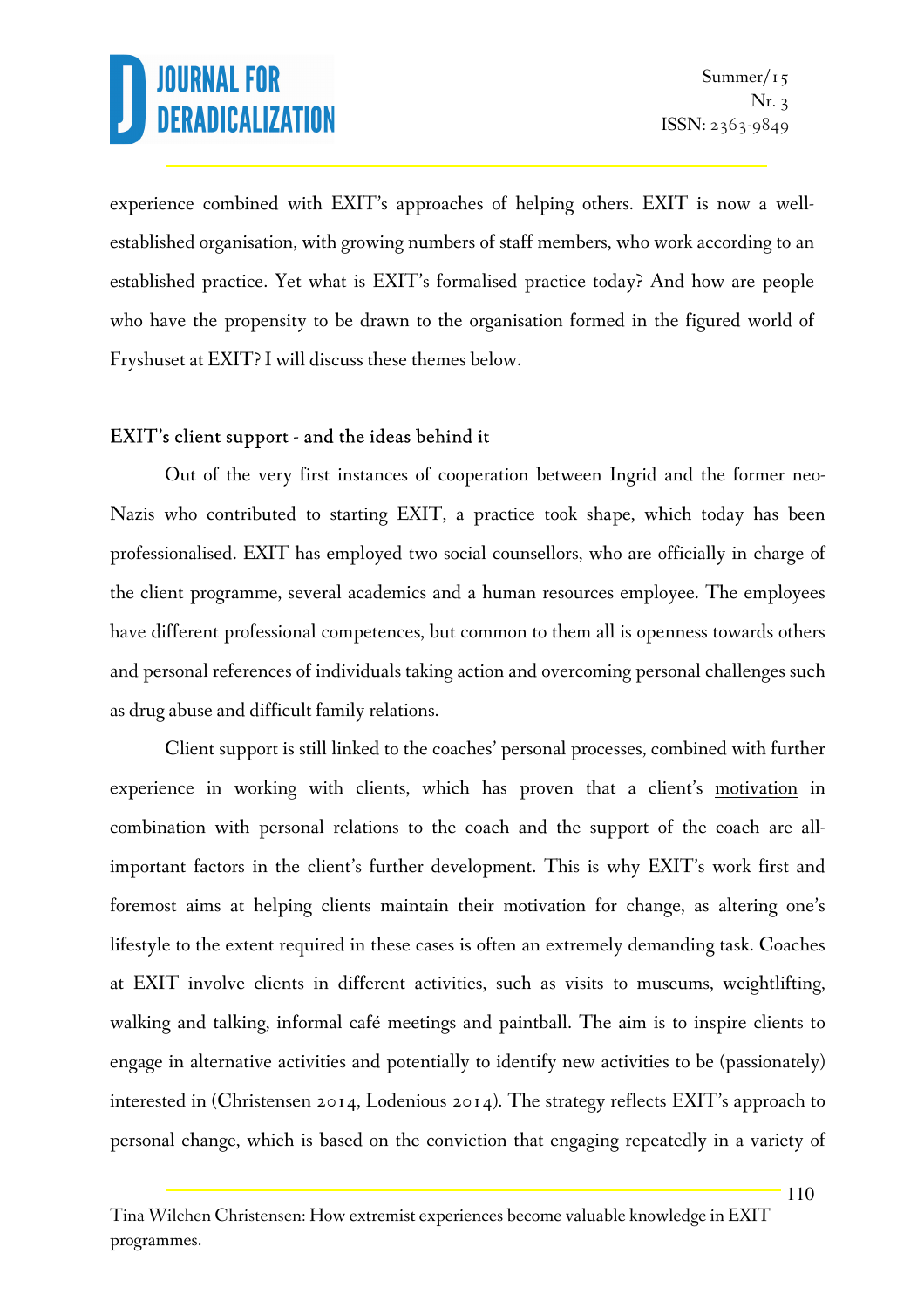experience combined with EXIT's approaches of helping others. EXIT is now a wellestablished organisation, with growing numbers of staff members, who work according to an established practice. Yet what is EXIT's formalised practice today? And how are people who have the propensity to be drawn to the organisation formed in the figured world of Fryshuset at EXIT? I will discuss these themes below.

### EXIT's client support - and the ideas behind it

Out of the very first instances of cooperation between Ingrid and the former neo-Nazis who contributed to starting EXIT, a practice took shape, which today has been professionalised. EXIT has employed two social counsellors, who are officially in charge of the client programme, several academics and a human resources employee. The employees have different professional competences, but common to them all is openness towards others and personal references of individuals taking action and overcoming personal challenges such as drug abuse and difficult family relations.

Client support is still linked to the coaches' personal processes, combined with further experience in working with clients, which has proven that a client's motivation in combination with personal relations to the coach and the support of the coach are allimportant factors in the client's further development. This is why EXIT's work first and foremost aims at helping clients maintain their motivation for change, as altering one's lifestyle to the extent required in these cases is often an extremely demanding task. Coaches at EXIT involve clients in different activities, such as visits to museums, weightlifting, walking and talking, informal café meetings and paintball. The aim is to inspire clients to engage in alternative activities and potentially to identify new activities to be (passionately) interested in (Christensen 2014, Lodenious 2014). The strategy reflects EXIT's approach to personal change, which is based on the conviction that engaging repeatedly in a variety of

Tina Wilchen Christensen: How extremist experiences become valuable knowledge in EXIT programmes.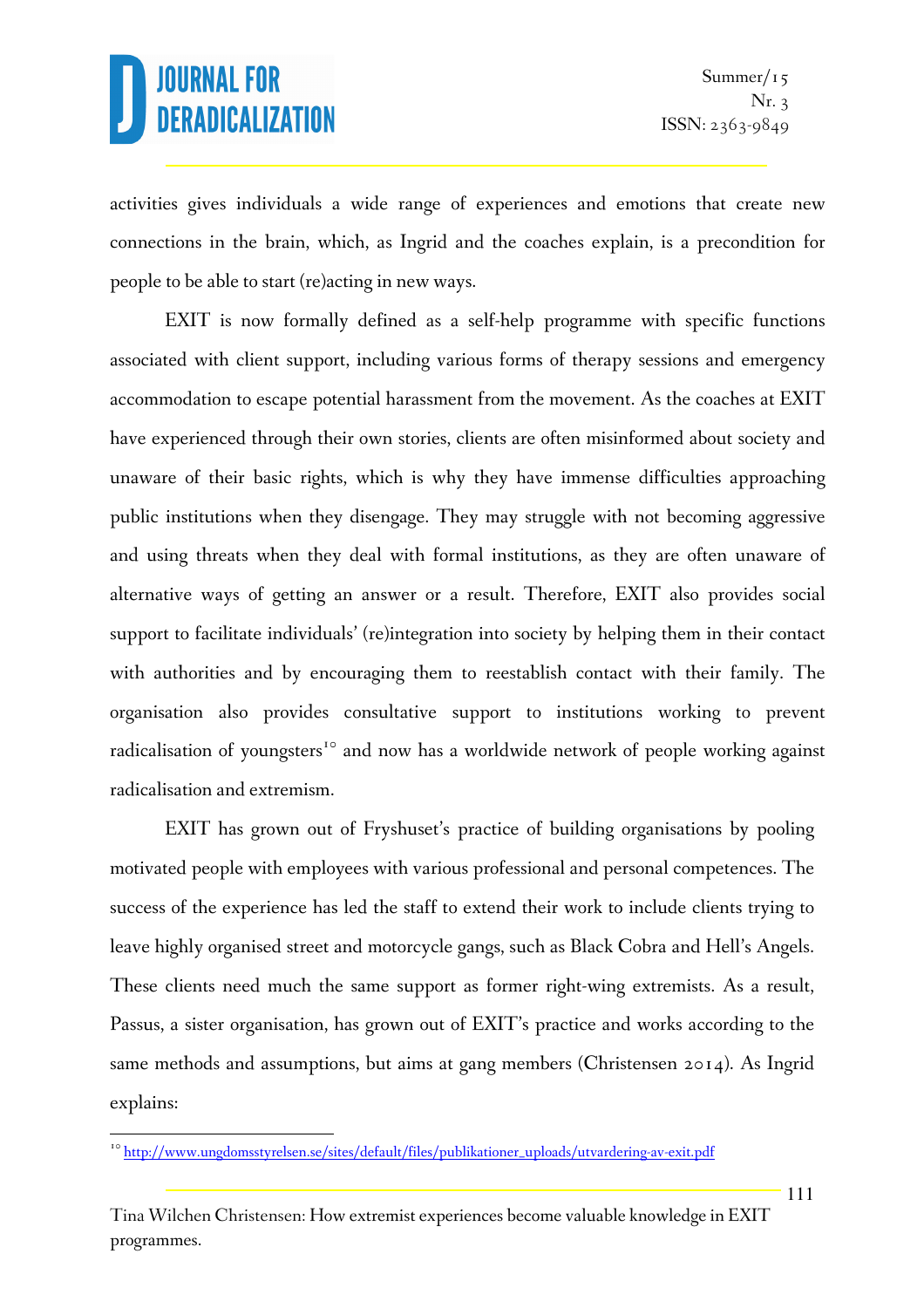activities gives individuals a wide range of experiences and emotions that create new connections in the brain, which, as Ingrid and the coaches explain, is a precondition for people to be able to start (re)acting in new ways.

EXIT is now formally defined as a self-help programme with specific functions associated with client support, including various forms of therapy sessions and emergency accommodation to escape potential harassment from the movement. As the coaches at EXIT have experienced through their own stories, clients are often misinformed about society and unaware of their basic rights, which is why they have immense difficulties approaching public institutions when they disengage. They may struggle with not becoming aggressive and using threats when they deal with formal institutions, as they are often unaware of alternative ways of getting an answer or a result. Therefore, EXIT also provides social support to facilitate individuals' (re)integration into society by helping them in their contact with authorities and by encouraging them to reestablish contact with their family. The organisation also provides consultative support to institutions working to prevent radicalisation of youngsters<sup>10</sup> and now has a worldwide network of people working against radicalisation and extremism.

EXIT has grown out of Fryshuset's practice of building organisations by pooling motivated people with employees with various professional and personal competences. The success of the experience has led the staff to extend their work to include clients trying to leave highly organised street and motorcycle gangs, such as Black Cobra and Hell's Angels. These clients need much the same support as former right-wing extremists. As a result, Passus, a sister organisation, has grown out of EXIT's practice and works according to the same methods and assumptions, but aims at gang members (Christensen 2014). As Ingrid explains:

l.

<sup>&</sup>lt;sup>10</sup> http://www.ungdomsstyrelsen.se/sites/default/files/publikationer\_uploads/utvardering-av-exit.pdf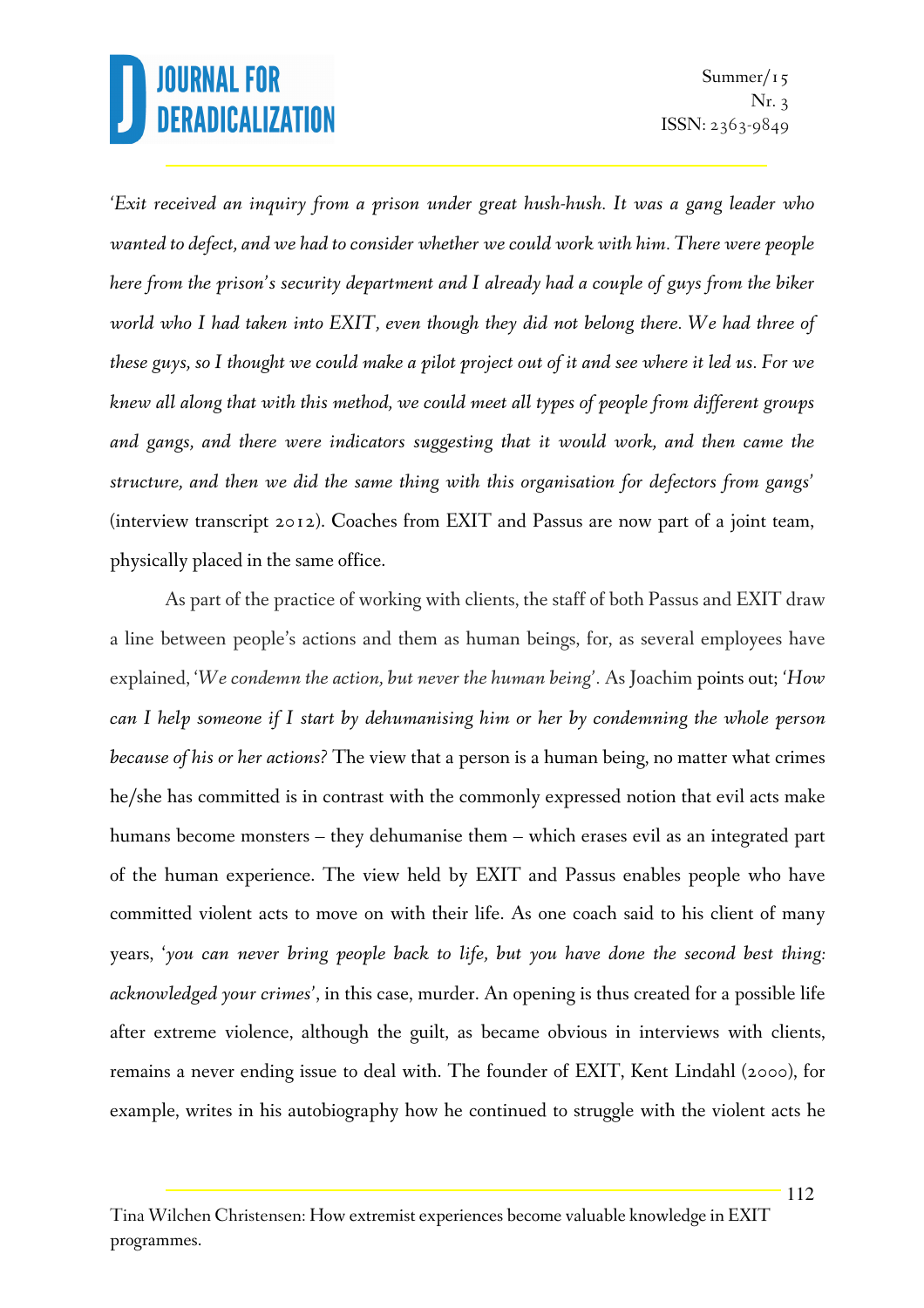*'Exit received an inquiry from a prison under great hush-hush. It was a gang leader who wanted to defect, and we had to consider whether we could work with him. There were people here from the prison's security department and I already had a couple of guys from the biker world who I had taken into EXIT, even though they did not belong there. We had three of these guys, so I thought we could make a pilot project out of it and see where it led us. For we knew all along that with this method, we could meet all types of people from different groups and gangs, and there were indicators suggesting that it would work, and then came the structure, and then we did the same thing with this organisation for defectors from gangs'* (interview transcript 2012). Coaches from EXIT and Passus are now part of a joint team, physically placed in the same office.

As part of the practice of working with clients, the staff of both Passus and EXIT draw a line between people's actions and them as human beings, for, as several employees have explained, '*We condemn the action, but never the human being'.* As Joachim points out; *'How can I help someone if I start by dehumanising him or her by condemning the whole person because of his or her actions?* The view that a person is a human being, no matter what crimes he/she has committed is in contrast with the commonly expressed notion that evil acts make humans become monsters – they dehumanise them – which erases evil as an integrated part of the human experience. The view held by EXIT and Passus enables people who have committed violent acts to move on with their life. As one coach said to his client of many years, '*you can never bring people back to life, but you have done the second best thing: acknowledged your crimes'*, in this case, murder. An opening is thus created for a possible life after extreme violence, although the guilt, as became obvious in interviews with clients, remains a never ending issue to deal with. The founder of EXIT, Kent Lindahl (2000), for example, writes in his autobiography how he continued to struggle with the violent acts he

Tina Wilchen Christensen: How extremist experiences become valuable knowledge in EXIT programmes.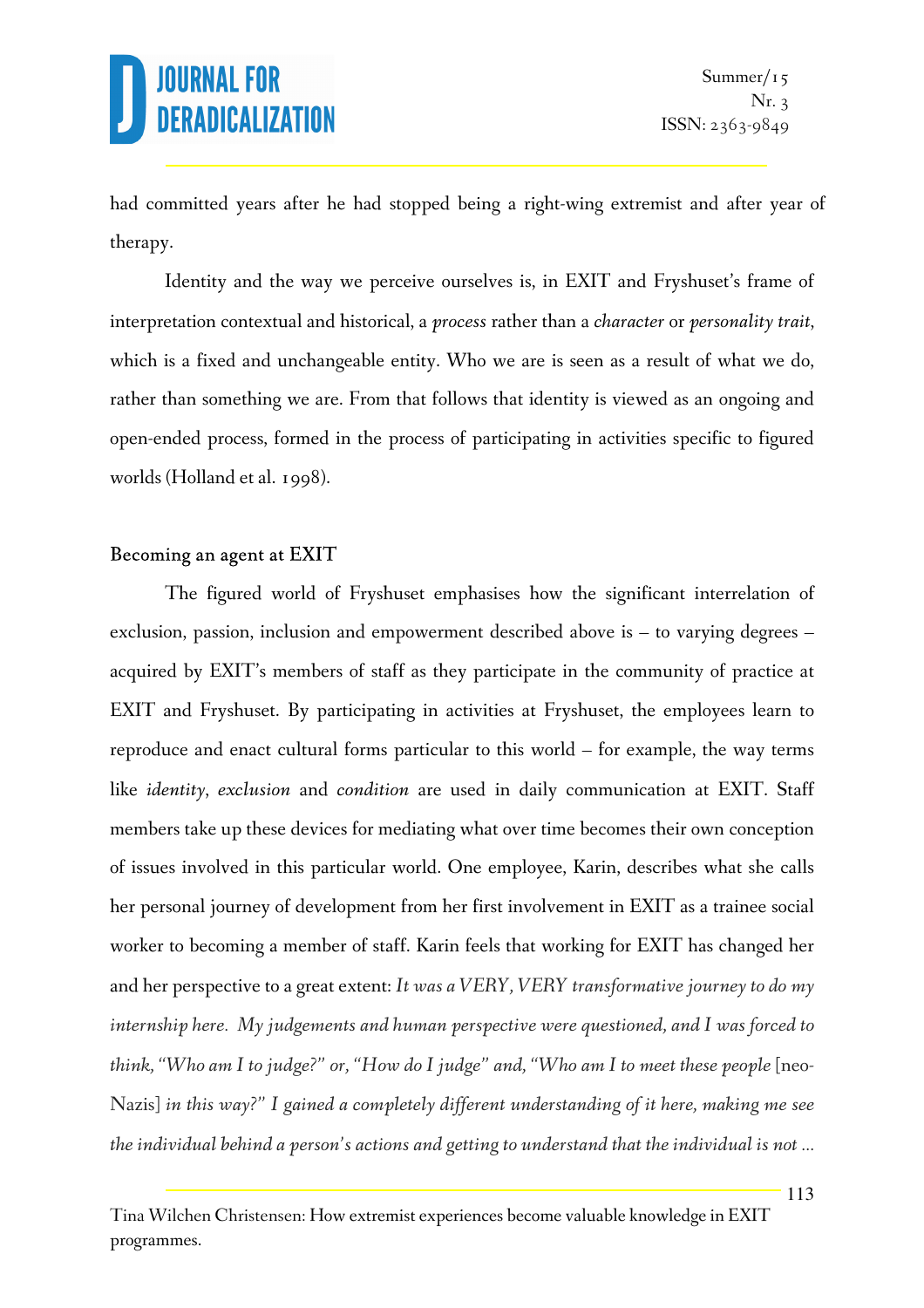had committed years after he had stopped being a right-wing extremist and after year of therapy.

Identity and the way we perceive ourselves is, in EXIT and Fryshuset's frame of interpretation contextual and historical, a *process* rather than a *character* or *personality trait*, which is a fixed and unchangeable entity. Who we are is seen as a result of what we do, rather than something we are. From that follows that identity is viewed as an ongoing and open-ended process, formed in the process of participating in activities specific to figured worlds (Holland et al. 1998).

#### Becoming an agent at EXIT

The figured world of Fryshuset emphasises how the significant interrelation of exclusion, passion, inclusion and empowerment described above is – to varying degrees – acquired by EXIT's members of staff as they participate in the community of practice at EXIT and Fryshuset. By participating in activities at Fryshuset, the employees learn to reproduce and enact cultural forms particular to this world – for example, the way terms like *identity*, *exclusion* and *condition* are used in daily communication at EXIT. Staff members take up these devices for mediating what over time becomes their own conception of issues involved in this particular world. One employee, Karin, describes what she calls her personal journey of development from her first involvement in EXIT as a trainee social worker to becoming a member of staff. Karin feels that working for EXIT has changed her and her perspective to a great extent: *It was a VERY, VERY transformative journey to do my internship here. My judgements and human perspective were questioned, and I was forced to think, "Who am I to judge?" or, "How do I judge" and, "Who am I to meet these people* [neo-Nazis] *in this way?" I gained a completely different understanding of it here, making me see the individual behind a person's actions and getting to understand that the individual is not ...*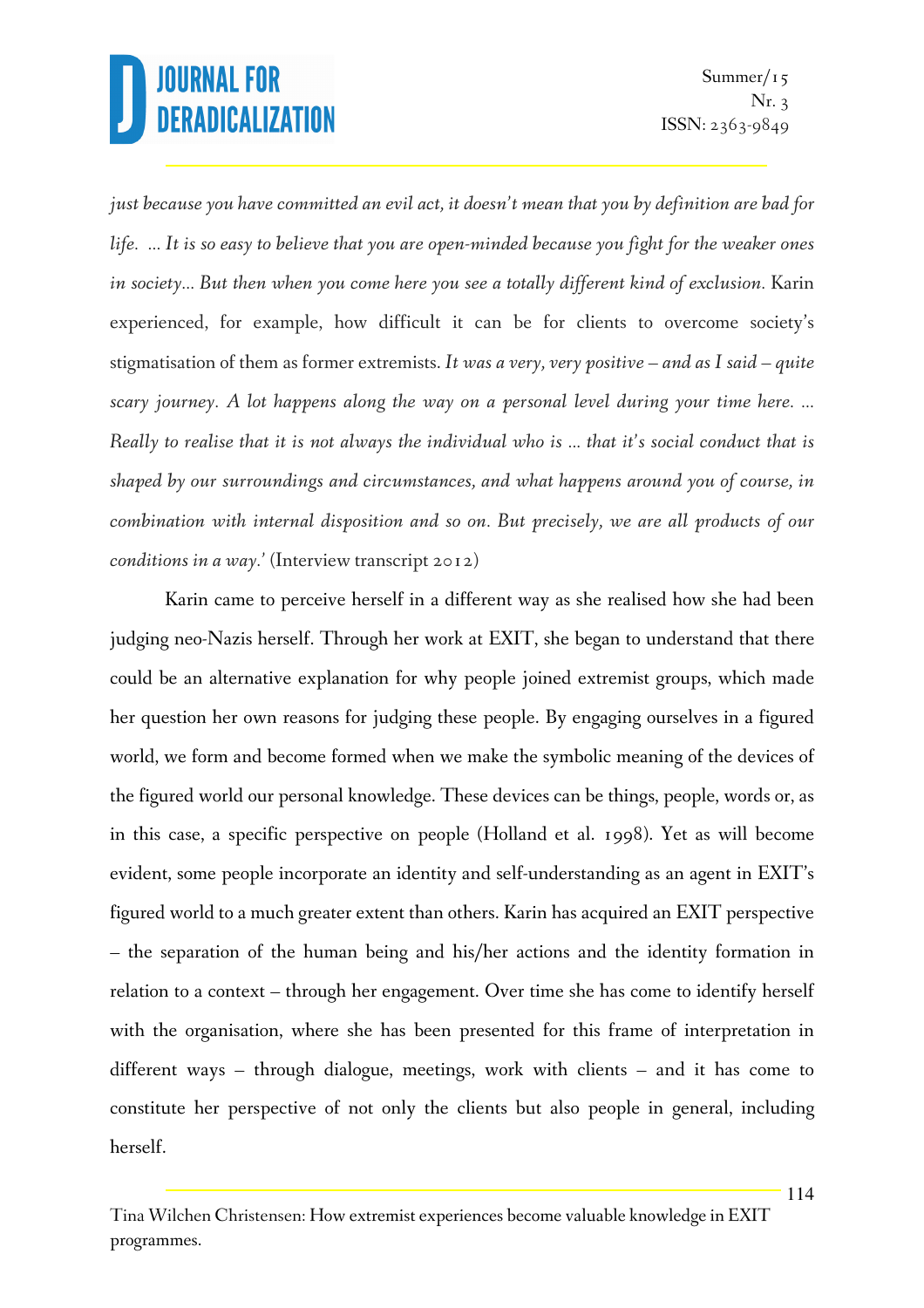*just because you have committed an evil act, it doesn't mean that you by definition are bad for life. ... It is so easy to believe that you are open-minded because you fight for the weaker ones in society... But then when you come here you see a totally different kind of exclusion. Karin* experienced, for example, how difficult it can be for clients to overcome society's stigmatisation of them as former extremists. *It was a very, very positive – and as I said – quite scary journey. A lot happens along the way on a personal level during your time here. ... Really to realise that it is not always the individual who is ... that it's social conduct that is shaped by our surroundings and circumstances, and what happens around you of course, in combination with internal disposition and so on. But precisely, we are all products of our conditions in a way.'* (Interview transcript 2012)

Karin came to perceive herself in a different way as she realised how she had been judging neo-Nazis herself. Through her work at EXIT, she began to understand that there could be an alternative explanation for why people joined extremist groups, which made her question her own reasons for judging these people. By engaging ourselves in a figured world, we form and become formed when we make the symbolic meaning of the devices of the figured world our personal knowledge. These devices can be things, people, words or, as in this case, a specific perspective on people (Holland et al. 1998). Yet as will become evident, some people incorporate an identity and self-understanding as an agent in EXIT's figured world to a much greater extent than others. Karin has acquired an EXIT perspective – the separation of the human being and his/her actions and the identity formation in relation to a context – through her engagement. Over time she has come to identify herself with the organisation, where she has been presented for this frame of interpretation in different ways – through dialogue, meetings, work with clients – and it has come to constitute her perspective of not only the clients but also people in general, including herself.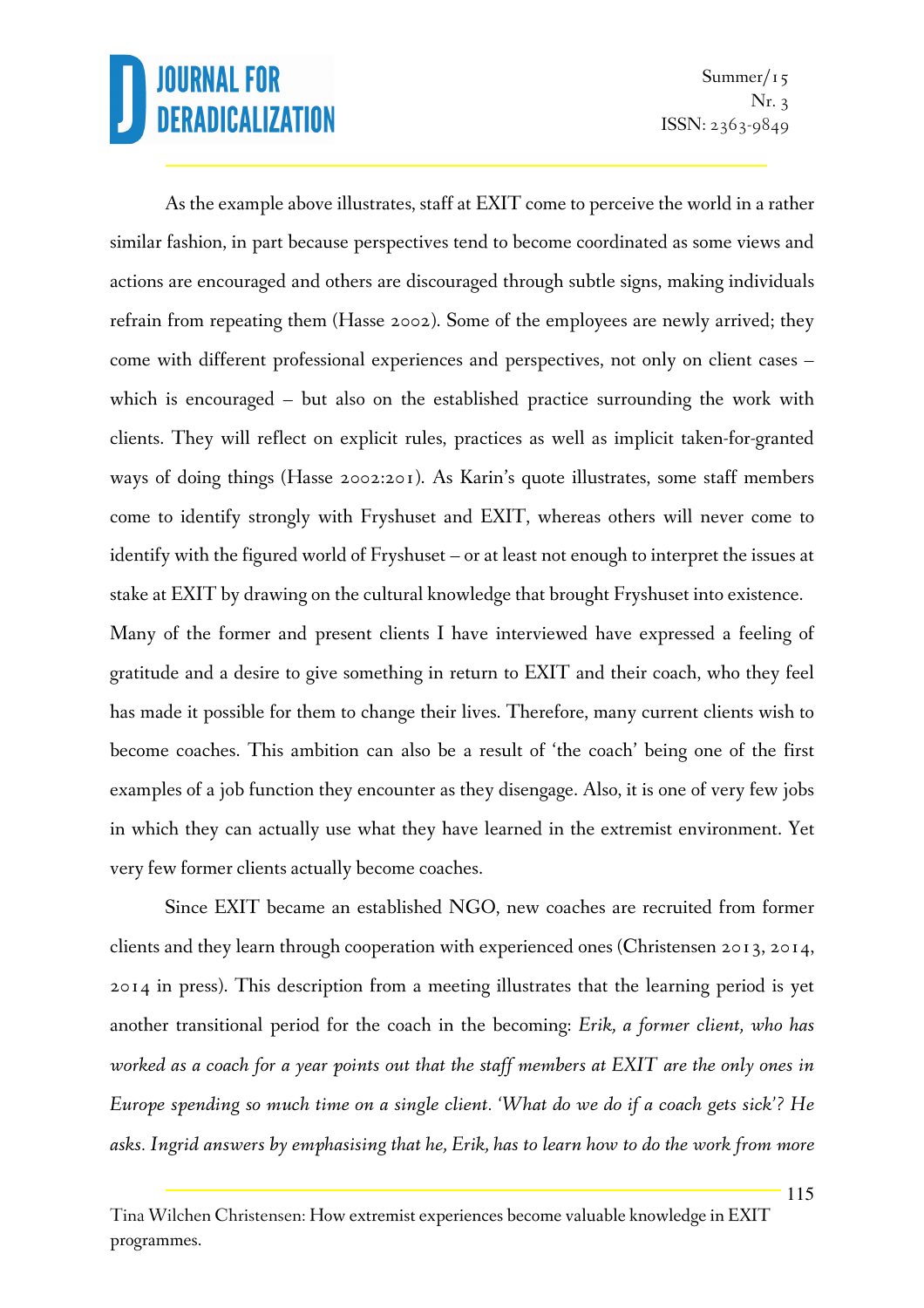As the example above illustrates, staff at EXIT come to perceive the world in a rather similar fashion, in part because perspectives tend to become coordinated as some views and actions are encouraged and others are discouraged through subtle signs, making individuals refrain from repeating them (Hasse 2002). Some of the employees are newly arrived; they come with different professional experiences and perspectives, not only on client cases – which is encouraged – but also on the established practice surrounding the work with clients. They will reflect on explicit rules, practices as well as implicit taken-for-granted ways of doing things (Hasse 2002:201). As Karin's quote illustrates, some staff members come to identify strongly with Fryshuset and EXIT, whereas others will never come to identify with the figured world of Fryshuset – or at least not enough to interpret the issues at stake at EXIT by drawing on the cultural knowledge that brought Fryshuset into existence.

Many of the former and present clients I have interviewed have expressed a feeling of gratitude and a desire to give something in return to EXIT and their coach, who they feel has made it possible for them to change their lives. Therefore, many current clients wish to become coaches. This ambition can also be a result of 'the coach' being one of the first examples of a job function they encounter as they disengage. Also, it is one of very few jobs in which they can actually use what they have learned in the extremist environment. Yet very few former clients actually become coaches.

Since EXIT became an established NGO, new coaches are recruited from former clients and they learn through cooperation with experienced ones (Christensen 2013, 2014, 2014 in press). This description from a meeting illustrates that the learning period is yet another transitional period for the coach in the becoming: *Erik, a former client, who has worked as a coach for a year points out that the staff members at EXIT are the only ones in Europe spending so much time on a single client. 'What do we do if a coach gets sick'? He asks. Ingrid answers by emphasising that he, Erik, has to learn how to do the work from more* 

Tina Wilchen Christensen: How extremist experiences become valuable knowledge in EXIT programmes.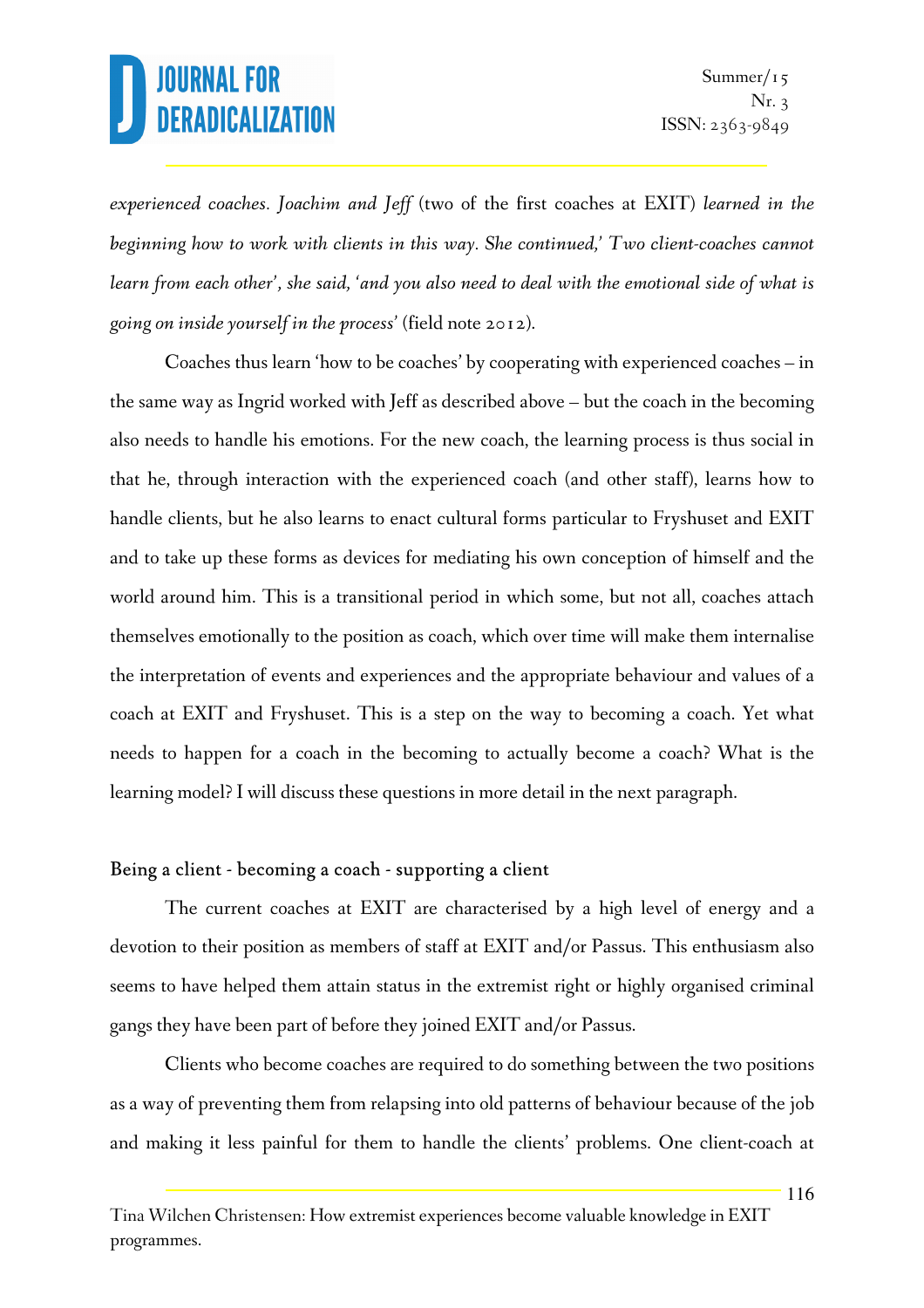*experienced coaches. Joachim and Jeff* (two of the first coaches at EXIT) *learned in the beginning how to work with clients in this way. She continued,' Two client-coaches cannot learn from each other', she said, 'and you also need to deal with the emotional side of what is going on inside yourself in the process'* (field note 2012).

Coaches thus learn 'how to be coaches' by cooperating with experienced coaches – in the same way as Ingrid worked with Jeff as described above – but the coach in the becoming also needs to handle his emotions. For the new coach, the learning process is thus social in that he, through interaction with the experienced coach (and other staff), learns how to handle clients, but he also learns to enact cultural forms particular to Fryshuset and EXIT and to take up these forms as devices for mediating his own conception of himself and the world around him. This is a transitional period in which some, but not all, coaches attach themselves emotionally to the position as coach, which over time will make them internalise the interpretation of events and experiences and the appropriate behaviour and values of a coach at EXIT and Fryshuset. This is a step on the way to becoming a coach. Yet what needs to happen for a coach in the becoming to actually become a coach? What is the learning model? I will discuss these questions in more detail in the next paragraph.

### Being a client - becoming a coach - supporting a client

The current coaches at EXIT are characterised by a high level of energy and a devotion to their position as members of staff at EXIT and/or Passus. This enthusiasm also seems to have helped them attain status in the extremist right or highly organised criminal gangs they have been part of before they joined EXIT and/or Passus.

Clients who become coaches are required to do something between the two positions as a way of preventing them from relapsing into old patterns of behaviour because of the job and making it less painful for them to handle the clients' problems. One client-coach at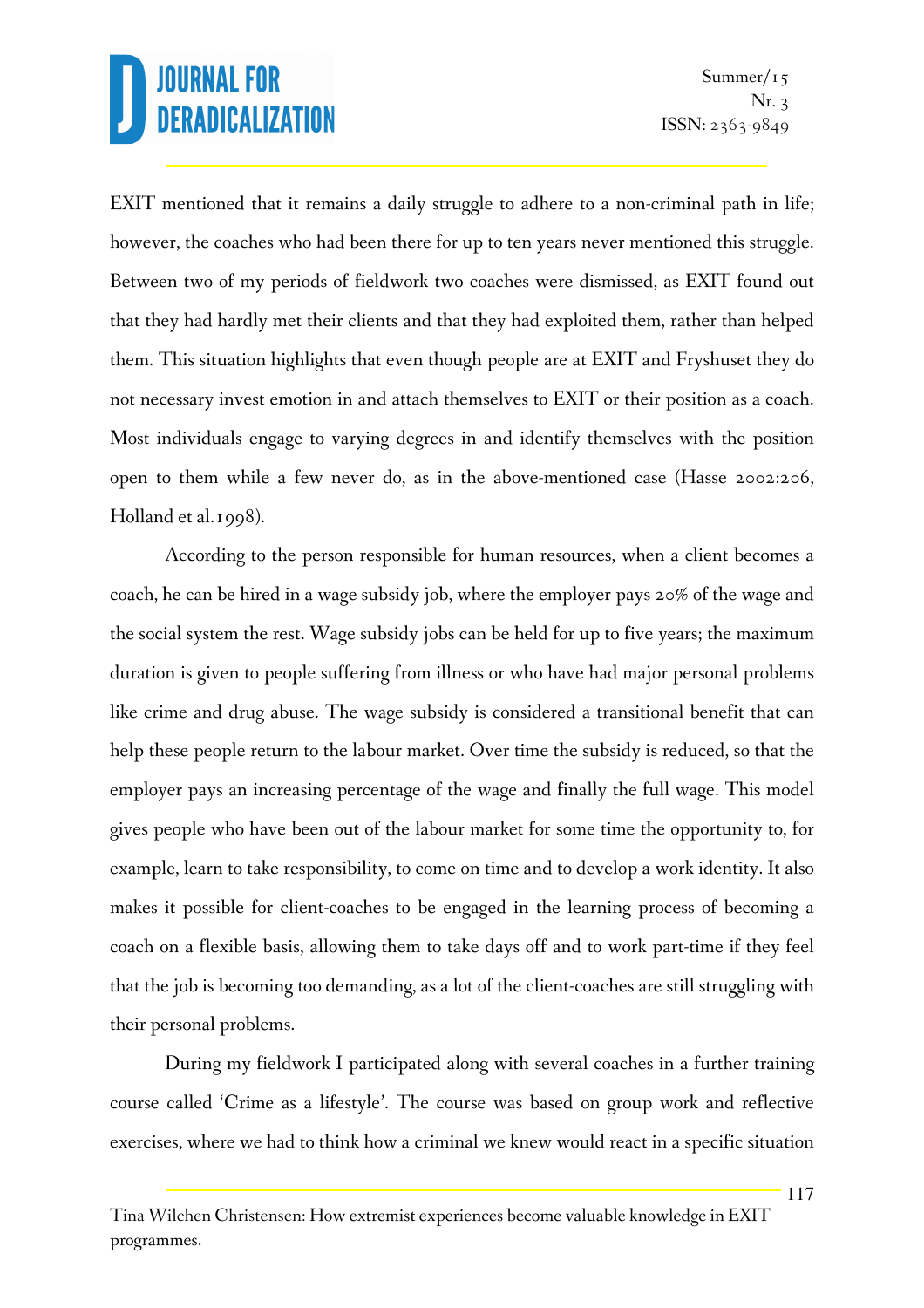EXIT mentioned that it remains a daily struggle to adhere to a non-criminal path in life; however, the coaches who had been there for up to ten years never mentioned this struggle. Between two of my periods of fieldwork two coaches were dismissed, as EXIT found out that they had hardly met their clients and that they had exploited them, rather than helped them. This situation highlights that even though people are at EXIT and Fryshuset they do not necessary invest emotion in and attach themselves to EXIT or their position as a coach. Most individuals engage to varying degrees in and identify themselves with the position open to them while a few never do, as in the above-mentioned case (Hasse 2002:206, Holland et al.1998).

According to the person responsible for human resources, when a client becomes a coach, he can be hired in a wage subsidy job, where the employer pays 20% of the wage and the social system the rest. Wage subsidy jobs can be held for up to five years; the maximum duration is given to people suffering from illness or who have had major personal problems like crime and drug abuse. The wage subsidy is considered a transitional benefit that can help these people return to the labour market. Over time the subsidy is reduced, so that the employer pays an increasing percentage of the wage and finally the full wage. This model gives people who have been out of the labour market for some time the opportunity to, for example, learn to take responsibility, to come on time and to develop a work identity. It also makes it possible for client-coaches to be engaged in the learning process of becoming a coach on a flexible basis, allowing them to take days off and to work part-time if they feel that the job is becoming too demanding, as a lot of the client-coaches are still struggling with their personal problems.

During my fieldwork I participated along with several coaches in a further training course called 'Crime as a lifestyle'. The course was based on group work and reflective exercises, where we had to think how a criminal we knew would react in a specific situation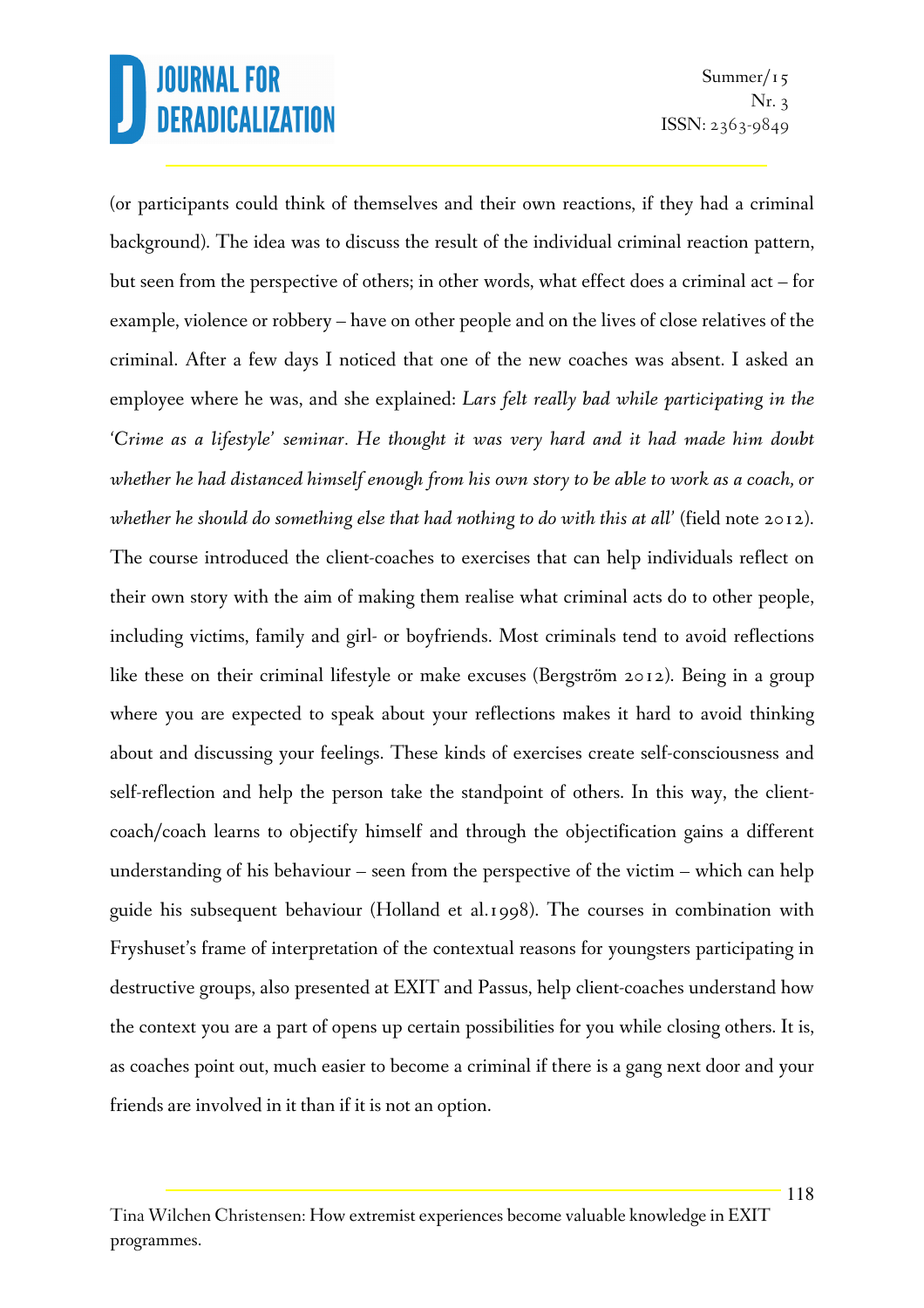Summer/ $15$ Nr. 3 ISSN: 2363-9849

(or participants could think of themselves and their own reactions, if they had a criminal background). The idea was to discuss the result of the individual criminal reaction pattern, but seen from the perspective of others; in other words, what effect does a criminal act – for example, violence or robbery – have on other people and on the lives of close relatives of the criminal. After a few days I noticed that one of the new coaches was absent. I asked an employee where he was, and she explained: *Lars felt really bad while participating in the 'Crime as a lifestyle' seminar. He thought it was very hard and it had made him doubt whether he had distanced himself enough from his own story to be able to work as a coach, or whether he should do something else that had nothing to do with this at all'* (field note 2012). The course introduced the client-coaches to exercises that can help individuals reflect on their own story with the aim of making them realise what criminal acts do to other people, including victims, family and girl- or boyfriends. Most criminals tend to avoid reflections like these on their criminal lifestyle or make excuses (Bergström 2012). Being in a group where you are expected to speak about your reflections makes it hard to avoid thinking about and discussing your feelings. These kinds of exercises create self-consciousness and self-reflection and help the person take the standpoint of others. In this way, the clientcoach/coach learns to objectify himself and through the objectification gains a different understanding of his behaviour – seen from the perspective of the victim – which can help guide his subsequent behaviour (Holland et al.1998). The courses in combination with Fryshuset's frame of interpretation of the contextual reasons for youngsters participating in destructive groups, also presented at EXIT and Passus, help client-coaches understand how the context you are a part of opens up certain possibilities for you while closing others. It is, as coaches point out, much easier to become a criminal if there is a gang next door and your friends are involved in it than if it is not an option.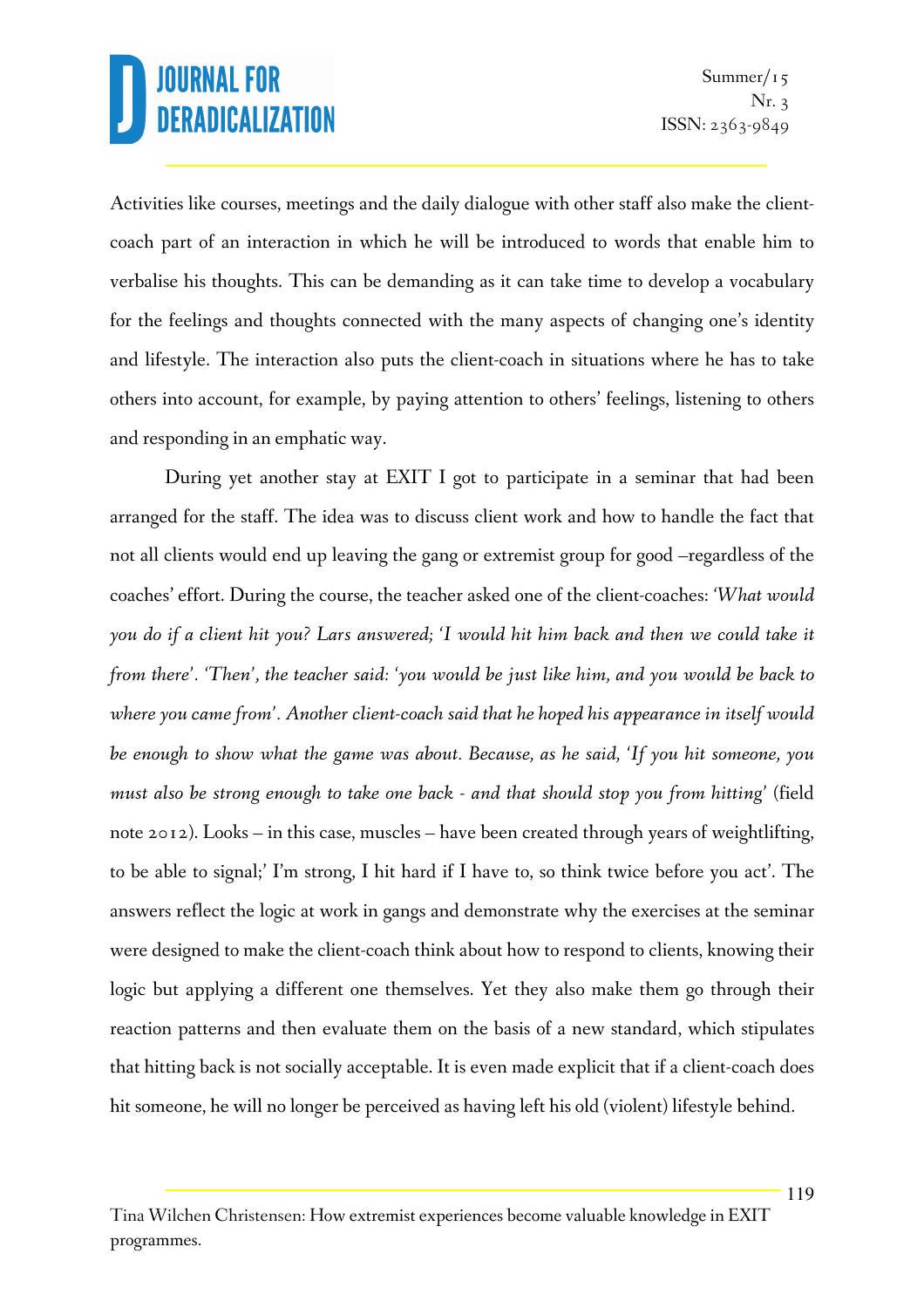Activities like courses, meetings and the daily dialogue with other staff also make the clientcoach part of an interaction in which he will be introduced to words that enable him to verbalise his thoughts. This can be demanding as it can take time to develop a vocabulary for the feelings and thoughts connected with the many aspects of changing one's identity and lifestyle. The interaction also puts the client-coach in situations where he has to take others into account, for example, by paying attention to others' feelings, listening to others and responding in an emphatic way.

During yet another stay at EXIT I got to participate in a seminar that had been arranged for the staff. The idea was to discuss client work and how to handle the fact that not all clients would end up leaving the gang or extremist group for good –regardless of the coaches' effort. During the course, the teacher asked one of the client-coaches: *'What would you do if a client hit you? Lars answered; 'I would hit him back and then we could take it from there'. 'Then', the teacher said: 'you would be just like him, and you would be back to where you came from'. Another client-coach said that he hoped his appearance in itself would be enough to show what the game was about. Because, as he said, 'If you hit someone, you must also be strong enough to take one back - and that should stop you from hitting'* (field note 2012). Looks – in this case, muscles – have been created through years of weightlifting, to be able to signal;' I'm strong, I hit hard if I have to, so think twice before you act'. The answers reflect the logic at work in gangs and demonstrate why the exercises at the seminar were designed to make the client-coach think about how to respond to clients, knowing their logic but applying a different one themselves. Yet they also make them go through their reaction patterns and then evaluate them on the basis of a new standard, which stipulates that hitting back is not socially acceptable. It is even made explicit that if a client-coach does hit someone, he will no longer be perceived as having left his old (violent) lifestyle behind.

Tina Wilchen Christensen: How extremist experiences become valuable knowledge in EXIT programmes.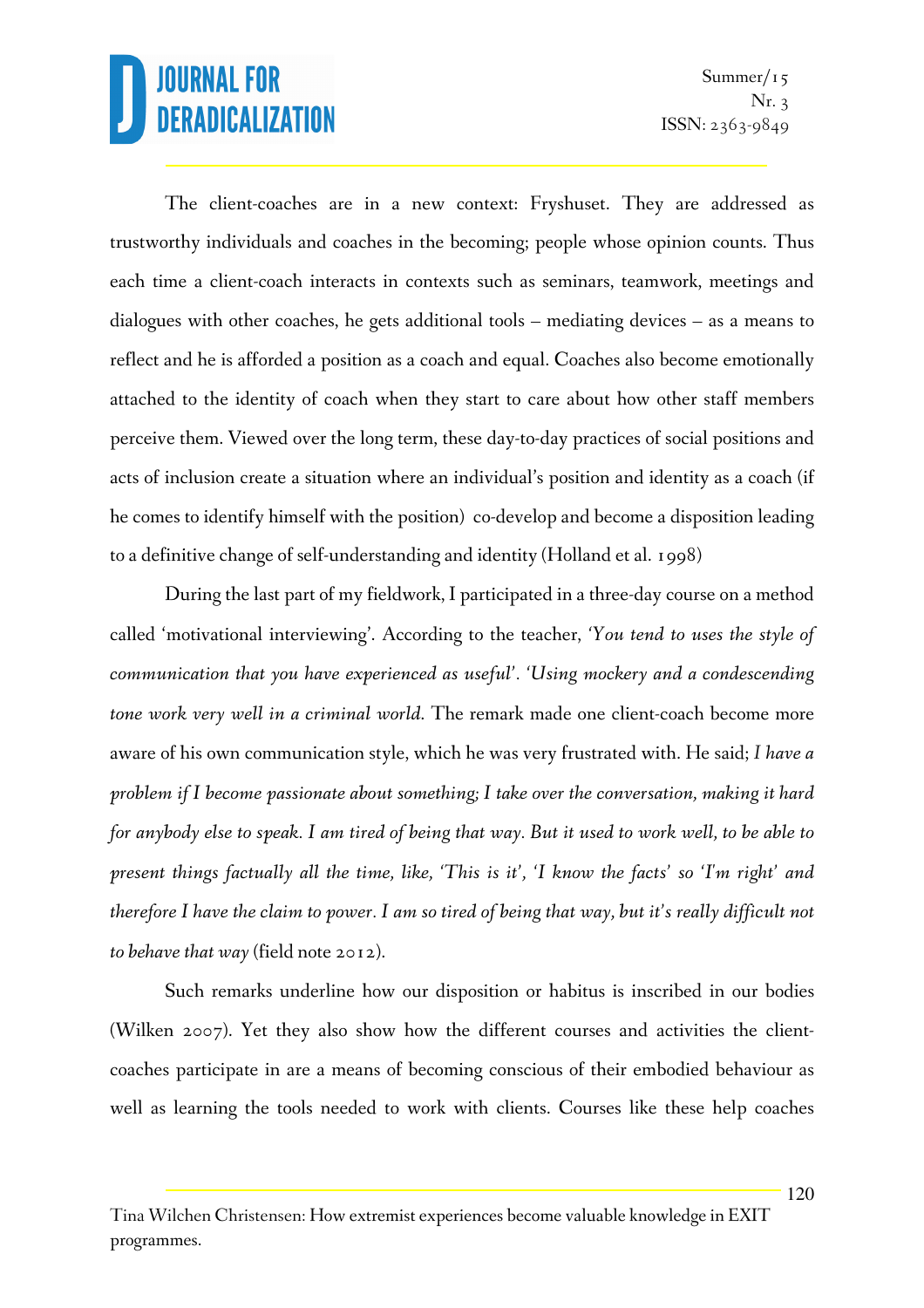The client-coaches are in a new context: Fryshuset. They are addressed as trustworthy individuals and coaches in the becoming; people whose opinion counts. Thus each time a client-coach interacts in contexts such as seminars, teamwork, meetings and dialogues with other coaches, he gets additional tools – mediating devices – as a means to reflect and he is afforded a position as a coach and equal. Coaches also become emotionally attached to the identity of coach when they start to care about how other staff members perceive them. Viewed over the long term, these day-to-day practices of social positions and acts of inclusion create a situation where an individual's position and identity as a coach (if he comes to identify himself with the position) co-develop and become a disposition leading to a definitive change of self-understanding and identity (Holland et al. 1998)

During the last part of my fieldwork, I participated in a three-day course on a method called 'motivational interviewing'. According to the teacher, *'You tend to uses the style of communication that you have experienced as useful'. 'Using mockery and a condescending tone work very well in a criminal world*. The remark made one client-coach become more aware of his own communication style, which he was very frustrated with. He said; *I have a problem if I become passionate about something; I take over the conversation, making it hard for anybody else to speak. I am tired of being that way. But it used to work well, to be able to present things factually all the time, like, 'This is it', 'I know the facts' so 'I'm right' and therefore I have the claim to power. I am so tired of being that way, but it's really difficult not to behave that way* (field note 2012).

Such remarks underline how our disposition or habitus is inscribed in our bodies (Wilken 2007). Yet they also show how the different courses and activities the clientcoaches participate in are a means of becoming conscious of their embodied behaviour as well as learning the tools needed to work with clients. Courses like these help coaches

Tina Wilchen Christensen: How extremist experiences become valuable knowledge in EXIT programmes.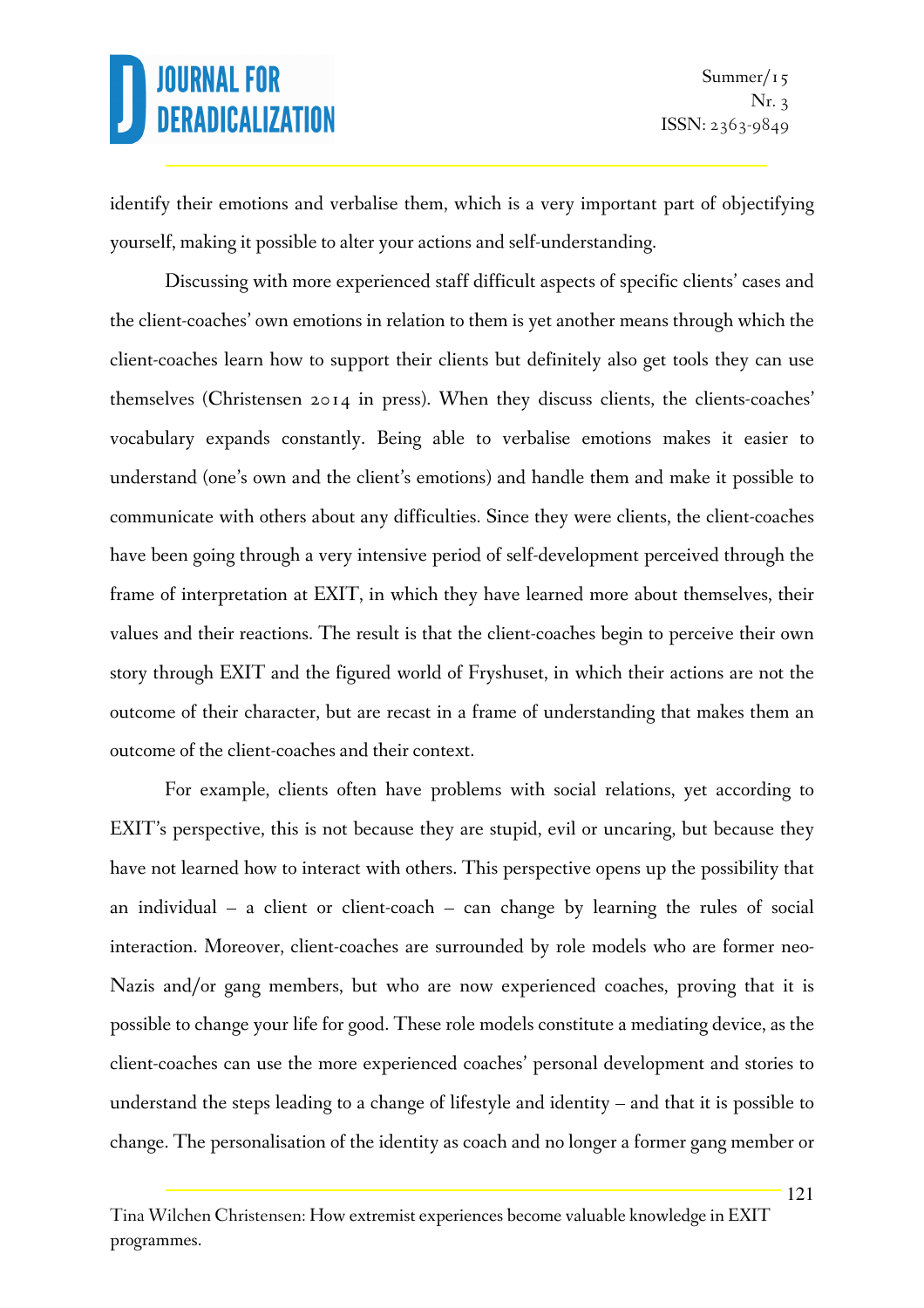identify their emotions and verbalise them, which is a very important part of objectifying yourself, making it possible to alter your actions and self-understanding.

Discussing with more experienced staff difficult aspects of specific clients' cases and the client-coaches' own emotions in relation to them is yet another means through which the client-coaches learn how to support their clients but definitely also get tools they can use themselves (Christensen 2014 in press). When they discuss clients, the clients-coaches' vocabulary expands constantly. Being able to verbalise emotions makes it easier to understand (one's own and the client's emotions) and handle them and make it possible to communicate with others about any difficulties. Since they were clients, the client-coaches have been going through a very intensive period of self-development perceived through the frame of interpretation at EXIT, in which they have learned more about themselves, their values and their reactions. The result is that the client-coaches begin to perceive their own story through EXIT and the figured world of Fryshuset, in which their actions are not the outcome of their character, but are recast in a frame of understanding that makes them an outcome of the client-coaches and their context.

For example, clients often have problems with social relations, yet according to EXIT's perspective, this is not because they are stupid, evil or uncaring, but because they have not learned how to interact with others. This perspective opens up the possibility that an individual – a client or client-coach – can change by learning the rules of social interaction. Moreover, client-coaches are surrounded by role models who are former neo-Nazis and/or gang members, but who are now experienced coaches, proving that it is possible to change your life for good. These role models constitute a mediating device, as the client-coaches can use the more experienced coaches' personal development and stories to understand the steps leading to a change of lifestyle and identity – and that it is possible to change. The personalisation of the identity as coach and no longer a former gang member or

Tina Wilchen Christensen: How extremist experiences become valuable knowledge in EXIT programmes.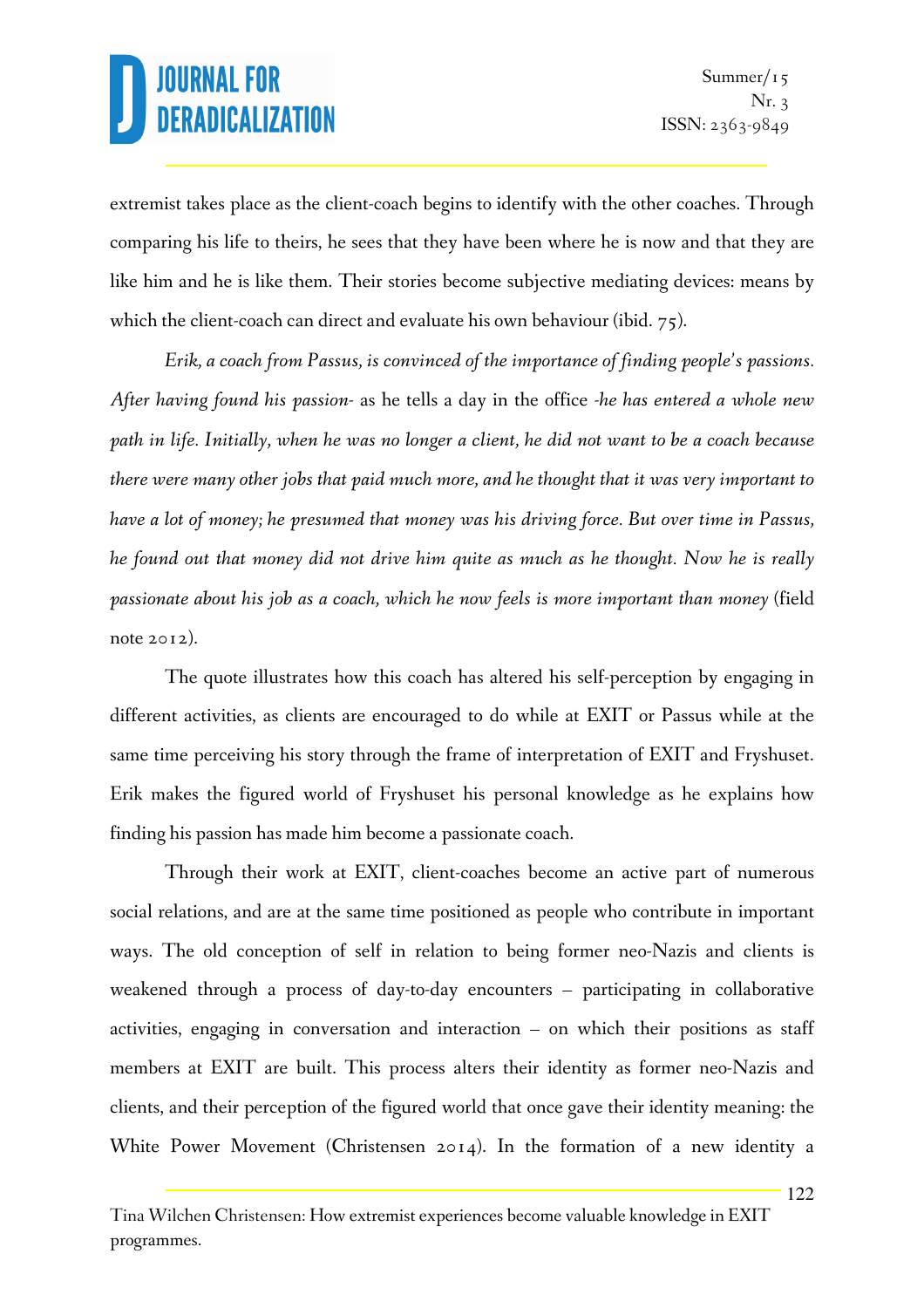extremist takes place as the client-coach begins to identify with the other coaches. Through comparing his life to theirs, he sees that they have been where he is now and that they are like him and he is like them. Their stories become subjective mediating devices: means by which the client-coach can direct and evaluate his own behaviour (ibid. 75).

*Erik, a coach from Passus, is convinced of the importance of finding people's passions. After having found his passion-* as he tells a day in the office *-he has entered a whole new path in life. Initially, when he was no longer a client, he did not want to be a coach because there were many other jobs that paid much more, and he thought that it was very important to have a lot of money; he presumed that money was his driving force. But over time in Passus, he found out that money did not drive him quite as much as he thought. Now he is really passionate about his job as a coach, which he now feels is more important than money* (field note 2012).

The quote illustrates how this coach has altered his self-perception by engaging in different activities, as clients are encouraged to do while at EXIT or Passus while at the same time perceiving his story through the frame of interpretation of EXIT and Fryshuset. Erik makes the figured world of Fryshuset his personal knowledge as he explains how finding his passion has made him become a passionate coach.

Through their work at EXIT, client-coaches become an active part of numerous social relations, and are at the same time positioned as people who contribute in important ways. The old conception of self in relation to being former neo-Nazis and clients is weakened through a process of day-to-day encounters – participating in collaborative activities, engaging in conversation and interaction – on which their positions as staff members at EXIT are built. This process alters their identity as former neo-Nazis and clients, and their perception of the figured world that once gave their identity meaning: the White Power Movement (Christensen 2014). In the formation of a new identity a

Tina Wilchen Christensen: How extremist experiences become valuable knowledge in EXIT programmes.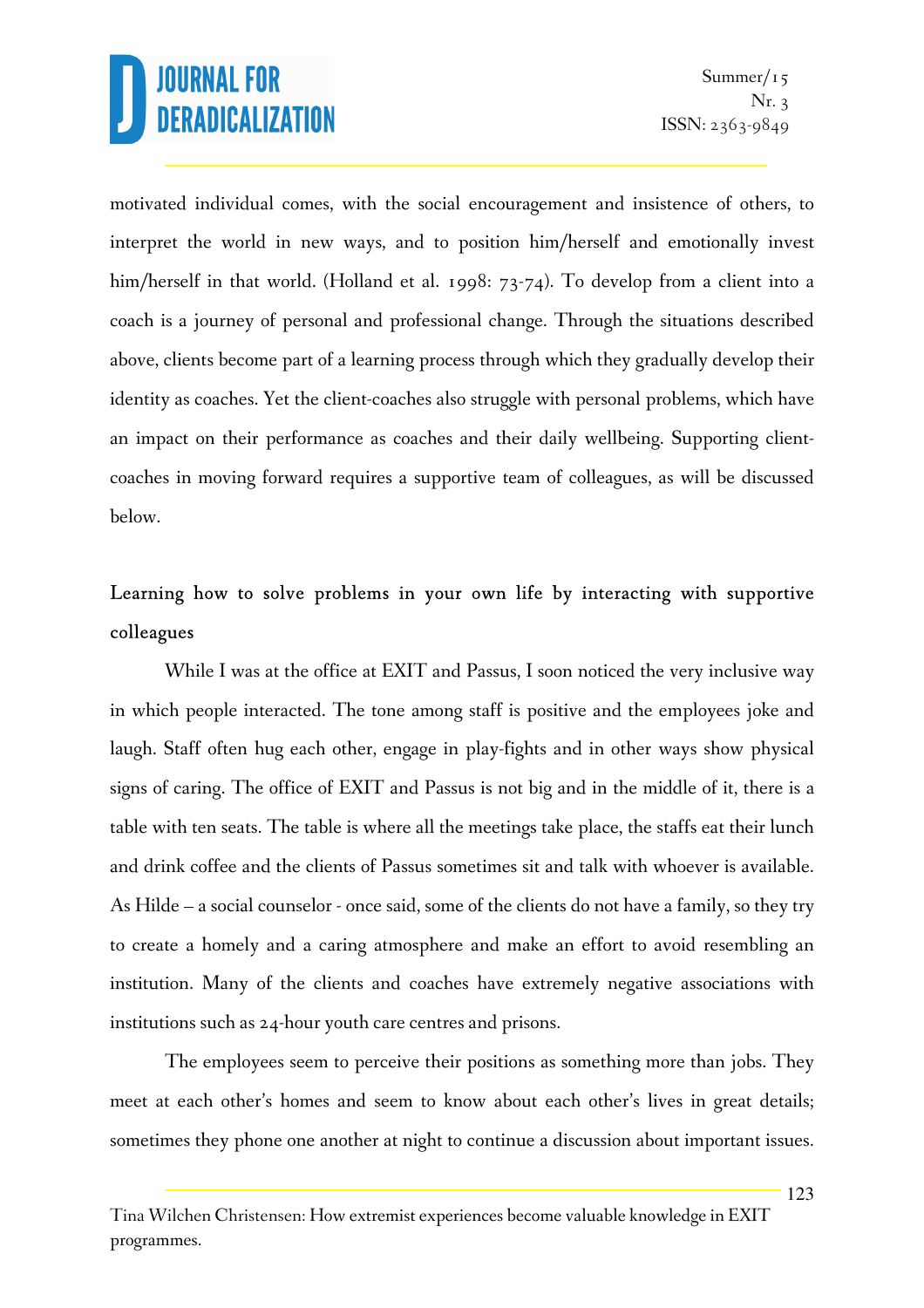motivated individual comes, with the social encouragement and insistence of others, to interpret the world in new ways, and to position him/herself and emotionally invest him/herself in that world. (Holland et al. 1998: 73-74). To develop from a client into a coach is a journey of personal and professional change. Through the situations described above, clients become part of a learning process through which they gradually develop their identity as coaches. Yet the client-coaches also struggle with personal problems, which have an impact on their performance as coaches and their daily wellbeing. Supporting clientcoaches in moving forward requires a supportive team of colleagues, as will be discussed below.

### Learning how to solve problems in your own life by interacting with supportive colleagues

While I was at the office at EXIT and Passus, I soon noticed the very inclusive way in which people interacted. The tone among staff is positive and the employees joke and laugh. Staff often hug each other, engage in play-fights and in other ways show physical signs of caring. The office of EXIT and Passus is not big and in the middle of it, there is a table with ten seats. The table is where all the meetings take place, the staffs eat their lunch and drink coffee and the clients of Passus sometimes sit and talk with whoever is available. As Hilde – a social counselor - once said, some of the clients do not have a family, so they try to create a homely and a caring atmosphere and make an effort to avoid resembling an institution. Many of the clients and coaches have extremely negative associations with institutions such as 24-hour youth care centres and prisons.

The employees seem to perceive their positions as something more than jobs. They meet at each other's homes and seem to know about each other's lives in great details; sometimes they phone one another at night to continue a discussion about important issues.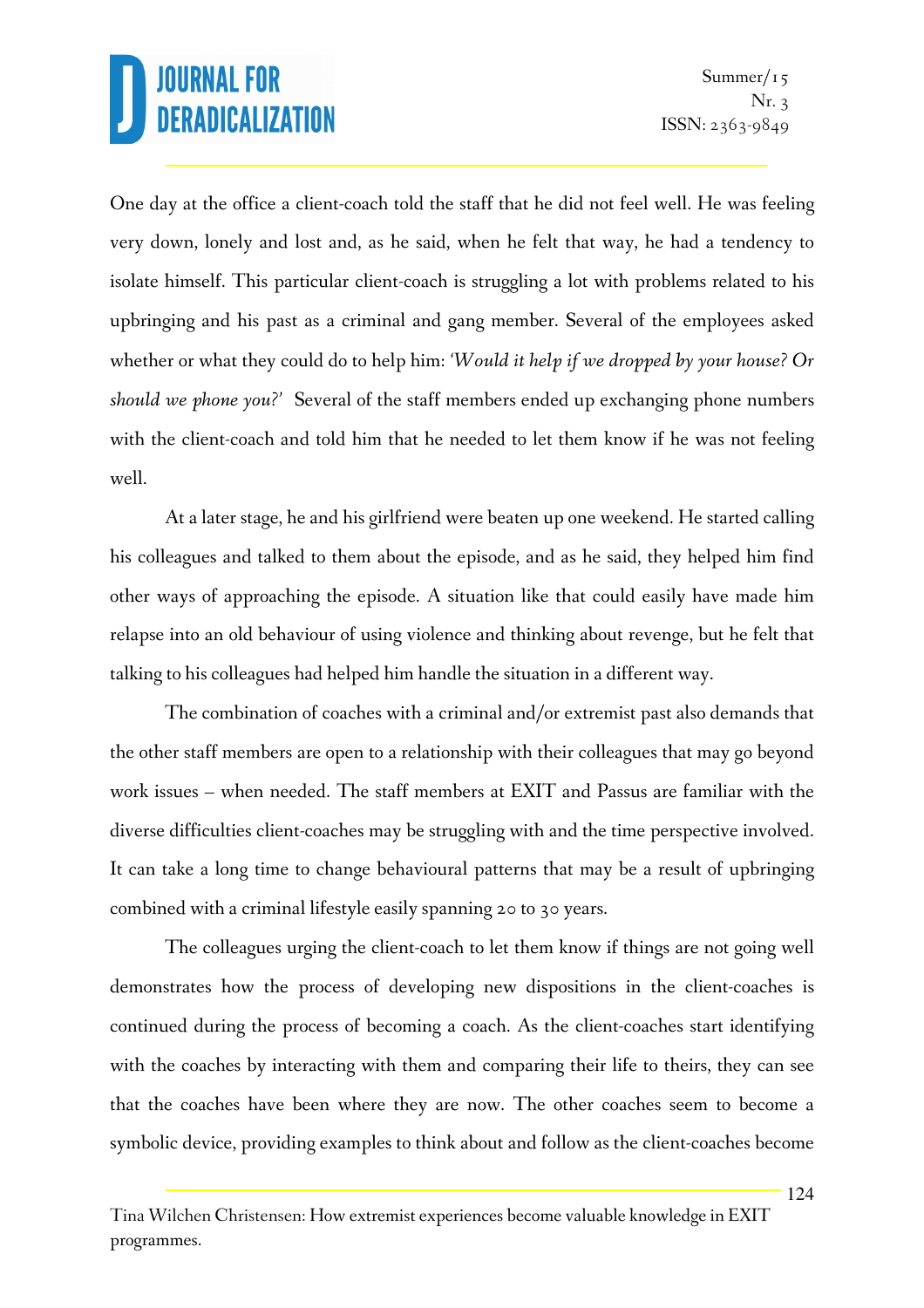One day at the office a client-coach told the staff that he did not feel well. He was feeling very down, lonely and lost and, as he said, when he felt that way, he had a tendency to isolate himself. This particular client-coach is struggling a lot with problems related to his upbringing and his past as a criminal and gang member. Several of the employees asked whether or what they could do to help him: *'Would it help if we dropped by your house? Or should we phone you?'* Several of the staff members ended up exchanging phone numbers with the client-coach and told him that he needed to let them know if he was not feeling well.

At a later stage, he and his girlfriend were beaten up one weekend. He started calling his colleagues and talked to them about the episode, and as he said, they helped him find other ways of approaching the episode. A situation like that could easily have made him relapse into an old behaviour of using violence and thinking about revenge, but he felt that talking to his colleagues had helped him handle the situation in a different way.

The combination of coaches with a criminal and/or extremist past also demands that the other staff members are open to a relationship with their colleagues that may go beyond work issues – when needed. The staff members at EXIT and Passus are familiar with the diverse difficulties client-coaches may be struggling with and the time perspective involved. It can take a long time to change behavioural patterns that may be a result of upbringing combined with a criminal lifestyle easily spanning 20 to 30 years.

The colleagues urging the client-coach to let them know if things are not going well demonstrates how the process of developing new dispositions in the client-coaches is continued during the process of becoming a coach. As the client-coaches start identifying with the coaches by interacting with them and comparing their life to theirs, they can see that the coaches have been where they are now. The other coaches seem to become a symbolic device, providing examples to think about and follow as the client-coaches become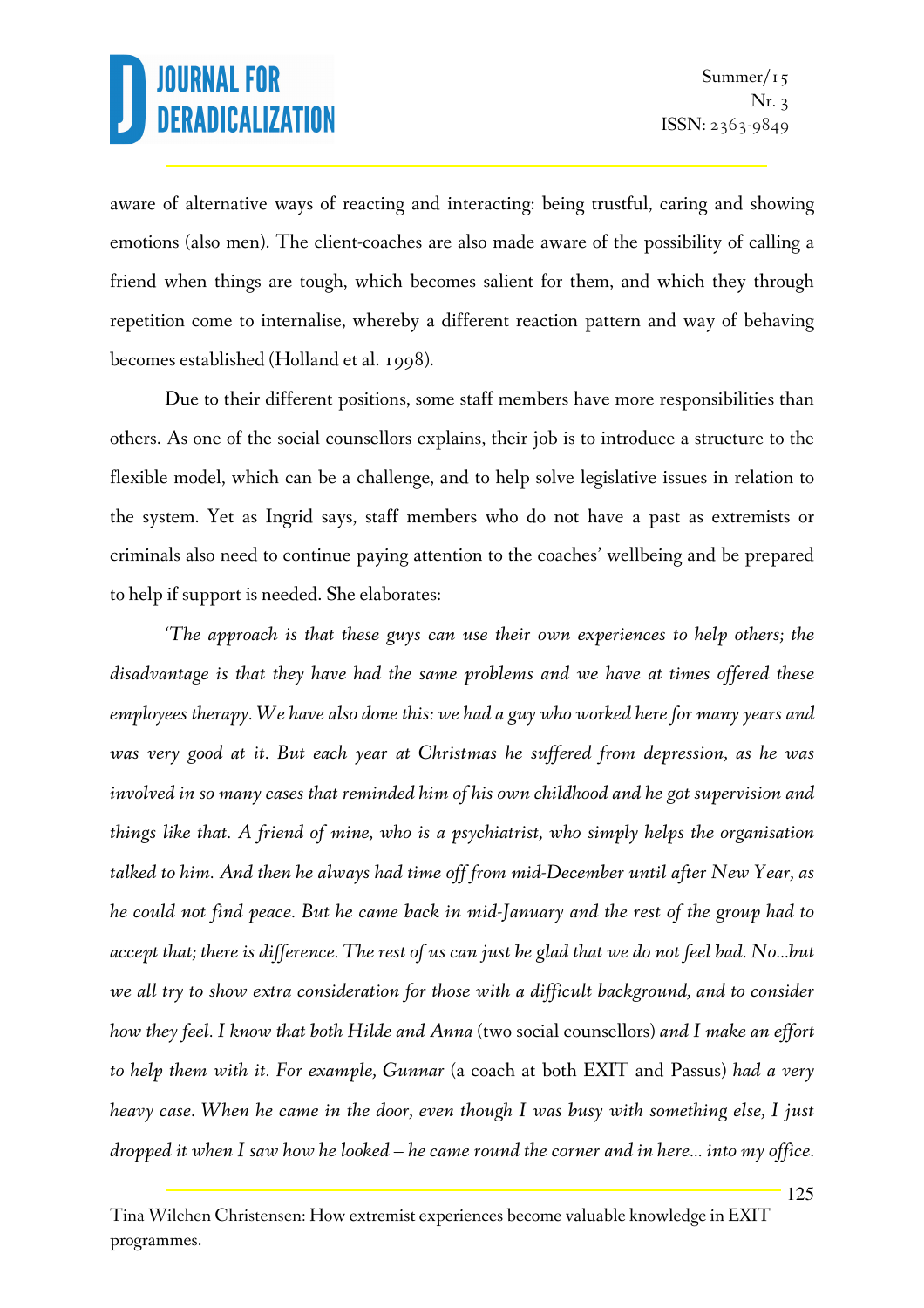aware of alternative ways of reacting and interacting: being trustful, caring and showing emotions (also men). The client-coaches are also made aware of the possibility of calling a friend when things are tough, which becomes salient for them, and which they through repetition come to internalise, whereby a different reaction pattern and way of behaving becomes established (Holland et al. 1998).

Due to their different positions, some staff members have more responsibilities than others. As one of the social counsellors explains, their job is to introduce a structure to the flexible model, which can be a challenge, and to help solve legislative issues in relation to the system. Yet as Ingrid says, staff members who do not have a past as extremists or criminals also need to continue paying attention to the coaches' wellbeing and be prepared to help if support is needed. She elaborates:

*'The approach is that these guys can use their own experiences to help others; the disadvantage is that they have had the same problems and we have at times offered these employees therapy. We have also done this: we had a guy who worked here for many years and was very good at it. But each year at Christmas he suffered from depression, as he was involved in so many cases that reminded him of his own childhood and he got supervision and things like that. A friend of mine, who is a psychiatrist, who simply helps the organisation talked to him. And then he always had time off from mid-December until after New Year, as he could not find peace. But he came back in mid-January and the rest of the group had to accept that; there is difference. The rest of us can just be glad that we do not feel bad. No…but*  we all try to show extra consideration for those with a difficult background, and to consider *how they feel. I know that both Hilde and Anna* (two social counsellors) *and I make an effort to help them with it. For example, Gunnar* (a coach at both EXIT and Passus) *had a very heavy case. When he came in the door, even though I was busy with something else, I just dropped it when I saw how he looked – he came round the corner and in here… into my office.* 

Tina Wilchen Christensen: How extremist experiences become valuable knowledge in EXIT programmes.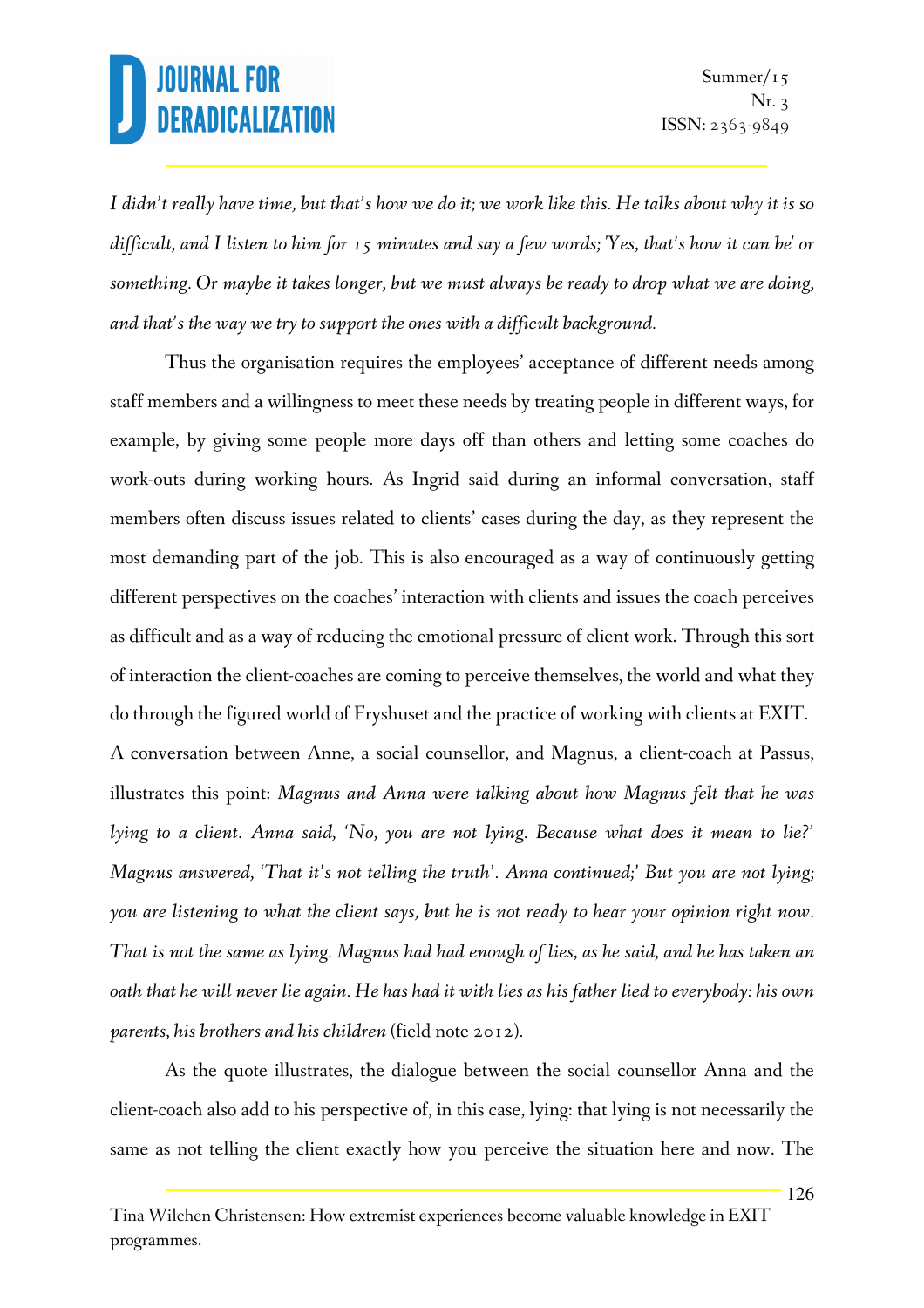*I didn't really have time, but that's how we do it; we work like this. He talks about why it is so difficult, and I listen to him for 15 minutes and say a few words; 'Yes, that's how it can be' or something. Or maybe it takes longer, but we must always be ready to drop what we are doing, and that's the way we try to support the ones with a difficult background.* 

Thus the organisation requires the employees' acceptance of different needs among staff members and a willingness to meet these needs by treating people in different ways, for example, by giving some people more days off than others and letting some coaches do work-outs during working hours. As Ingrid said during an informal conversation, staff members often discuss issues related to clients' cases during the day, as they represent the most demanding part of the job. This is also encouraged as a way of continuously getting different perspectives on the coaches' interaction with clients and issues the coach perceives as difficult and as a way of reducing the emotional pressure of client work. Through this sort of interaction the client-coaches are coming to perceive themselves, the world and what they do through the figured world of Fryshuset and the practice of working with clients at EXIT. A conversation between Anne, a social counsellor, and Magnus, a client-coach at Passus, illustrates this point: *Magnus and Anna were talking about how Magnus felt that he was lying to a client. Anna said, 'No, you are not lying. Because what does it mean to lie?' Magnus answered, 'That it's not telling the truth'. Anna continued;' But you are not lying; you are listening to what the client says, but he is not ready to hear your opinion right now. That is not the same as lying. Magnus had had enough of lies, as he said, and he has taken an oath that he will never lie again. He has had it with lies as his father lied to everybody: his own parents, his brothers and his children* (field note 2012)*.*

As the quote illustrates, the dialogue between the social counsellor Anna and the client-coach also add to his perspective of, in this case, lying: that lying is not necessarily the same as not telling the client exactly how you perceive the situation here and now. The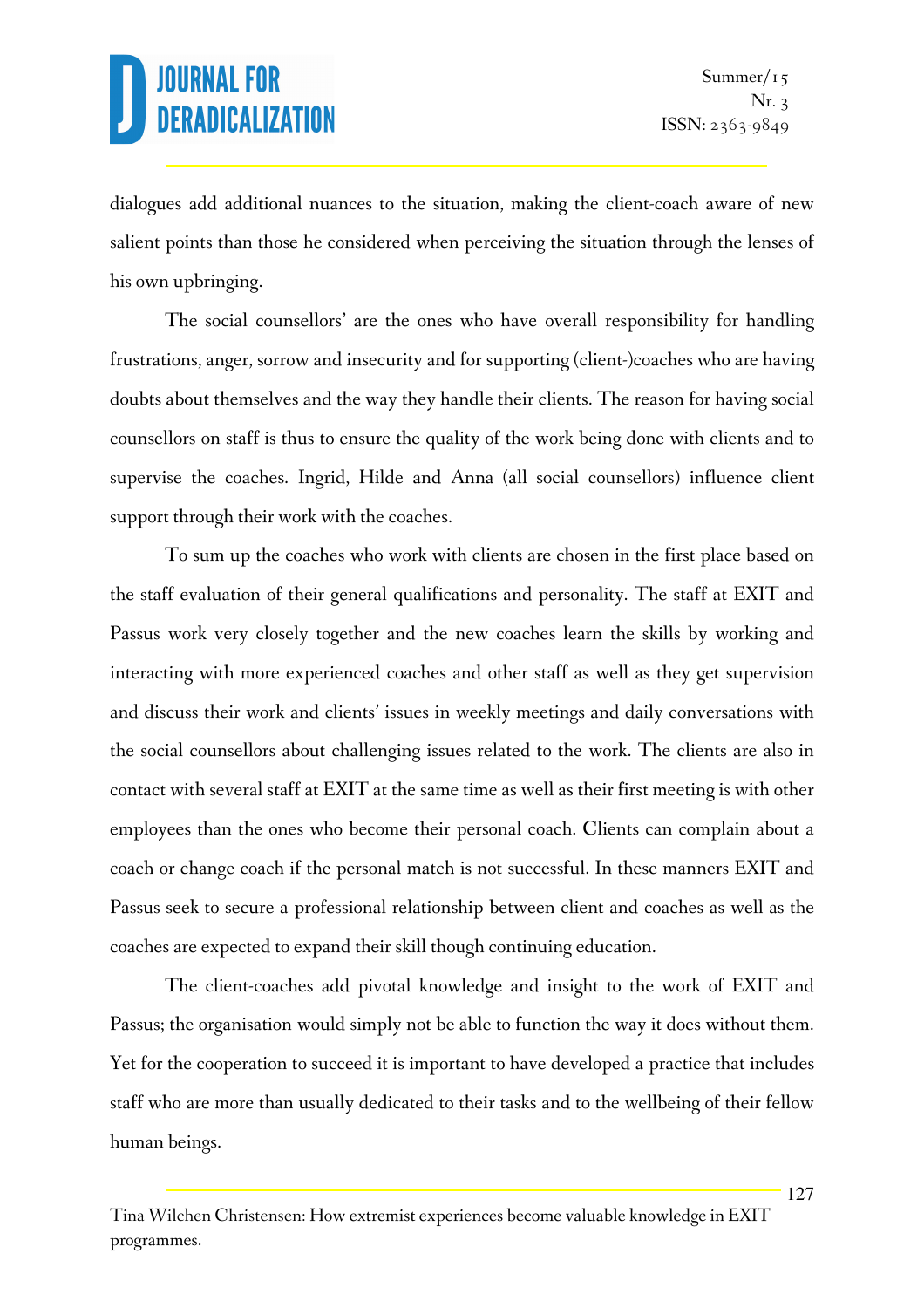dialogues add additional nuances to the situation, making the client-coach aware of new salient points than those he considered when perceiving the situation through the lenses of his own upbringing.

The social counsellors' are the ones who have overall responsibility for handling frustrations, anger, sorrow and insecurity and for supporting (client-)coaches who are having doubts about themselves and the way they handle their clients. The reason for having social counsellors on staff is thus to ensure the quality of the work being done with clients and to supervise the coaches. Ingrid, Hilde and Anna (all social counsellors) influence client support through their work with the coaches.

To sum up the coaches who work with clients are chosen in the first place based on the staff evaluation of their general qualifications and personality. The staff at EXIT and Passus work very closely together and the new coaches learn the skills by working and interacting with more experienced coaches and other staff as well as they get supervision and discuss their work and clients' issues in weekly meetings and daily conversations with the social counsellors about challenging issues related to the work. The clients are also in contact with several staff at EXIT at the same time as well as their first meeting is with other employees than the ones who become their personal coach. Clients can complain about a coach or change coach if the personal match is not successful. In these manners EXIT and Passus seek to secure a professional relationship between client and coaches as well as the coaches are expected to expand their skill though continuing education.

The client-coaches add pivotal knowledge and insight to the work of EXIT and Passus; the organisation would simply not be able to function the way it does without them. Yet for the cooperation to succeed it is important to have developed a practice that includes staff who are more than usually dedicated to their tasks and to the wellbeing of their fellow human beings.

Tina Wilchen Christensen: How extremist experiences become valuable knowledge in EXIT programmes.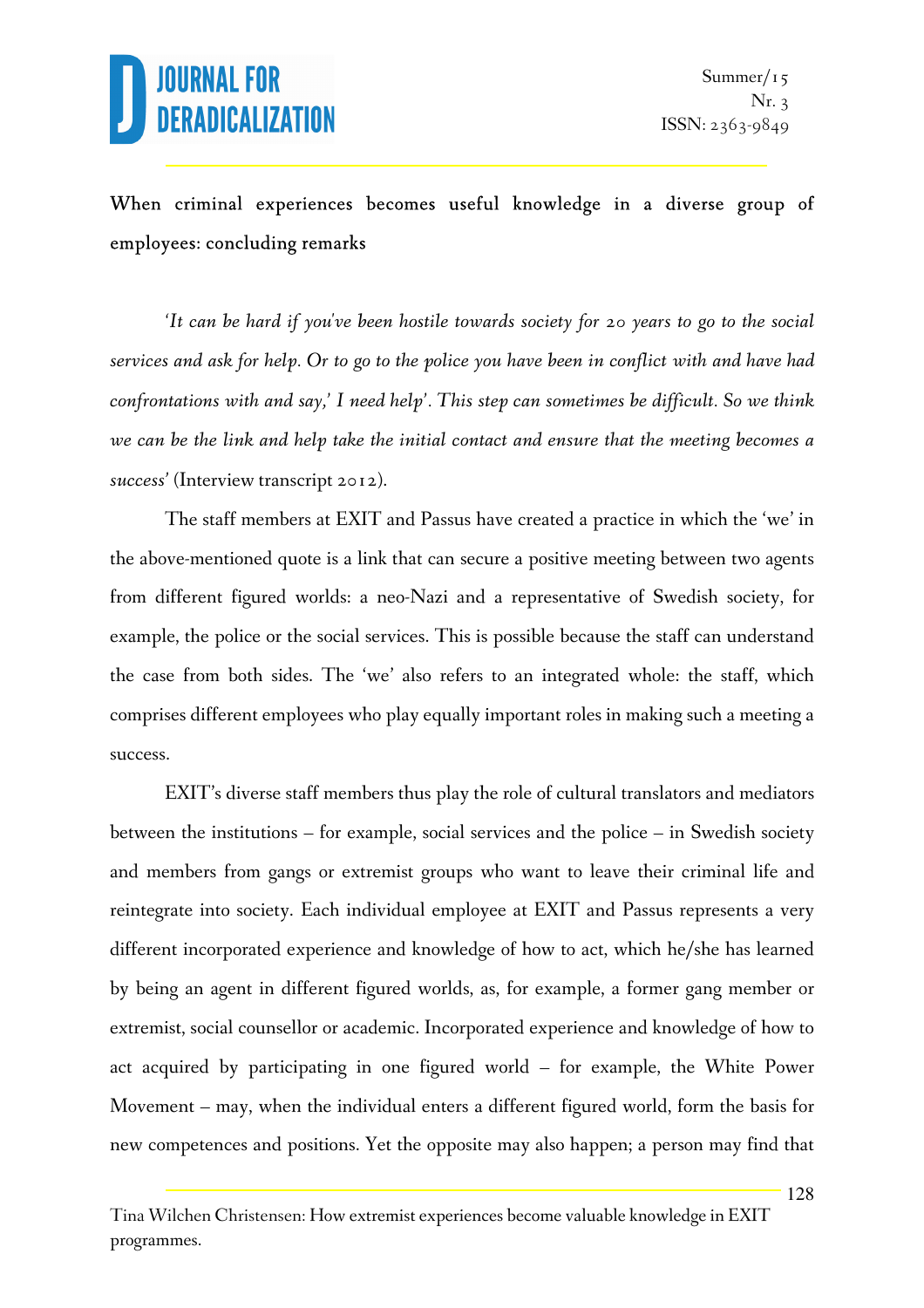### When criminal experiences becomes useful knowledge in a diverse group of employees: concluding remarks

*'It can be hard if you've been hostile towards society for 20 years to go to the social services and ask for help. Or to go to the police you have been in conflict with and have had confrontations with and say,' I need help'. This step can sometimes be difficult. So we think we can be the link and help take the initial contact and ensure that the meeting becomes a success'* (Interview transcript 2012).

The staff members at EXIT and Passus have created a practice in which the 'we' in the above-mentioned quote is a link that can secure a positive meeting between two agents from different figured worlds: a neo-Nazi and a representative of Swedish society, for example, the police or the social services. This is possible because the staff can understand the case from both sides. The 'we' also refers to an integrated whole: the staff, which comprises different employees who play equally important roles in making such a meeting a success.

EXIT's diverse staff members thus play the role of cultural translators and mediators between the institutions – for example, social services and the police – in Swedish society and members from gangs or extremist groups who want to leave their criminal life and reintegrate into society. Each individual employee at EXIT and Passus represents a very different incorporated experience and knowledge of how to act, which he/she has learned by being an agent in different figured worlds, as, for example, a former gang member or extremist, social counsellor or academic. Incorporated experience and knowledge of how to act acquired by participating in one figured world – for example, the White Power Movement – may, when the individual enters a different figured world, form the basis for new competences and positions. Yet the opposite may also happen; a person may find that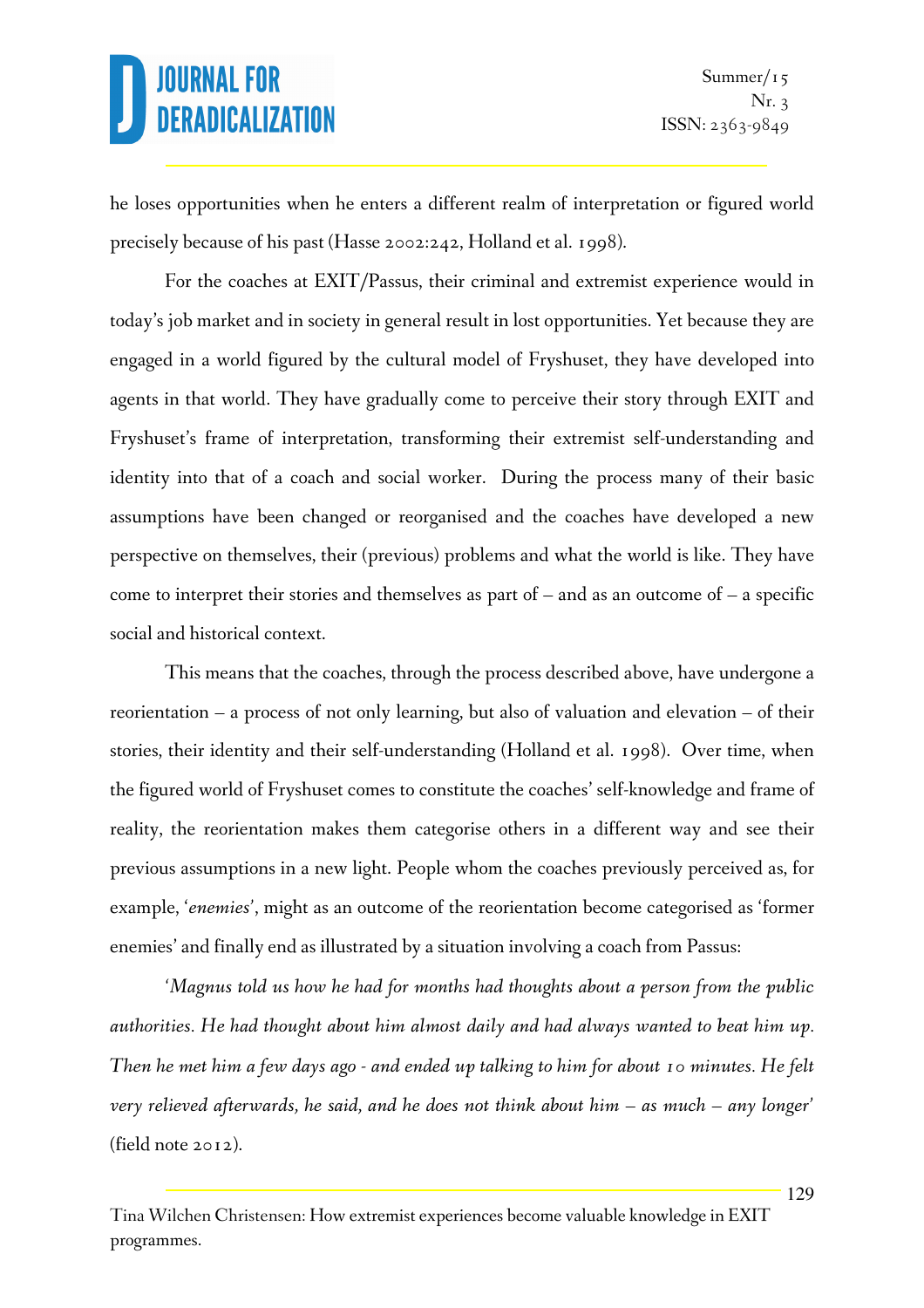he loses opportunities when he enters a different realm of interpretation or figured world precisely because of his past (Hasse 2002:242, Holland et al. 1998).

For the coaches at EXIT/Passus, their criminal and extremist experience would in today's job market and in society in general result in lost opportunities. Yet because they are engaged in a world figured by the cultural model of Fryshuset, they have developed into agents in that world. They have gradually come to perceive their story through EXIT and Fryshuset's frame of interpretation, transforming their extremist self-understanding and identity into that of a coach and social worker. During the process many of their basic assumptions have been changed or reorganised and the coaches have developed a new perspective on themselves, their (previous) problems and what the world is like. They have come to interpret their stories and themselves as part of  $-$  and as an outcome of  $-$  a specific social and historical context.

This means that the coaches, through the process described above, have undergone a reorientation – a process of not only learning, but also of valuation and elevation – of their stories, their identity and their self-understanding (Holland et al. 1998). Over time, when the figured world of Fryshuset comes to constitute the coaches' self-knowledge and frame of reality, the reorientation makes them categorise others in a different way and see their previous assumptions in a new light. People whom the coaches previously perceived as, for example, '*enemies'*, might as an outcome of the reorientation become categorised as 'former enemies' and finally end as illustrated by a situation involving a coach from Passus:

*'Magnus told us how he had for months had thoughts about a person from the public authorities. He had thought about him almost daily and had always wanted to beat him up. Then he met him a few days ago - and ended up talking to him for about 10 minutes. He felt very relieved afterwards, he said, and he does not think about him – as much – any longer'* (field note 2012).

Tina Wilchen Christensen: How extremist experiences become valuable knowledge in EXIT programmes.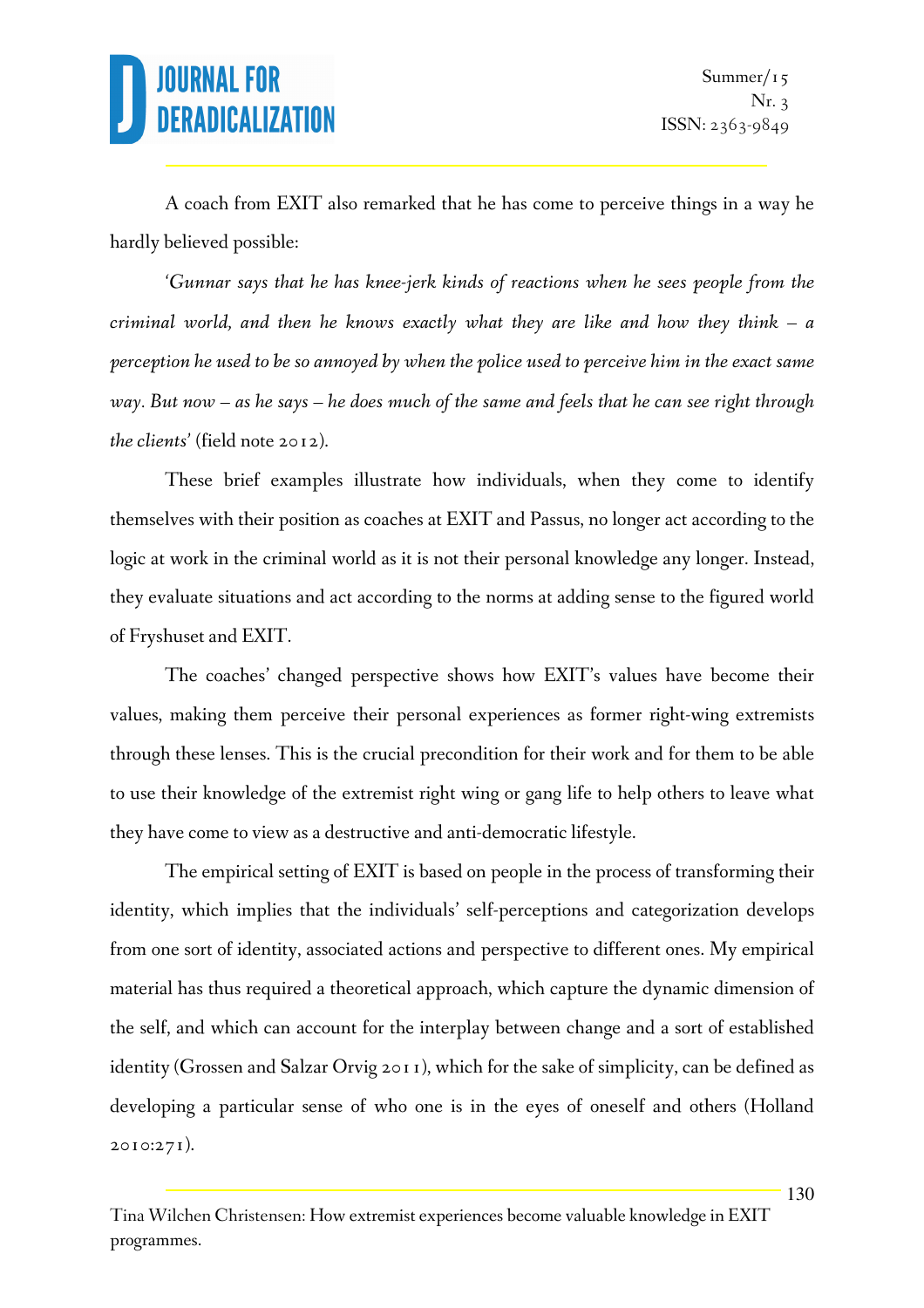A coach from EXIT also remarked that he has come to perceive things in a way he hardly believed possible:

*'Gunnar says that he has knee-jerk kinds of reactions when he sees people from the criminal world, and then he knows exactly what they are like and how they think – a perception he used to be so annoyed by when the police used to perceive him in the exact same way. But now – as he says – he does much of the same and feels that he can see right through the clients'* (field note 2012).

These brief examples illustrate how individuals, when they come to identify themselves with their position as coaches at EXIT and Passus, no longer act according to the logic at work in the criminal world as it is not their personal knowledge any longer. Instead, they evaluate situations and act according to the norms at adding sense to the figured world of Fryshuset and EXIT.

The coaches' changed perspective shows how EXIT's values have become their values, making them perceive their personal experiences as former right-wing extremists through these lenses. This is the crucial precondition for their work and for them to be able to use their knowledge of the extremist right wing or gang life to help others to leave what they have come to view as a destructive and anti-democratic lifestyle.

The empirical setting of EXIT is based on people in the process of transforming their identity, which implies that the individuals' self-perceptions and categorization develops from one sort of identity, associated actions and perspective to different ones. My empirical material has thus required a theoretical approach, which capture the dynamic dimension of the self, and which can account for the interplay between change and a sort of established identity (Grossen and Salzar Orvig 2011), which for the sake of simplicity, can be defined as developing a particular sense of who one is in the eyes of oneself and others (Holland 2010:271).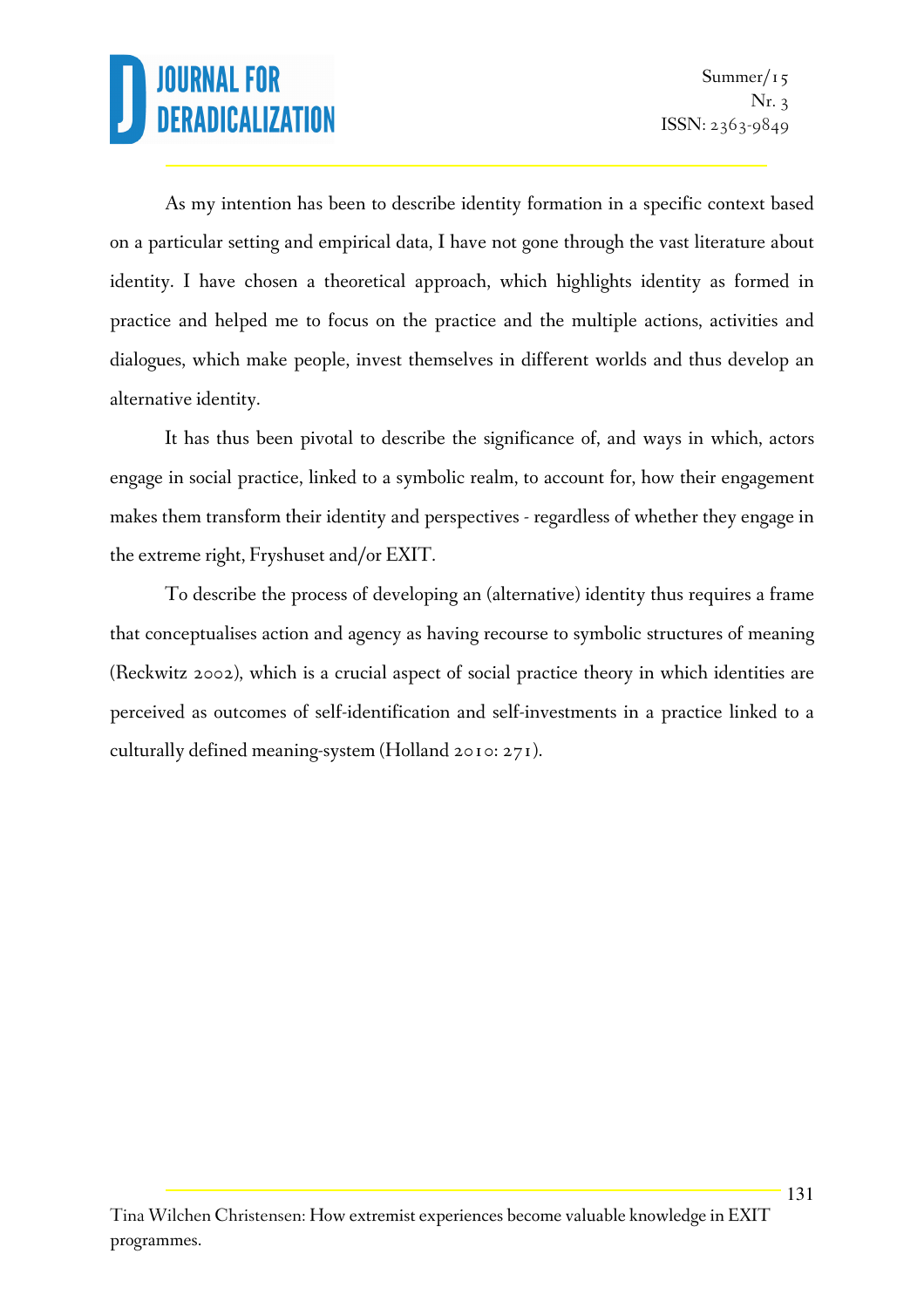As my intention has been to describe identity formation in a specific context based on a particular setting and empirical data, I have not gone through the vast literature about identity. I have chosen a theoretical approach, which highlights identity as formed in practice and helped me to focus on the practice and the multiple actions, activities and dialogues, which make people, invest themselves in different worlds and thus develop an alternative identity.

It has thus been pivotal to describe the significance of, and ways in which, actors engage in social practice, linked to a symbolic realm, to account for, how their engagement makes them transform their identity and perspectives - regardless of whether they engage in the extreme right, Fryshuset and/or EXIT.

To describe the process of developing an (alternative) identity thus requires a frame that conceptualises action and agency as having recourse to symbolic structures of meaning (Reckwitz 2002), which is a crucial aspect of social practice theory in which identities are perceived as outcomes of self-identification and self-investments in a practice linked to a culturally defined meaning-system (Holland 2010: 271).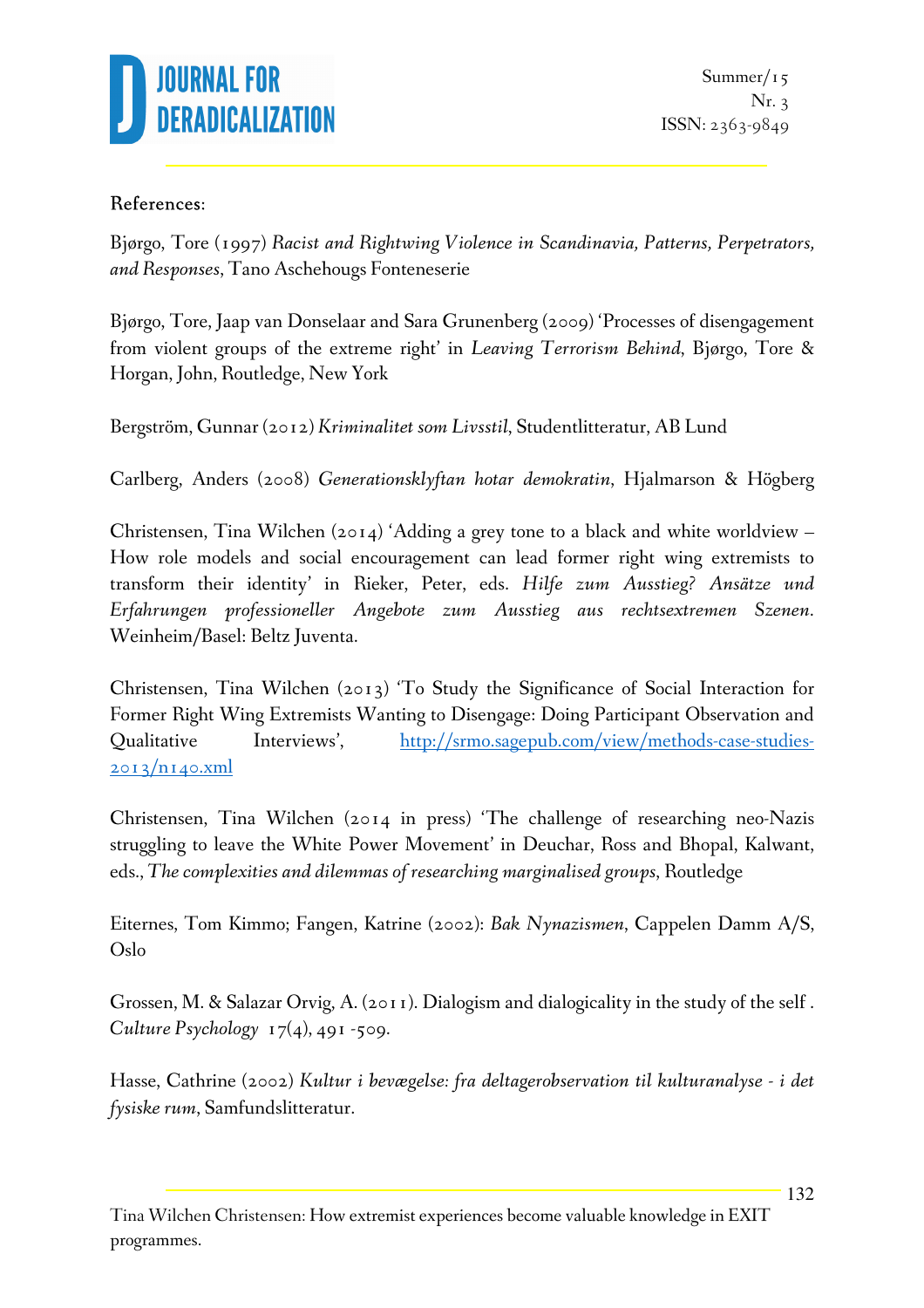

#### References:

Bjørgo, Tore (1997) *Racist and Rightwing Violence in Scandinavia, Patterns, Perpetrators, and Responses*, Tano Aschehougs Fonteneserie

Bjørgo, Tore, Jaap van Donselaar and Sara Grunenberg (2009) 'Processes of disengagement from violent groups of the extreme right' in *Leaving Terrorism Behind*, Bjørgo, Tore & Horgan, John, Routledge, New York

Bergström, Gunnar (2012) *Kriminalitet som Livsstil*, Studentlitteratur, AB Lund

Carlberg, Anders (2008) *Generationsklyftan hotar demokratin*, Hjalmarson & Högberg

Christensen, Tina Wilchen (2014) 'Adding a grey tone to a black and white worldview – How role models and social encouragement can lead former right wing extremists to transform their identity' in Rieker, Peter, eds. *Hilfe zum Ausstieg? Ansätze und Erfahrungen professioneller Angebote zum Ausstieg aus rechtsextremen Szenen*. Weinheim/Basel: Beltz Juventa.

Christensen, Tina Wilchen (2013) 'To Study the Significance of Social Interaction for Former Right Wing Extremists Wanting to Disengage: Doing Participant Observation and Qualitative Interviews', http://srmo.sagepub.com/view/methods-case-studies- $2013/n140.xml$ 

Christensen, Tina Wilchen (2014 in press) 'The challenge of researching neo-Nazis struggling to leave the White Power Movement' in Deuchar, Ross and Bhopal, Kalwant, eds., *The complexities and dilemmas of researching marginalised groups*, Routledge

Eiternes, Tom Kimmo; Fangen, Katrine (2002): *Bak Nynazismen*, Cappelen Damm A/S, Oslo

Grossen, M. & Salazar Orvig, A. (2011). Dialogism and dialogicality in the study of the self . *Culture Psychology*  $17(4)$ , 491-509.

Hasse, Cathrine (2002) *Kultur i bevægelse: fra deltagerobservation til kulturanalyse - i det fysiske rum*, Samfundslitteratur.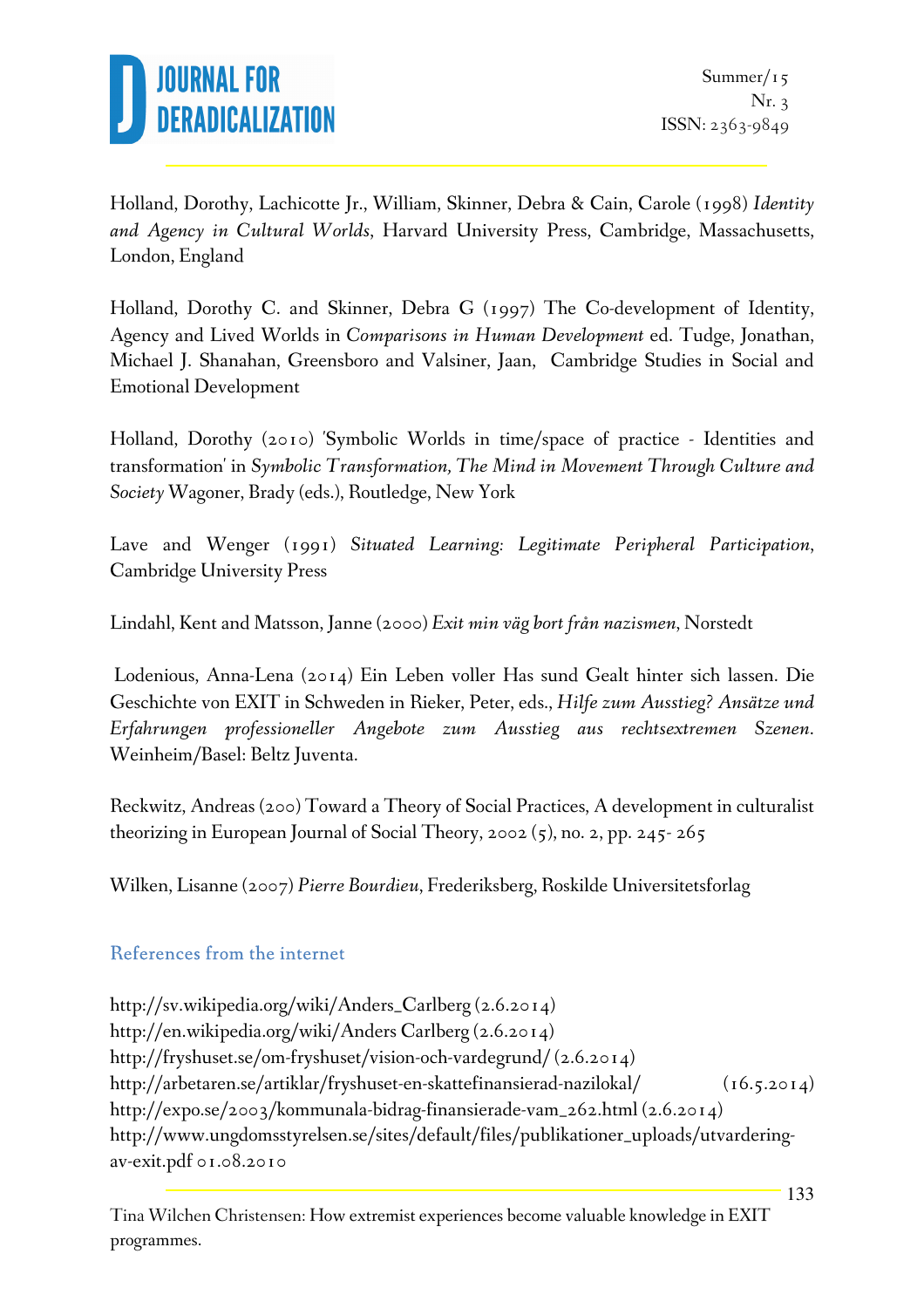

Holland, Dorothy, Lachicotte Jr., William, Skinner, Debra & Cain, Carole (1998) *Identity and Agency in Cultural Worlds*, Harvard University Press, Cambridge, Massachusetts, London, England

Holland, Dorothy C. and Skinner, Debra G (1997) The Co-development of Identity, Agency and Lived Worlds in *Comparisons in Human Development* ed. Tudge, Jonathan, Michael J. Shanahan, Greensboro and Valsiner, Jaan, Cambridge Studies in Social and Emotional Development

Holland, Dorothy (2010) 'Symbolic Worlds in time/space of practice - Identities and transformation' in *Symbolic Transformation, The Mind in Movement Through Culture and Society* Wagoner, Brady (eds.), Routledge, New York

Lave and Wenger (1991) *Situated Learning: Legitimate Peripheral Participation*, Cambridge University Press

Lindahl, Kent and Matsson, Janne (2000) *Exit min väg bort från nazismen*, Norstedt

 Lodenious, Anna-Lena (2014) Ein Leben voller Has sund Gealt hinter sich lassen. Die Geschichte von EXIT in Schweden in Rieker, Peter, eds., *Hilfe zum Ausstieg? Ansätze und Erfahrungen professioneller Angebote zum Ausstieg aus rechtsextremen Szenen*. Weinheim/Basel: Beltz Juventa.

Reckwitz, Andreas (200) Toward a Theory of Social Practices, A development in culturalist theorizing in European Journal of Social Theory, 2002 (5), no. 2, pp. 245- 265

Wilken, Lisanne (2007) *Pierre Bourdieu*, Frederiksberg, Roskilde Universitetsforlag

### References from the internet

http://sv.wikipedia.org/wiki/Anders\_Carlberg (2.6.2014) http://en.wikipedia.org/wiki/Anders Carlberg (2.6.2014) http://fryshuset.se/om-fryshuset/vision-och-vardegrund/ (2.6.2014) http://arbetaren.se/artiklar/fryshuset-en-skattefinansierad-nazilokal/ (16.5.2014) http://expo.se/2003/kommunala-bidrag-finansierade-vam\_262.html (2.6.2014) http://www.ungdomsstyrelsen.se/sites/default/files/publikationer\_uploads/utvarderingav-exit.pdf 01.08.2010